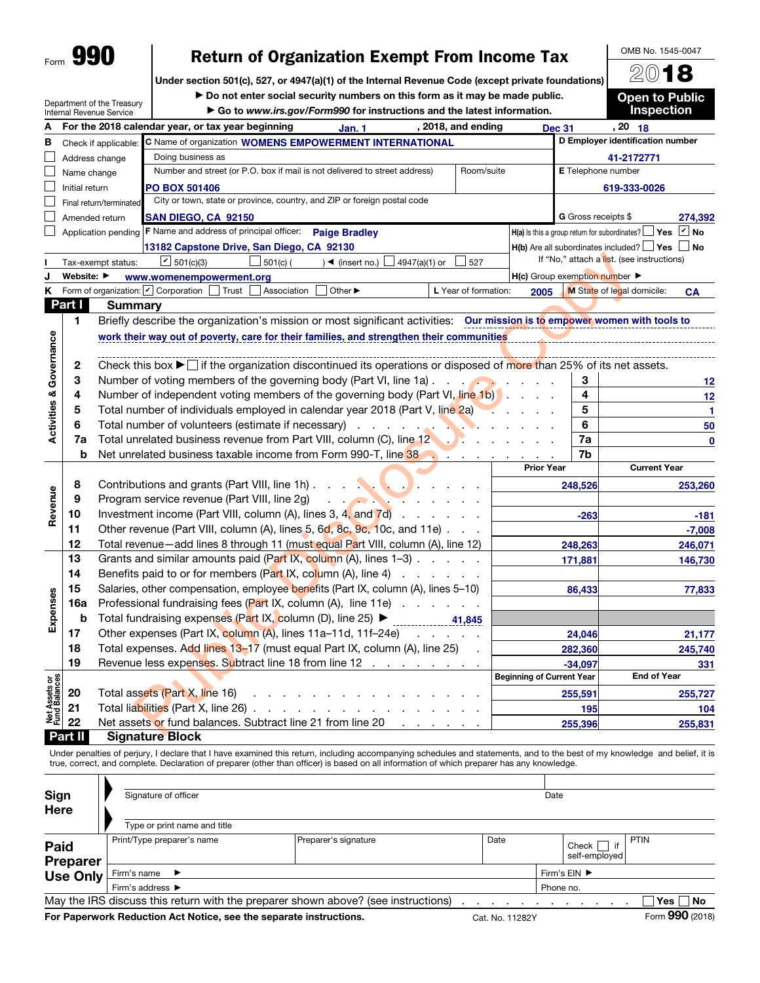| Form | m<br>L<br>١ |
|------|-------------|
|      |             |

# Return of Organization Exempt From Income Tax

Under section 501(c), 527, or 4947(a)(1) of the Internal Revenue Code (except private foundations)

Department of the Treasury

▶ Do not enter social security numbers on this form as it may be made public.<br>► Go to www.irs gov/Form990 for instructions and the latest information

2018 Open to Public

OMB No. 1545-0047

|                                    |                                                   | $\mu$ , pai this in the inclusion<br>Internal Revenue Service | Go to www.irs.gov/Form990 for instructions and the latest information.                                                                                                                                                                                                                                                                          |                                  |                            | <b>Inspection</b>                                                         |  |  |  |  |  |
|------------------------------------|---------------------------------------------------|---------------------------------------------------------------|-------------------------------------------------------------------------------------------------------------------------------------------------------------------------------------------------------------------------------------------------------------------------------------------------------------------------------------------------|----------------------------------|----------------------------|---------------------------------------------------------------------------|--|--|--|--|--|
|                                    |                                                   |                                                               | For the 2018 calendar year, or tax year beginning<br>, 2018, and ending<br>Jan. 1                                                                                                                                                                                                                                                               |                                  | <b>Dec 31</b>              | $, 20$ 18                                                                 |  |  |  |  |  |
| в                                  |                                                   | Check if applicable:                                          |                                                                                                                                                                                                                                                                                                                                                 | D Employer identification number |                            |                                                                           |  |  |  |  |  |
|                                    | Doing business as<br>Address change<br>41-2172771 |                                                               |                                                                                                                                                                                                                                                                                                                                                 |                                  |                            |                                                                           |  |  |  |  |  |
|                                    | Name change                                       |                                                               | Number and street (or P.O. box if mail is not delivered to street address)<br>Room/suite                                                                                                                                                                                                                                                        |                                  |                            | E Telephone number                                                        |  |  |  |  |  |
|                                    | Initial return                                    |                                                               | <b>PO BOX 501406</b>                                                                                                                                                                                                                                                                                                                            |                                  |                            | 619-333-0026                                                              |  |  |  |  |  |
|                                    |                                                   | Final return/terminated                                       | City or town, state or province, country, and ZIP or foreign postal code                                                                                                                                                                                                                                                                        |                                  |                            |                                                                           |  |  |  |  |  |
|                                    |                                                   | Amended return                                                | SAN DIEGO, CA 92150                                                                                                                                                                                                                                                                                                                             |                                  | <b>G</b> Gross receipts \$ | 274,392                                                                   |  |  |  |  |  |
|                                    |                                                   |                                                               | Application pending <b>F</b> Name and address of principal officer:<br><b>Paige Bradley</b>                                                                                                                                                                                                                                                     |                                  |                            | $\angle$ No<br>$H(a)$ is this a group return for subordinates? $\Box$ Yes |  |  |  |  |  |
|                                    |                                                   |                                                               | 13182 Capstone Drive, San Diego, CA 92130                                                                                                                                                                                                                                                                                                       |                                  |                            | <b>H(b)</b> Are all subordinates included? $\Box$ Yes $\Box$ No           |  |  |  |  |  |
|                                    |                                                   | Tax-exempt status:                                            | $\angle$ 501(c)(3)<br>$501(c)$ (<br>$\rightarrow$ (insert no.)<br>4947(a)(1) or<br>$\_527$                                                                                                                                                                                                                                                      |                                  |                            | If "No," attach a list. (see instructions)                                |  |  |  |  |  |
|                                    | Website: ▶                                        |                                                               | www.womenempowerment.org                                                                                                                                                                                                                                                                                                                        | H(c) Group exemption number      |                            |                                                                           |  |  |  |  |  |
| Κ                                  |                                                   |                                                               | Form of organization: $ v $ Corporation   Trust<br>Association<br>Other ▶<br>L Year of formation:                                                                                                                                                                                                                                               | 2005                             |                            | M State of legal domicile:<br><b>CA</b>                                   |  |  |  |  |  |
|                                    | Part I                                            | <b>Summary</b>                                                |                                                                                                                                                                                                                                                                                                                                                 |                                  |                            |                                                                           |  |  |  |  |  |
|                                    | 1.                                                |                                                               | Briefly describe the organization's mission or most significant activities: Our mission is to empower women with tools to                                                                                                                                                                                                                       |                                  |                            |                                                                           |  |  |  |  |  |
| <b>Activities &amp; Governance</b> |                                                   |                                                               | work their way out of poverty, care for their families, and strengthen their communities                                                                                                                                                                                                                                                        |                                  |                            |                                                                           |  |  |  |  |  |
|                                    |                                                   |                                                               |                                                                                                                                                                                                                                                                                                                                                 |                                  |                            |                                                                           |  |  |  |  |  |
|                                    | 2                                                 |                                                               | Check this box $\blacktriangleright$ if the organization discontinued its operations or disposed of more than 25% of its net assets.                                                                                                                                                                                                            |                                  |                            |                                                                           |  |  |  |  |  |
|                                    | 3                                                 |                                                               | Number of voting members of the governing body (Part VI, line 1a).                                                                                                                                                                                                                                                                              |                                  | 3                          | 12                                                                        |  |  |  |  |  |
|                                    | 4                                                 |                                                               | Number of independent voting members of the governing body (Part VI, line 1b)                                                                                                                                                                                                                                                                   |                                  | 4                          | 12                                                                        |  |  |  |  |  |
|                                    | 5                                                 |                                                               | Total number of individuals employed in calendar year 2018 (Part V, line 2a)                                                                                                                                                                                                                                                                    | <b>Contract Contract</b>         | 5                          | $\mathbf{1}$                                                              |  |  |  |  |  |
|                                    | 6                                                 |                                                               | Total number of volunteers (estimate if necessary)<br><b>Contract Contract Contract Contract</b>                                                                                                                                                                                                                                                |                                  | 6                          | 50                                                                        |  |  |  |  |  |
|                                    | 7a                                                |                                                               | Total unrelated business revenue from Part VIII, column (C), line 12                                                                                                                                                                                                                                                                            |                                  | 7a                         | 0                                                                         |  |  |  |  |  |
|                                    | b                                                 |                                                               | Net unrelated business taxable income from Form 990-T, line 38                                                                                                                                                                                                                                                                                  |                                  | 7b                         |                                                                           |  |  |  |  |  |
|                                    |                                                   |                                                               |                                                                                                                                                                                                                                                                                                                                                 | <b>Prior Year</b>                |                            | <b>Current Year</b>                                                       |  |  |  |  |  |
|                                    | 8                                                 |                                                               | Contributions and grants (Part VIII, line 1h)                                                                                                                                                                                                                                                                                                   |                                  | 248,526                    | 253,260                                                                   |  |  |  |  |  |
| Revenue                            | 9                                                 |                                                               | Program service revenue (Part VIII, line 2g)<br><b><i>Contract Contract Contract Contract Contract Contract Contract Contract Contract Contract Contract Contract Contract Contract Contract Contract Contract Contract Contract Contract Contract Contract Contract Contract Cont</i></b><br>$\mathcal{L}$ and $\mathcal{L}$ and $\mathcal{L}$ |                                  |                            |                                                                           |  |  |  |  |  |
|                                    | 10                                                |                                                               | Investment income (Part VIII, column (A), lines 3, 4, and $\overline{7}$ d) $\cdots$ $\cdots$                                                                                                                                                                                                                                                   |                                  | $-263$                     | $-181$                                                                    |  |  |  |  |  |
|                                    | 11                                                |                                                               | Other revenue (Part VIII, column (A), lines 5, 6d, 8c, 9c, 10c, and 11e)                                                                                                                                                                                                                                                                        |                                  |                            | $-7,008$                                                                  |  |  |  |  |  |
|                                    | 12                                                |                                                               | Total revenue-add lines 8 through 11 (must equal Part VIII, column (A), line 12)                                                                                                                                                                                                                                                                |                                  | 248,263                    | 246,071                                                                   |  |  |  |  |  |
|                                    | 13<br>14                                          |                                                               | Grants and similar amounts paid (Part IX, column $(A)$ , lines 1-3) $\ldots$ .<br>Benefits paid to or for members (Part IX, column (A), line 4)                                                                                                                                                                                                 |                                  | 171,881                    | 146,730                                                                   |  |  |  |  |  |
|                                    | 15                                                |                                                               | Salaries, other compensation, employee benefits (Part IX, column (A), lines 5-10)                                                                                                                                                                                                                                                               |                                  |                            |                                                                           |  |  |  |  |  |
|                                    | 16a                                               |                                                               | Professional fundraising fees (Part IX, column (A), line 11e)                                                                                                                                                                                                                                                                                   |                                  | 86,433                     | 77,833                                                                    |  |  |  |  |  |
| Expenses                           | b                                                 |                                                               | Total fundraising expenses (Part IX, column (D), line 25) ▶<br>41.845                                                                                                                                                                                                                                                                           |                                  |                            |                                                                           |  |  |  |  |  |
|                                    | 17                                                |                                                               | Other expenses (Part IX, column (A), lines 11a-11d, 11f-24e)<br>$\mathbf{r} = \mathbf{r}$                                                                                                                                                                                                                                                       |                                  |                            |                                                                           |  |  |  |  |  |
|                                    | 18                                                |                                                               | Total expenses. Add lines 13-17 (must equal Part IX, column (A), line 25)                                                                                                                                                                                                                                                                       |                                  | 24,046                     | 21,177                                                                    |  |  |  |  |  |
|                                    | 19                                                |                                                               | Revenue less expenses. Subtract line 18 from line 12                                                                                                                                                                                                                                                                                            |                                  | 282,360<br>$-34.097$       | 245,740                                                                   |  |  |  |  |  |
|                                    |                                                   |                                                               |                                                                                                                                                                                                                                                                                                                                                 | <b>Beginning of Current Year</b> |                            | 331<br><b>End of Year</b>                                                 |  |  |  |  |  |
| Net Assets or<br>Fund Balances     | 20                                                |                                                               | Total assets (Part X, line 16)                                                                                                                                                                                                                                                                                                                  |                                  | 255,591                    |                                                                           |  |  |  |  |  |
|                                    | 21                                                |                                                               | Total liabilities (Part X, line 26).<br>and a state of the state of                                                                                                                                                                                                                                                                             |                                  | 195                        | 255,727<br>104                                                            |  |  |  |  |  |
|                                    | 22                                                |                                                               | Net assets or fund balances. Subtract line 21 from line 20<br>and a state of                                                                                                                                                                                                                                                                    |                                  | 255,396                    |                                                                           |  |  |  |  |  |
|                                    | a m                                               |                                                               | Clanghung Dinale                                                                                                                                                                                                                                                                                                                                |                                  |                            | 255,831                                                                   |  |  |  |  |  |

Part II Signature Block

Under penalties of perjury, I declare that I have examined this return, including accompanying schedules and statements, and to the best of my knowledge and belief, it is true, correct, and complete. Declaration of preparer (other than officer) is based on all information of which preparer has any knowledge.

| Sign                                                                                                     | Signature of officer                 |                              |  | Date |  |  |  |  |  |  |
|----------------------------------------------------------------------------------------------------------|--------------------------------------|------------------------------|--|------|--|--|--|--|--|--|
| Here                                                                                                     |                                      |                              |  |      |  |  |  |  |  |  |
|                                                                                                          | Type or print name and title         |                              |  |      |  |  |  |  |  |  |
| <b>Paid</b><br><b>Preparer</b>                                                                           | Print/Type preparer's name           | Preparer's signature<br>Date |  |      |  |  |  |  |  |  |
| <b>Use Only</b>                                                                                          | Firm's name $\blacktriangleright$    | Firm's EIN ▶                 |  |      |  |  |  |  |  |  |
|                                                                                                          | Firm's address $\blacktriangleright$ | Phone no.                    |  |      |  |  |  |  |  |  |
| May the IRS discuss this return with the preparer shown above? (see instructions)<br>∃Yes ∏ No           |                                      |                              |  |      |  |  |  |  |  |  |
| Form 990 (2018)<br>For Paperwork Reduction Act Notice, see the separate instructions.<br>Cat. No. 11282Y |                                      |                              |  |      |  |  |  |  |  |  |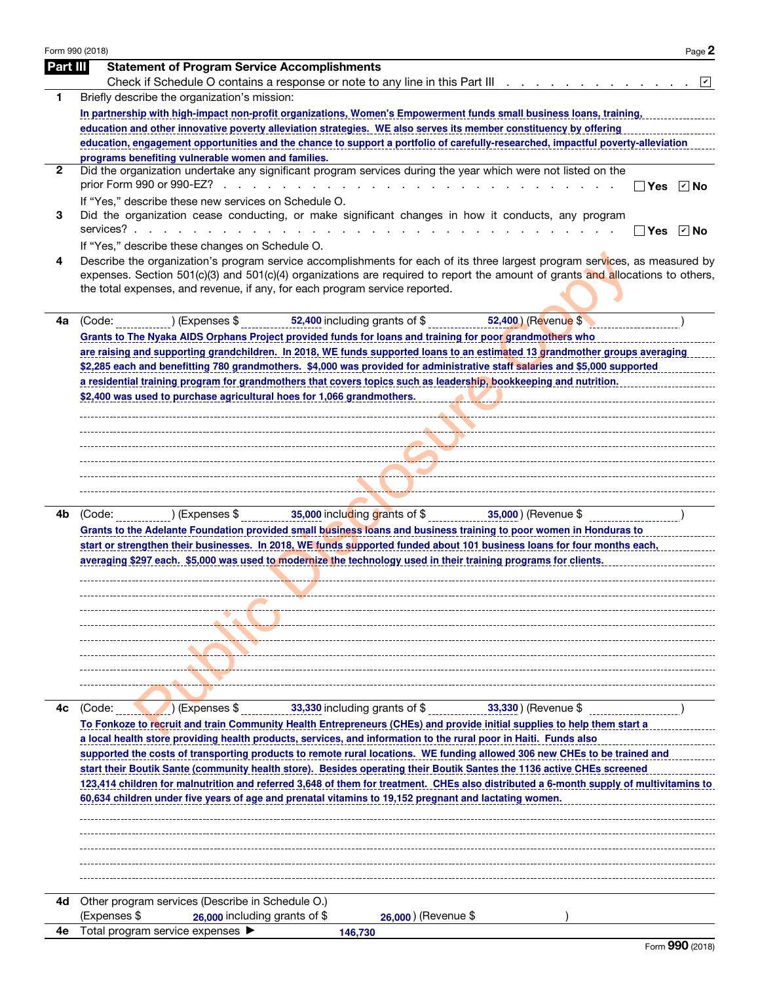| Part III | Form 990 (2018)<br>Page 2                                                                                                                                                                                                                                                                                                                   |
|----------|---------------------------------------------------------------------------------------------------------------------------------------------------------------------------------------------------------------------------------------------------------------------------------------------------------------------------------------------|
|          | <b>Statement of Program Service Accomplishments</b>                                                                                                                                                                                                                                                                                         |
|          |                                                                                                                                                                                                                                                                                                                                             |
| 1.       | Briefly describe the organization's mission:                                                                                                                                                                                                                                                                                                |
|          | In partnership with high-impact non-profit organizations, Women's Empowerment funds small business loans, training,<br>education and other innovative poverty alleviation strategies. WE also serves its member constituency by offering                                                                                                    |
|          | education, engagement opportunities and the chance to support a portfolio of carefully-researched, impactful poverty-alleviation                                                                                                                                                                                                            |
|          | programs benefiting vulnerable women and families.                                                                                                                                                                                                                                                                                          |
| 2        | Did the organization undertake any significant program services during the year which were not listed on the                                                                                                                                                                                                                                |
|          | ∃Yes ☑No                                                                                                                                                                                                                                                                                                                                    |
|          | If "Yes," describe these new services on Schedule O.                                                                                                                                                                                                                                                                                        |
| 3        | Did the organization cease conducting, or make significant changes in how it conducts, any program                                                                                                                                                                                                                                          |
|          | ]Yes ☑ No                                                                                                                                                                                                                                                                                                                                   |
| 4        | If "Yes," describe these changes on Schedule O.                                                                                                                                                                                                                                                                                             |
|          | Describe the organization's program service accomplishments for each of its three largest program services, as measured by<br>expenses. Section 501(c)(3) and 501(c)(4) organizations are required to report the amount of grants and allocations to others,<br>the total expenses, and revenue, if any, for each program service reported. |
| 4а       | (Code:<br>) (Expenses \$<br>$52,400$ including grants of $\overline{\$}$<br>52,400 ) (Revenue \$                                                                                                                                                                                                                                            |
|          | Grants to The Nyaka AIDS Orphans Project provided funds for loans and training for poor grandmothers who                                                                                                                                                                                                                                    |
|          | are raising and supporting grandchildren. In 2018, WE funds supported loans to an estimated 13 grandmother groups averaging                                                                                                                                                                                                                 |
|          | \$2,285 each and benefitting 780 grandmothers. \$4,000 was provided for administrative staff salaries and \$5,000 supported                                                                                                                                                                                                                 |
|          | a residential training program for grandmothers that covers topics such as leadership, bookkeeping and nutrition.                                                                                                                                                                                                                           |
|          | \$2,400 was used to purchase agricultural hoes for 1,066 grandmothers.                                                                                                                                                                                                                                                                      |
|          |                                                                                                                                                                                                                                                                                                                                             |
|          |                                                                                                                                                                                                                                                                                                                                             |
|          |                                                                                                                                                                                                                                                                                                                                             |
|          |                                                                                                                                                                                                                                                                                                                                             |
|          |                                                                                                                                                                                                                                                                                                                                             |
|          |                                                                                                                                                                                                                                                                                                                                             |
| 4b       | 35,000 including grants of \$ 1,000 mm = 1,000 mm = 35,000 mm = 35,000 mm = 35,000 mm = 3<br>) (Expenses \$<br>(Code:                                                                                                                                                                                                                       |
|          | Grants to the Adelante Foundation provided small business loans and business training to poor women in Honduras to                                                                                                                                                                                                                          |
|          | start or strengthen their businesses. In 2018, WE funds supported funded about 101 business loans for four months each,                                                                                                                                                                                                                     |
|          | averaging \$297 each. \$5,000 was used to modernize the technology used in their training programs for clients.                                                                                                                                                                                                                             |
|          |                                                                                                                                                                                                                                                                                                                                             |
|          |                                                                                                                                                                                                                                                                                                                                             |
|          |                                                                                                                                                                                                                                                                                                                                             |
|          |                                                                                                                                                                                                                                                                                                                                             |
|          |                                                                                                                                                                                                                                                                                                                                             |
|          |                                                                                                                                                                                                                                                                                                                                             |
|          |                                                                                                                                                                                                                                                                                                                                             |
|          |                                                                                                                                                                                                                                                                                                                                             |
|          |                                                                                                                                                                                                                                                                                                                                             |
| 4c       | 33,330 including grants of \$<br>$33,330$ (Revenue \$<br>) (Expenses \$<br>(Code:                                                                                                                                                                                                                                                           |
|          | To Fonkoze to recruit and train Community Health Entrepreneurs (CHEs) and provide initial supplies to help them start a                                                                                                                                                                                                                     |
|          | a local health store providing health products, services, and information to the rural poor in Haiti. Funds also                                                                                                                                                                                                                            |
|          | supported the costs of transporting products to remote rural locations. WE funding allowed 306 new CHEs to be trained and                                                                                                                                                                                                                   |
|          | start their Boutik Sante (community health store). Besides operating their Boutik Santes the 1136 active CHEs screened                                                                                                                                                                                                                      |
|          | 60,634 children under five years of age and prenatal vitamins to 19,152 pregnant and lactating women.                                                                                                                                                                                                                                       |
|          |                                                                                                                                                                                                                                                                                                                                             |
|          |                                                                                                                                                                                                                                                                                                                                             |
|          |                                                                                                                                                                                                                                                                                                                                             |
|          |                                                                                                                                                                                                                                                                                                                                             |
|          |                                                                                                                                                                                                                                                                                                                                             |
|          |                                                                                                                                                                                                                                                                                                                                             |
| 4d -     | 123,414 children for malnutrition and referred 3,648 of them for treatment. CHEs also distributed a 6-month supply of multivitamins to<br>Other program services (Describe in Schedule O.)<br>(Expenses \$<br>26,000 including grants of \$<br>26,000 ) (Revenue \$                                                                         |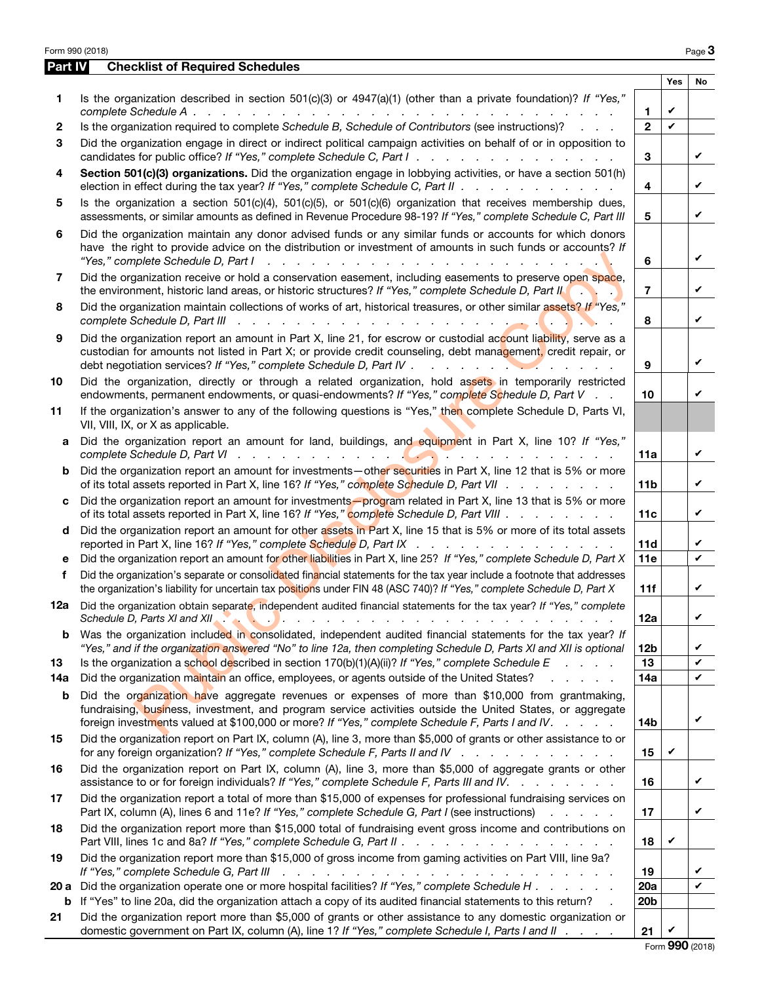|         | Form 990 (2018)                                                                                                                                                                                                                                                                                                  |                     |              | Page 3 |
|---------|------------------------------------------------------------------------------------------------------------------------------------------------------------------------------------------------------------------------------------------------------------------------------------------------------------------|---------------------|--------------|--------|
| Part IV | <b>Checklist of Required Schedules</b>                                                                                                                                                                                                                                                                           |                     |              |        |
|         |                                                                                                                                                                                                                                                                                                                  |                     | <b>Yes</b>   | No     |
| 1       | Is the organization described in section $501(c)(3)$ or $4947(a)(1)$ (other than a private foundation)? If "Yes,"                                                                                                                                                                                                |                     | V            |        |
| 2       | Is the organization required to complete Schedule B, Schedule of Contributors (see instructions)?                                                                                                                                                                                                                | 1<br>$\overline{2}$ | $\mathbf{v}$ |        |
| 3       | Did the organization engage in direct or indirect political campaign activities on behalf of or in opposition to                                                                                                                                                                                                 |                     |              |        |
|         | candidates for public office? If "Yes," complete Schedule C, Part I.                                                                                                                                                                                                                                             | 3                   |              | V      |
| 4       | Section 501(c)(3) organizations. Did the organization engage in lobbying activities, or have a section 501(h)<br>election in effect during the tax year? If "Yes," complete Schedule C, Part II                                                                                                                  | 4                   |              | V      |
| 5       | Is the organization a section $501(c)(4)$ , $501(c)(5)$ , or $501(c)(6)$ organization that receives membership dues,<br>assessments, or similar amounts as defined in Revenue Procedure 98-19? If "Yes," complete Schedule C, Part III                                                                           | 5                   |              | V      |
| 6       | Did the organization maintain any donor advised funds or any similar funds or accounts for which donors<br>have the right to provide advice on the distribution or investment of amounts in such funds or accounts? If                                                                                           | 6                   |              | V      |
| 7       | Did the organization receive or hold a conservation easement, including easements to preserve open space,<br>the environment, historic land areas, or historic structures? If "Yes," complete Schedule D, Part II                                                                                                | $\overline{7}$      |              | V      |
| 8       | Did the organization maintain collections of works of art, historical treasures, or other similar assets? If "Yes,"<br>complete Schedule D, Part III<br>de la caractería de la caractería de la caractería                                                                                                       | 8                   |              | V      |
| 9       | Did the organization report an amount in Part X, line 21, for escrow or custodial account liability, serve as a<br>custodian for amounts not listed in Part X; or provide credit counseling, debt management, credit repair, or                                                                                  | 9                   |              | V      |
| 10      | Did the organization, directly or through a related organization, hold assets in temporarily restricted<br>endowments, permanent endowments, or quasi-endowments? If "Yes," complete Schedule D, Part V                                                                                                          | 10                  |              | V      |
| 11      | If the organization's answer to any of the following questions is "Yes," then complete Schedule D, Parts VI,<br>VII, VIII, IX, or X as applicable.                                                                                                                                                               |                     |              |        |
| a       | Did the organization report an amount for land, buildings, and equipment in Part X, line 10? If "Yes,"                                                                                                                                                                                                           | 11a                 |              | V      |
| b       | Did the organization report an amount for investments—other securities in Part X, line 12 that is 5% or more<br>of its total assets reported in Part X, line 16? If "Yes," complete Schedule D, Part VII                                                                                                         | 11 <sub>b</sub>     |              | V      |
| c       | Did the organization report an amount for investments-program related in Part X, line 13 that is 5% or more<br>of its total assets reported in Part X, line 16? If "Yes," complete Schedule D, Part VIII                                                                                                         | 11c                 |              | V      |
| d       | Did the organization report an amount for other assets in Part X, line 15 that is 5% or more of its total assets<br>reported in Part X, line 16? If "Yes," complete Schedule D, Part IX                                                                                                                          | 11d                 |              | V      |
| е       | Did the organization report an amount for other liabilities in Part X, line 25? If "Yes," complete Schedule D, Part X                                                                                                                                                                                            | 11e                 |              | V      |
| f       | Did the organization's separate or consolidated financial statements for the tax year include a footnote that addresses<br>the organization's liability for uncertain tax positions under FIN 48 (ASC 740)? If "Yes," complete Schedule D, Part X                                                                | 11f                 |              | V      |
| 12а     | Did the organization obtain separate, independent audited financial statements for the tax year? If "Yes," complete<br>Schedule D, Parts XI and XII. A Contract of Alberta Library Andrew Contract Library Alberta Library Alberta Lib                                                                           | 12a                 |              | V      |
| b       | Was the organization included in consolidated, independent audited financial statements for the tax year? If<br>"Yes," and if the organization answered "No" to line 12a, then completing Schedule D, Parts XI and XII is optional                                                                               | 12 <sub>b</sub>     |              | V      |
| 13      | Is the organization a school described in section $170(b)(1)(A)(ii)?$ If "Yes," complete Schedule E                                                                                                                                                                                                              | 13                  |              | V      |
| 14a     | Did the organization maintain an office, employees, or agents outside of the United States?<br><b>Contract Contract Contract</b>                                                                                                                                                                                 | 14a                 |              | V      |
| b       | Did the organization have aggregate revenues or expenses of more than \$10,000 from grantmaking,<br>fundraising, business, investment, and program service activities outside the United States, or aggregate<br>foreign investments valued at \$100,000 or more? If "Yes," complete Schedule F, Parts I and IV. | 14b                 |              | V      |
| 15      | Did the organization report on Part IX, column (A), line 3, more than \$5,000 of grants or other assistance to or<br>for any foreign organization? If "Yes," complete Schedule F, Parts II and IV                                                                                                                | 15                  | V            |        |
| 16      | Did the organization report on Part IX, column (A), line 3, more than \$5,000 of aggregate grants or other<br>assistance to or for foreign individuals? If "Yes," complete Schedule F, Parts III and IV.                                                                                                         | 16                  |              | V      |
| 17      | Did the organization report a total of more than \$15,000 of expenses for professional fundraising services on<br>Part IX, column (A), lines 6 and 11e? If "Yes," complete Schedule G, Part I (see instructions)<br>and the state of the state                                                                   | 17                  |              | V      |
| 18      | Did the organization report more than \$15,000 total of fundraising event gross income and contributions on                                                                                                                                                                                                      | 18                  | V            |        |
| 19      | Did the organization report more than \$15,000 of gross income from gaming activities on Part VIII, line 9a?<br>If "Yes," complete Schedule G, Part III<br>والمتحاول والمتحاول والمتحاول والمتحاول والمتحاول والمتحاول والمتحاولة                                                                                | 19                  |              |        |
|         | 20 a Did the organization operate one or more hospital facilities? If "Yes," complete Schedule H                                                                                                                                                                                                                 | 20a                 |              | V      |
| b       | If "Yes" to line 20a, did the organization attach a copy of its audited financial statements to this return?                                                                                                                                                                                                     | 20 <sub>b</sub>     |              |        |
| 21      | Did the organization report more than \$5,000 of grants or other assistance to any domestic organization or<br>domestic government on Part IX, column (A), line 1? If "Yes," complete Schedule I, Parts I and II                                                                                                 | 21                  | V            |        |

Form 990 (2018)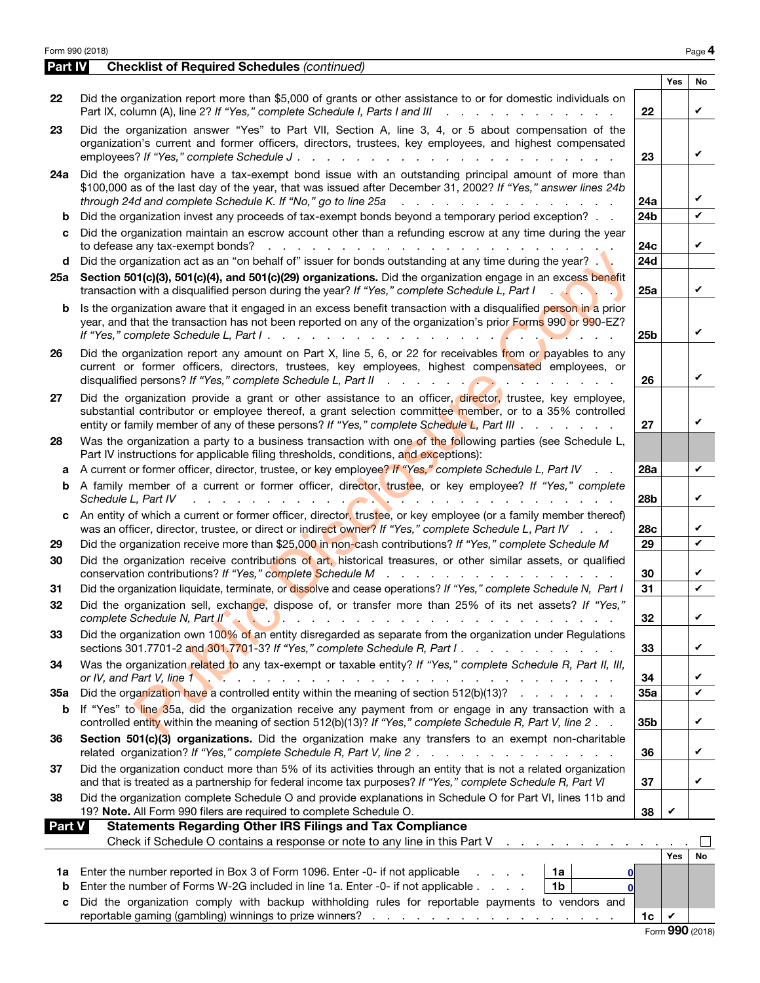|          | Form 990 (2018)                                                                                                                                                                                                                                                                                                                                                             |                 |            | Page 4 |
|----------|-----------------------------------------------------------------------------------------------------------------------------------------------------------------------------------------------------------------------------------------------------------------------------------------------------------------------------------------------------------------------------|-----------------|------------|--------|
| Part IV  | <b>Checklist of Required Schedules (continued)</b>                                                                                                                                                                                                                                                                                                                          |                 |            |        |
|          |                                                                                                                                                                                                                                                                                                                                                                             |                 | <b>Yes</b> | No     |
| 22       | Did the organization report more than \$5,000 of grants or other assistance to or for domestic individuals on<br>Part IX, column (A), line 2? If "Yes," complete Schedule I, Parts I and III<br>. L<br>and a state of the state of the                                                                                                                                      | 22              |            | V      |
| 23       | Did the organization answer "Yes" to Part VII, Section A, line 3, 4, or 5 about compensation of the<br>organization's current and former officers, directors, trustees, key employees, and highest compensated<br>employees? If "Yes," complete Schedule J.<br><b>Contract</b><br>$\sim$ $\sim$<br><b>Service</b> State<br>$\sim$ $\sim$ $\sim$ $\sim$ $\sim$               | 23              |            | ✓      |
| 24a      | Did the organization have a tax-exempt bond issue with an outstanding principal amount of more than<br>\$100,000 as of the last day of the year, that was issued after December 31, 2002? If "Yes," answer lines 24b<br>through 24d and complete Schedule K. If "No," go to line 25a<br>and the contract of the contract of the contract of                                 | 24a             |            | V      |
| b        | Did the organization invest any proceeds of tax-exempt bonds beyond a temporary period exception?                                                                                                                                                                                                                                                                           | 24b             |            | V      |
| c        | Did the organization maintain an escrow account other than a refunding escrow at any time during the year<br>to defease any tax-exempt bonds?<br>and a series of the contract of the contract of the contract of the contract of the contract of the contract of<br>Did the organization act as an "on behalf of" issuer for bonds outstanding at any time during the year? | 24c<br>24d      |            | V      |
| d<br>25a | Section 501(c)(3), 501(c)(4), and 501(c)(29) organizations. Did the organization engage in an excess benefit<br>transaction with a disqualified person during the year? If "Yes," complete Schedule L, Part I                                                                                                                                                               | 25a             |            | V      |
| b        | Is the organization aware that it engaged in an excess benefit transaction with a disqualified person in a prior<br>year, and that the transaction has not been reported on any of the organization's prior Forms 990 or 990-EZ?<br>If "Yes," complete Schedule L, Part I.                                                                                                  | 25b             |            | ✓      |
| 26       | Did the organization report any amount on Part X, line 5, 6, or 22 for receivables from or payables to any<br>current or former officers, directors, trustees, key employees, highest compensated employees, or<br>disqualified persons? If "Yes," complete Schedule L, Part II                                                                                             | 26              |            | ✓      |
| 27       | Did the organization provide a grant or other assistance to an officer, director, trustee, key employee,<br>substantial contributor or employee thereof, a grant selection committee member, or to a 35% controlled<br>entity or family member of any of these persons? If "Yes," complete Schedule L, Part III                                                             | 27              |            | ✓      |
| 28       | Was the organization a party to a business transaction with one of the following parties (see Schedule L,<br>Part IV instructions for applicable filing thresholds, conditions, and exceptions):                                                                                                                                                                            |                 |            |        |
| a        | A current or former officer, director, trustee, or key employee? If "Yes," complete Schedule L, Part IV<br>$\sim$ $\sim$                                                                                                                                                                                                                                                    | 28a             |            | V      |
| b        | A family member of a current or former officer, director, trustee, or key employee? If "Yes," complete<br>Schedule L, Part IV<br>. <b>.</b>                                                                                                                                                                                                                                 | 28b             |            | V      |
| c        | An entity of which a current or former officer, director, trustee, or key employee (or a family member thereof)<br>was an officer, director, trustee, or direct or indirect owner? If "Yes," complete Schedule L, Part IV                                                                                                                                                   | 28c             |            | V<br>V |
| 29       | Did the organization receive more than \$25,000 in non-cash contributions? If "Yes," complete Schedule M                                                                                                                                                                                                                                                                    | 29              |            |        |
| 30       | Did the organization receive contributions of art, historical treasures, or other similar assets, or qualified                                                                                                                                                                                                                                                              | 30              |            | V      |
| 31       | Did the organization liquidate, terminate, or dissolve and cease operations? If "Yes," complete Schedule N, Part I                                                                                                                                                                                                                                                          | 31              |            | V      |
| 32       | Did the organization sell, exchange, dispose of, or transfer more than 25% of its net assets? If "Yes,"<br>complete Schedule N, Part II and A and A and A and A and A and A and A and A and A and A and A and A and A and A                                                                                                                                                 | 32              |            | ✓      |
| 33       | Did the organization own 100% of an entity disregarded as separate from the organization under Regulations<br>sections 301.7701-2 and 301.7701-3? If "Yes," complete Schedule R, Part I. $\ldots$                                                                                                                                                                           | 33              |            | ✓      |
| 34       | Was the organization related to any tax-exempt or taxable entity? If "Yes," complete Schedule R, Part II, III,                                                                                                                                                                                                                                                              | 34              |            | V      |
| 35а      | Did the organization have a controlled entity within the meaning of section 512(b)(13)?                                                                                                                                                                                                                                                                                     | 35a             |            | V      |
| b        | If "Yes" to line 35a, did the organization receive any payment from or engage in any transaction with a<br>controlled entity within the meaning of section 512(b)(13)? If "Yes," complete Schedule R, Part V, line 2.                                                                                                                                                       | 35 <sub>b</sub> |            | V      |
| 36       | Section 501(c)(3) organizations. Did the organization make any transfers to an exempt non-charitable<br>related organization? If "Yes," complete Schedule R, Part V, line 2.                                                                                                                                                                                                | 36              |            | ✓      |
| 37       | Did the organization conduct more than 5% of its activities through an entity that is not a related organization<br>and that is treated as a partnership for federal income tax purposes? If "Yes," complete Schedule R, Part VI                                                                                                                                            | 37              |            | V      |
| 38       | Did the organization complete Schedule O and provide explanations in Schedule O for Part VI, lines 11b and<br>19? Note. All Form 990 filers are required to complete Schedule O.                                                                                                                                                                                            | 38              | V          |        |
| Part V   | <b>Statements Regarding Other IRS Filings and Tax Compliance</b>                                                                                                                                                                                                                                                                                                            |                 |            |        |
|          | Check if Schedule O contains a response or note to any line in this Part V<br>and a state of the state of the                                                                                                                                                                                                                                                               |                 |            |        |
| 1a       | Enter the number reported in Box 3 of Form 1096. Enter -0- if not applicable<br>1a<br>$1 - 1 - 1 = 1$<br>$\mathbf{0}$                                                                                                                                                                                                                                                       |                 | <b>Yes</b> | No     |
| b        | Enter the number of Forms W-2G included in line 1a. Enter -0- if not applicable<br>1 <sub>b</sub><br>$\mathbf 0$                                                                                                                                                                                                                                                            |                 |            |        |

c Did the organization comply with backup withholding rules for reportable payments to vendors and reportable gaming (gambling) winnings to prize winners? . . . . . . . . . . . . . . . . . 1c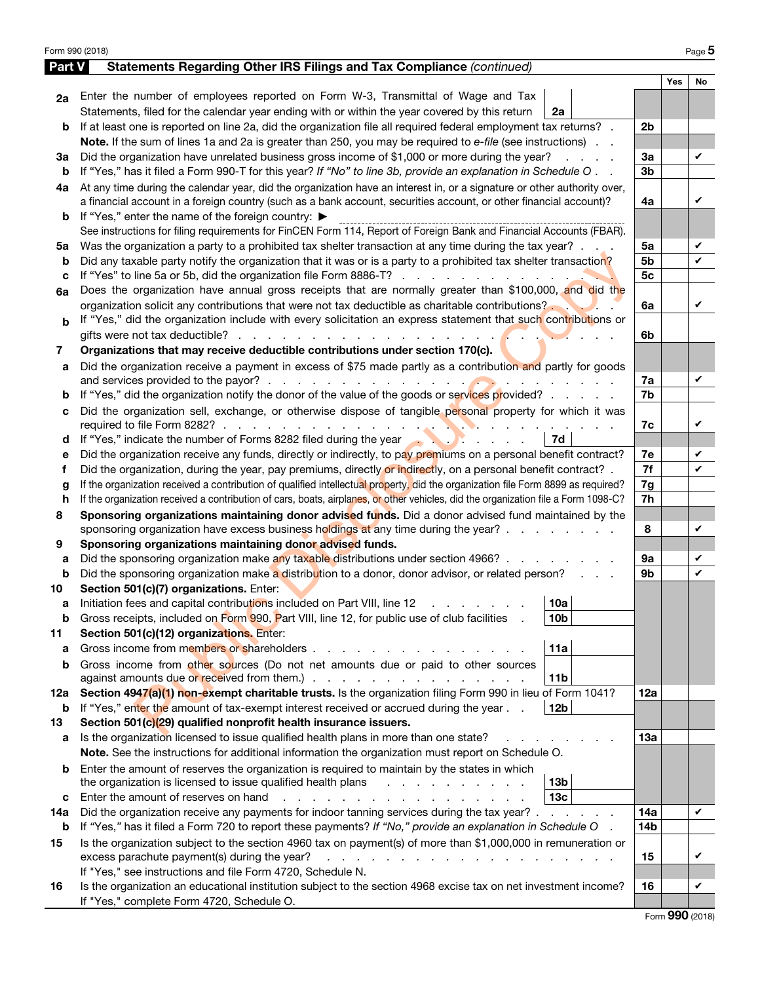| Form 990 (2018) |                                                                                                                                                                                                                                                                                                    |                |            | Page 5 |
|-----------------|----------------------------------------------------------------------------------------------------------------------------------------------------------------------------------------------------------------------------------------------------------------------------------------------------|----------------|------------|--------|
| Part V          | Statements Regarding Other IRS Filings and Tax Compliance (continued)                                                                                                                                                                                                                              |                |            |        |
|                 |                                                                                                                                                                                                                                                                                                    |                | <b>Yes</b> | No     |
| 2a              | Enter the number of employees reported on Form W-3, Transmittal of Wage and Tax                                                                                                                                                                                                                    |                |            |        |
|                 | Statements, filed for the calendar year ending with or within the year covered by this return<br>2a                                                                                                                                                                                                |                |            |        |
| b               | If at least one is reported on line 2a, did the organization file all required federal employment tax returns?                                                                                                                                                                                     | 2 <sub>b</sub> |            |        |
|                 | Note. If the sum of lines 1a and 2a is greater than 250, you may be required to e-file (see instructions).                                                                                                                                                                                         |                |            |        |
| За              | Did the organization have unrelated business gross income of \$1,000 or more during the year?<br>and a state                                                                                                                                                                                       | 3a             |            | V      |
| b               | If "Yes," has it filed a Form 990-T for this year? If "No" to line 3b, provide an explanation in Schedule O                                                                                                                                                                                        | 3b             |            |        |
| 4a              | At any time during the calendar year, did the organization have an interest in, or a signature or other authority over,                                                                                                                                                                            |                |            |        |
|                 | a financial account in a foreign country (such as a bank account, securities account, or other financial account)?                                                                                                                                                                                 | 4a             |            | V      |
| b               | If "Yes," enter the name of the foreign country: ▶                                                                                                                                                                                                                                                 |                |            |        |
|                 | See instructions for filing requirements for FinCEN Form 114, Report of Foreign Bank and Financial Accounts (FBAR).                                                                                                                                                                                |                |            |        |
| 5a              | Was the organization a party to a prohibited tax shelter transaction at any time during the tax year?                                                                                                                                                                                              | 5a             |            | V      |
| b               | Did any taxable party notify the organization that it was or is a party to a prohibited tax shelter transaction?                                                                                                                                                                                   | 5b             |            | V      |
| c               |                                                                                                                                                                                                                                                                                                    | 5 <sub>c</sub> |            |        |
| 6a              | Does the organization have annual gross receipts that are normally greater than \$100,000, and did the                                                                                                                                                                                             |                |            |        |
|                 | organization solicit any contributions that were not tax deductible as charitable contributions?                                                                                                                                                                                                   | 6a             |            | V      |
| b               | If "Yes," did the organization include with every solicitation an express statement that such contributions or                                                                                                                                                                                     |                |            |        |
|                 | gifts were not tax deductible?                                                                                                                                                                                                                                                                     | 6b             |            |        |
| 7               | Organizations that may receive deductible contributions under section 170(c).                                                                                                                                                                                                                      |                |            |        |
| a               | Did the organization receive a payment in excess of \$75 made partly as a contribution and partly for goods                                                                                                                                                                                        |                |            |        |
|                 |                                                                                                                                                                                                                                                                                                    | 7a             |            | V      |
| b               | If "Yes," did the organization notify the donor of the value of the goods or services provided?                                                                                                                                                                                                    | 7b             |            |        |
| с               | Did the organization sell, exchange, or otherwise dispose of tangible personal property for which it was                                                                                                                                                                                           |                |            |        |
|                 | required to file Form 8282? $\ldots$ $\ldots$ $\ldots$ $\ldots$ $\ldots$ $\ldots$ $\ldots$                                                                                                                                                                                                         | 7c             |            | V      |
| d               | If "Yes," indicate the number of Forms 8282 filed during the year and the vector of the state of Forms 8282 filed during the year<br>7d                                                                                                                                                            |                |            |        |
| е               | Did the organization receive any funds, directly or indirectly, to pay premiums on a personal benefit contract?                                                                                                                                                                                    | 7e             |            | V      |
| f               | Did the organization, during the year, pay premiums, directly or indirectly, on a personal benefit contract? .                                                                                                                                                                                     | 7f             |            | V      |
| g               | If the organization received a contribution of qualified intellectual property, did the organization file Form 8899 as required?                                                                                                                                                                   | 7g             |            |        |
| h               | If the organization received a contribution of cars, boats, airplanes, or other vehicles, did the organization file a Form 1098-C?                                                                                                                                                                 | 7h             |            |        |
| 8               | Sponsoring organizations maintaining donor advised funds. Did a donor advised fund maintained by the                                                                                                                                                                                               |                |            |        |
|                 | sponsoring organization have excess business holdings at any time during the year?                                                                                                                                                                                                                 | 8              |            | V      |
| 9               | Sponsoring organizations maintaining donor advised funds.                                                                                                                                                                                                                                          |                |            |        |
| а               | Did the sponsoring organization make any taxable distributions under section 4966?                                                                                                                                                                                                                 | <b>9a</b>      |            | V      |
| b               | Did the sponsoring organization make a distribution to a donor, donor advisor, or related person?                                                                                                                                                                                                  | 9b             |            | V      |
| 10              | Section 501(c)(7) organizations. Enter:                                                                                                                                                                                                                                                            |                |            |        |
|                 | 10a <br>Initiation fees and capital contributions included on Part VIII, line 12                                                                                                                                                                                                                   |                |            |        |
| b               | Gross receipts, included on Form 990, Part VIII, line 12, for public use of club facilities<br>10 <sub>b</sub>                                                                                                                                                                                     |                |            |        |
| 11              | Section 501(c)(12) organizations. Enter:                                                                                                                                                                                                                                                           |                |            |        |
| a               | Gross income from members or shareholders.<br>11a                                                                                                                                                                                                                                                  |                |            |        |
| b               | Gross income from other sources (Do not net amounts due or paid to other sources                                                                                                                                                                                                                   |                |            |        |
|                 | 11 <sub>b</sub><br>against amounts due or received from them.) .<br>and the contract of the contract of the contract of the contract of the contract of the contract of the contract of the contract of the contract of the contract of the contract of the contract of the contract of the contra |                |            |        |
| 12a             | Section 4947(a)(1) non-exempt charitable trusts. Is the organization filing Form 990 in lieu of Form 1041?                                                                                                                                                                                         | 12a            |            |        |
| b               | If "Yes," enter the amount of tax-exempt interest received or accrued during the year<br>12 <sub>b</sub>                                                                                                                                                                                           |                |            |        |
| 13              | Section 501(c)(29) qualified nonprofit health insurance issuers.                                                                                                                                                                                                                                   |                |            |        |
| а               | Is the organization licensed to issue qualified health plans in more than one state?                                                                                                                                                                                                               | 13a            |            |        |
|                 | Note. See the instructions for additional information the organization must report on Schedule O.                                                                                                                                                                                                  |                |            |        |
| b               | Enter the amount of reserves the organization is required to maintain by the states in which                                                                                                                                                                                                       |                |            |        |
|                 | 13 <sub>b</sub><br>the organization is licensed to issue qualified health plans<br>the control of the control of the<br>$\mathbf{L} = \mathbf{L}$                                                                                                                                                  |                |            |        |
| с               | 13 <sub>c</sub><br>Enter the amount of reserves on hand<br>.                                                                                                                                                                                                                                       |                |            |        |
| 14a             | Did the organization receive any payments for indoor tanning services during the tax year? .<br>the contract of the con-                                                                                                                                                                           | 14a            |            | V      |
| b               | If "Yes," has it filed a Form 720 to report these payments? If "No," provide an explanation in Schedule O                                                                                                                                                                                          | 14b            |            |        |
| 15              | Is the organization subject to the section 4960 tax on payment(s) of more than \$1,000,000 in remuneration or                                                                                                                                                                                      |                |            |        |
|                 | excess parachute payment(s) during the year?<br>the contract of the contract of the contract of the contract of the contract of the contract of the contract of                                                                                                                                    | 15             |            | V      |
|                 | If "Yes," see instructions and file Form 4720, Schedule N.                                                                                                                                                                                                                                         |                |            |        |
| 16              | Is the organization an educational institution subject to the section 4968 excise tax on net investment income?                                                                                                                                                                                    | 16             |            | V      |
|                 | If "Yes," complete Form 4720, Schedule O.                                                                                                                                                                                                                                                          |                |            |        |

|  |  | Form 990 (2018) |
|--|--|-----------------|
|--|--|-----------------|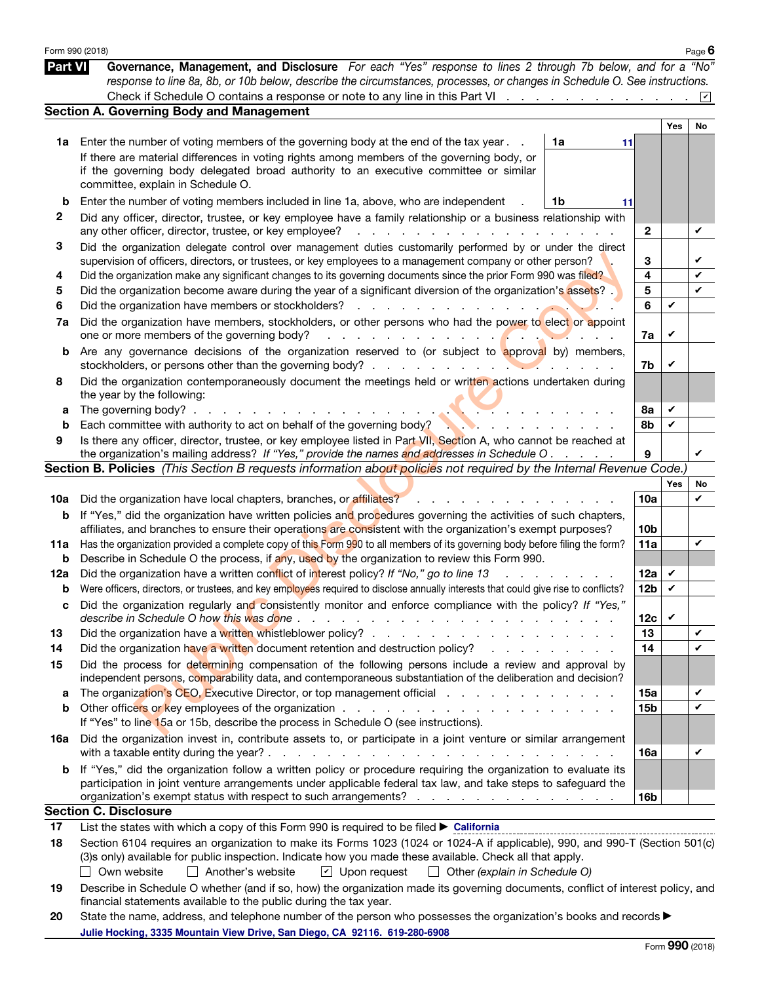|                | Form 990 (2018)                                                                                                                                                                                                                                                                                                                                                 |                                                                                                                 |                 |     | Page $6$        |
|----------------|-----------------------------------------------------------------------------------------------------------------------------------------------------------------------------------------------------------------------------------------------------------------------------------------------------------------------------------------------------------------|-----------------------------------------------------------------------------------------------------------------|-----------------|-----|-----------------|
| <b>Part VI</b> | Governance, Management, and Disclosure For each "Yes" response to lines 2 through 7b below, and for a "No"<br>response to line 8a, 8b, or 10b below, describe the circumstances, processes, or changes in Schedule O. See instructions.                                                                                                                         |                                                                                                                 |                 |     |                 |
|                | Check if Schedule O contains a response or note to any line in this Part VI                                                                                                                                                                                                                                                                                     |                                                                                                                 |                 |     | $ \mathcal{V} $ |
|                | <b>Section A. Governing Body and Management</b>                                                                                                                                                                                                                                                                                                                 |                                                                                                                 |                 |     |                 |
|                |                                                                                                                                                                                                                                                                                                                                                                 |                                                                                                                 |                 | Yes | No              |
| 1a             | Enter the number of voting members of the governing body at the end of the tax year.                                                                                                                                                                                                                                                                            | 1a<br>11                                                                                                        |                 |     |                 |
|                | If there are material differences in voting rights among members of the governing body, or<br>if the governing body delegated broad authority to an executive committee or similar<br>committee, explain in Schedule O.                                                                                                                                         |                                                                                                                 |                 |     |                 |
|                |                                                                                                                                                                                                                                                                                                                                                                 |                                                                                                                 |                 |     |                 |
| b              | Enter the number of voting members included in line 1a, above, who are independent                                                                                                                                                                                                                                                                              | 1b<br>11                                                                                                        |                 |     |                 |
| $\mathbf{2}$   | Did any officer, director, trustee, or key employee have a family relationship or a business relationship with<br>any other officer, director, trustee, or key employee?<br>and a straight and                                                                                                                                                                  |                                                                                                                 | $\mathbf{2}$    |     | V               |
| 3              | Did the organization delegate control over management duties customarily performed by or under the direct<br>supervision of officers, directors, or trustees, or key employees to a management company or other person?                                                                                                                                         |                                                                                                                 | 3               |     |                 |
| 4              | Did the organization make any significant changes to its governing documents since the prior Form 990 was filed?                                                                                                                                                                                                                                                |                                                                                                                 | 4               |     | V               |
| 5              | Did the organization become aware during the year of a significant diversion of the organization's assets?                                                                                                                                                                                                                                                      |                                                                                                                 | 5               |     | $\checkmark$    |
| 6              | Did the organization have members or stockholders?<br>and the state                                                                                                                                                                                                                                                                                             |                                                                                                                 | 6               | V   |                 |
| 7a             | Did the organization have members, stockholders, or other persons who had the power to elect or appoint<br>one or more members of the governing body?<br><u>.</u>                                                                                                                                                                                               |                                                                                                                 | 7a              | V   |                 |
| b              | Are any governance decisions of the organization reserved to (or subject to approval by) members,                                                                                                                                                                                                                                                               |                                                                                                                 | 7b              | V   |                 |
| 8              | Did the organization contemporaneously document the meetings held or written actions undertaken during<br>the year by the following:                                                                                                                                                                                                                            |                                                                                                                 |                 |     |                 |
| а              | The governing body? $\ldots$ .                                                                                                                                                                                                                                                                                                                                  |                                                                                                                 | 8а              | V   |                 |
| b              | Each committee with authority to act on behalf of the governing body?                                                                                                                                                                                                                                                                                           |                                                                                                                 | 8b              | V   |                 |
| 9              | Is there any officer, director, trustee, or key employee listed in Part VII, Section A, who cannot be reached at<br>the organization's mailing address? If "Yes," provide the names and addresses in Schedule O.                                                                                                                                                |                                                                                                                 | 9               |     | V               |
|                | Section B. Policies (This Section B requests information about policies not required by the Internal Revenue Code.)                                                                                                                                                                                                                                             |                                                                                                                 |                 |     |                 |
|                |                                                                                                                                                                                                                                                                                                                                                                 |                                                                                                                 |                 | Yes | No              |
| 10a            | Did the organization have local chapters, branches, or affiliates?                                                                                                                                                                                                                                                                                              |                                                                                                                 | 10a             |     | ✓               |
| b              | If "Yes," did the organization have written policies and procedures governing the activities of such chapters,<br>affiliates, and branches to ensure their operations are consistent with the organization's exempt purposes?                                                                                                                                   |                                                                                                                 | 10 <sub>b</sub> |     |                 |
| 11a            | Has the organization provided a complete copy of this Form 990 to all members of its governing body before filing the form?                                                                                                                                                                                                                                     |                                                                                                                 | 11a             |     | V               |
| b              | Describe in Schedule O the process, if any, used by the organization to review this Form 990.                                                                                                                                                                                                                                                                   |                                                                                                                 |                 |     |                 |
| 12a            | Did the organization have a written conflict of interest policy? If "No," go to line 13                                                                                                                                                                                                                                                                         |                                                                                                                 | 12a             | V   |                 |
| b              | Were officers, directors, or trustees, and key employees required to disclose annually interests that could give rise to conflicts?                                                                                                                                                                                                                             |                                                                                                                 | 12 <sub>b</sub> | V   |                 |
| с              | Did the organization regularly and consistently monitor and enforce compliance with the policy? If "Yes,                                                                                                                                                                                                                                                        |                                                                                                                 | 12c             | V   |                 |
| 13             |                                                                                                                                                                                                                                                                                                                                                                 |                                                                                                                 | 13              |     | V               |
| 14             | Did the organization have a written document retention and destruction policy?                                                                                                                                                                                                                                                                                  | the contract of the contract of the contract of the contract of the contract of the contract of the contract of | 14              |     | V               |
| 15             | Did the process for determining compensation of the following persons include a review and approval by<br>independent persons, comparability data, and contemporaneous substantiation of the deliberation and decision?                                                                                                                                         |                                                                                                                 |                 |     |                 |
| а              | The organization's CEO, Executive Director, or top management official                                                                                                                                                                                                                                                                                          |                                                                                                                 | 15a             |     | V               |
| b              |                                                                                                                                                                                                                                                                                                                                                                 |                                                                                                                 | <b>15b</b>      |     | $\checkmark$    |
|                | If "Yes" to line 15a or 15b, describe the process in Schedule O (see instructions).                                                                                                                                                                                                                                                                             |                                                                                                                 |                 |     |                 |
| 16a            | Did the organization invest in, contribute assets to, or participate in a joint venture or similar arrangement                                                                                                                                                                                                                                                  |                                                                                                                 | 16a             |     | V               |
| b              | If "Yes," did the organization follow a written policy or procedure requiring the organization to evaluate its<br>participation in joint venture arrangements under applicable federal tax law, and take steps to safeguard the                                                                                                                                 |                                                                                                                 |                 |     |                 |
|                | organization's exempt status with respect to such arrangements?                                                                                                                                                                                                                                                                                                 |                                                                                                                 | 16 <sub>b</sub> |     |                 |
|                | <b>Section C. Disclosure</b>                                                                                                                                                                                                                                                                                                                                    |                                                                                                                 |                 |     |                 |
| 17             | List the states with which a copy of this Form 990 is required to be filed ► California                                                                                                                                                                                                                                                                         |                                                                                                                 |                 |     |                 |
| 18             | Section 6104 requires an organization to make its Forms 1023 (1024 or 1024-A if applicable), 990, and 990-T (Section 501(c)<br>(3)s only) available for public inspection. Indicate how you made these available. Check all that apply.<br>$\Box$ Another's website<br>$\boxed{\mathbf{v}}$ Upon request<br>Own website<br>$\Box$ Other (explain in Schedule O) |                                                                                                                 |                 |     |                 |
| 19             | Describe in Schedule O whether (and if so, how) the organization made its governing documents, conflict of interest policy, and<br>financial statements available to the public during the tax year.                                                                                                                                                            |                                                                                                                 |                 |     |                 |
| 20             | State the name, address, and telephone number of the person who possesses the organization's books and records $\blacktriangleright$                                                                                                                                                                                                                            |                                                                                                                 |                 |     |                 |

**Julie Hocking, 3335 Mountain View Drive, San Diego, CA 92116. 619-280-6908**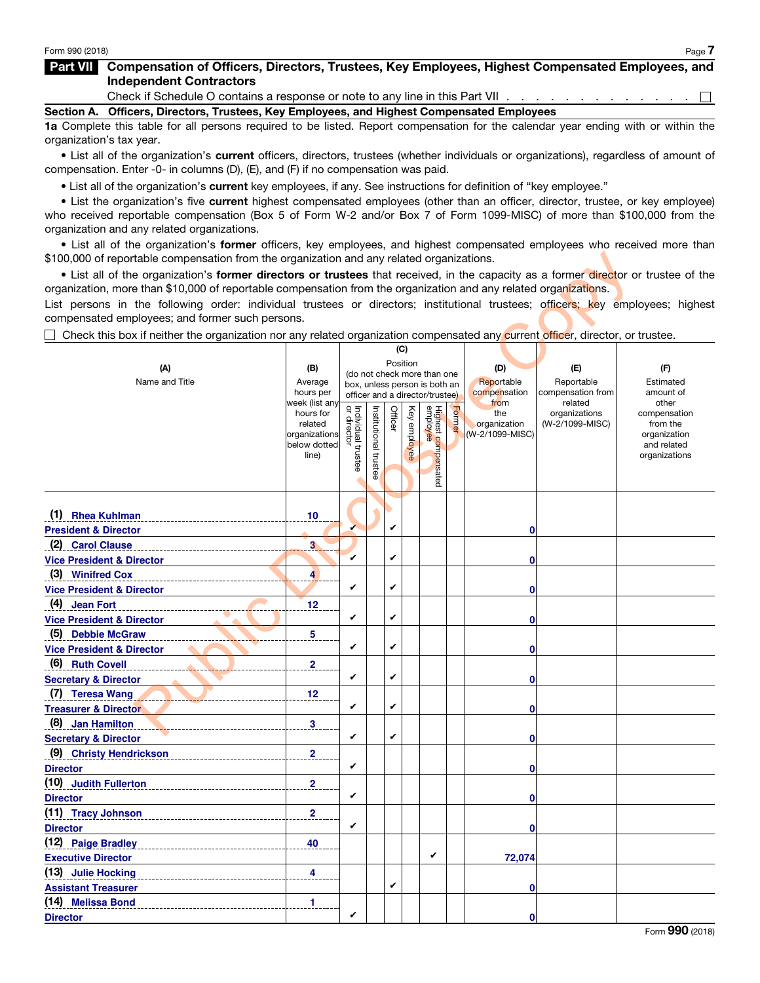#### Part VII Compensation of Officers, Directors, Trustees, Key Employees, Highest Compensated Employees, and Independent Contractors

Check if Schedule O contains a response or note to any line in this Part VII . . . . . . . . . . . . . .  $\Box$ 

Section A. Officers, Directors, Trustees, Key Employees, and Highest Compensated Employees

1a Complete this table for all persons required to be listed. Report compensation for the calendar year ending with or within the organization's tax year.

• List all of the organization's current officers, directors, trustees (whether individuals or organizations), regardless of amount of compensation. Enter -0- in columns (D), (E), and (F) if no compensation was paid.

• List all of the organization's current key employees, if any. See instructions for definition of "key employee."

• List the organization's five current highest compensated employees (other than an officer, director, trustee, or key employee) who received reportable compensation (Box 5 of Form W-2 and/or Box 7 of Form 1099-MISC) of more than \$100,000 from the organization and any related organizations.

• List all of the organization's former officers, key employees, and highest compensated employees who received more than \$100,000 of reportable compensation from the organization and any related organizations.

| \$100,000 of reportable compensation from the organization and any related organizations.                                           |                               |                                   |                       |          |              |                                                              |        |                 |                          |                             |  |
|-------------------------------------------------------------------------------------------------------------------------------------|-------------------------------|-----------------------------------|-----------------------|----------|--------------|--------------------------------------------------------------|--------|-----------------|--------------------------|-----------------------------|--|
| . List all of the organization's former directors or trustees that received, in the capacity as a former director or trustee of the |                               |                                   |                       |          |              |                                                              |        |                 |                          |                             |  |
| organization, more than \$10,000 of reportable compensation from the organization and any related organizations.                    |                               |                                   |                       |          |              |                                                              |        |                 |                          |                             |  |
| List persons in the following order: individual trustees or directors; institutional trustees; officers; key employees; highest     |                               |                                   |                       |          |              |                                                              |        |                 |                          |                             |  |
| compensated employees; and former such persons.                                                                                     |                               |                                   |                       |          |              |                                                              |        |                 |                          |                             |  |
| □ Check this box if neither the organization nor any related organization compensated any current officer, director, or trustee.    |                               |                                   |                       |          |              |                                                              |        |                 |                          |                             |  |
|                                                                                                                                     |                               |                                   |                       | (C)      |              |                                                              |        |                 |                          |                             |  |
| (A)                                                                                                                                 | (B)                           |                                   |                       | Position |              |                                                              |        | (D)             | (E)                      | (F)                         |  |
| Name and Title                                                                                                                      | Average                       |                                   |                       |          |              | (do not check more than one<br>box, unless person is both an |        | Reportable      | Reportable               | Estimated                   |  |
|                                                                                                                                     | hours per                     |                                   |                       |          |              | officer and a director/trustee)                              |        | compensation    | compensation from        | amount of                   |  |
|                                                                                                                                     | week (list any<br>hours for   |                                   |                       |          |              |                                                              |        | from<br>the     | related<br>organizations | other<br>compensation       |  |
|                                                                                                                                     | related                       |                                   |                       | Officer  | Key employee |                                                              | Former | organization    | (W-2/1099-MISC)          | from the                    |  |
|                                                                                                                                     | organizations<br>below dotted |                                   |                       |          |              |                                                              |        | (W-2/1099-MISC) |                          | organization<br>and related |  |
|                                                                                                                                     | line)                         | Individual trustee<br>or director |                       |          |              |                                                              |        |                 |                          | organizations               |  |
|                                                                                                                                     |                               |                                   | Institutional trustee |          |              | Highest compensated<br>employee                              |        |                 |                          |                             |  |
|                                                                                                                                     |                               |                                   |                       |          |              |                                                              |        |                 |                          |                             |  |
|                                                                                                                                     |                               |                                   |                       |          |              |                                                              |        |                 |                          |                             |  |
| (1) Rhea Kuhlman                                                                                                                    | 10                            |                                   |                       |          |              |                                                              |        |                 |                          |                             |  |
| <b>President &amp; Director</b>                                                                                                     |                               |                                   |                       | V        |              |                                                              |        | 0               |                          |                             |  |
| (2) Carol Clause                                                                                                                    | 3 <sub>o</sub>                |                                   |                       |          |              |                                                              |        |                 |                          |                             |  |
| <b>Vice President &amp; Director</b>                                                                                                |                               | V                                 |                       | V        |              |                                                              |        | 0               |                          |                             |  |
| (3) Winifred Cox                                                                                                                    | $\overline{\mathbf{4}}$       |                                   |                       |          |              |                                                              |        |                 |                          |                             |  |
| <b>Vice President &amp; Director</b>                                                                                                |                               | V                                 |                       | V        |              |                                                              |        | 0               |                          |                             |  |
| (4) Jean Fort                                                                                                                       | 12                            |                                   |                       |          |              |                                                              |        |                 |                          |                             |  |
| <b>Vice President &amp; Director</b>                                                                                                |                               | V                                 |                       | V        |              |                                                              |        | 0               |                          |                             |  |
| (5) Debbie McGraw                                                                                                                   | 5                             |                                   |                       |          |              |                                                              |        |                 |                          |                             |  |
| <b>Vice President &amp; Director</b>                                                                                                |                               | V                                 |                       | V        |              |                                                              |        | 0               |                          |                             |  |
| (6) Ruth Covell                                                                                                                     | $\overline{\mathbf{2}}$       |                                   |                       |          |              |                                                              |        |                 |                          |                             |  |
| <b>Secretary &amp; Director</b>                                                                                                     |                               | V                                 |                       | V        |              |                                                              |        | 0               |                          |                             |  |
| (7) Teresa Wang                                                                                                                     | 12                            |                                   |                       |          |              |                                                              |        |                 |                          |                             |  |
| <b>Treasurer &amp; Director</b>                                                                                                     |                               | V                                 |                       | V        |              |                                                              |        | 0               |                          |                             |  |
| (8) Jan Hamilton                                                                                                                    | $\overline{\mathbf{3}}$       |                                   |                       |          |              |                                                              |        |                 |                          |                             |  |
| <b>Secretary &amp; Director</b>                                                                                                     |                               | V                                 |                       | V        |              |                                                              |        | 0               |                          |                             |  |
| (9) Christy Hendrickson                                                                                                             | $\overline{\mathbf{2}}$       |                                   |                       |          |              |                                                              |        |                 |                          |                             |  |
| <b>Director</b>                                                                                                                     |                               | V                                 |                       |          |              |                                                              |        | 0               |                          |                             |  |
| (10) Judith Fullerton                                                                                                               | $\overline{\mathbf{2}}$       |                                   |                       |          |              |                                                              |        |                 |                          |                             |  |
| <b>Director</b>                                                                                                                     |                               | V                                 |                       |          |              |                                                              |        | $\mathbf{0}$    |                          |                             |  |
| (11) Tracy Johnson                                                                                                                  | $\overline{2}$                |                                   |                       |          |              |                                                              |        |                 |                          |                             |  |
| <b>Director</b>                                                                                                                     |                               | V                                 |                       |          |              |                                                              |        | 0               |                          |                             |  |
| (12) Paige Bradley                                                                                                                  | 40                            |                                   |                       |          |              |                                                              |        |                 |                          |                             |  |
| <b>Executive Director</b>                                                                                                           |                               |                                   |                       |          |              | V                                                            |        | 72,074          |                          |                             |  |
| (13) Julie Hocking                                                                                                                  | $\overline{4}$                |                                   |                       |          |              |                                                              |        |                 |                          |                             |  |
| <b>Assistant Treasurer</b>                                                                                                          |                               |                                   |                       | V        |              |                                                              |        | 0               |                          |                             |  |
| (14) Melissa Bond                                                                                                                   | 1                             |                                   |                       |          |              |                                                              |        |                 |                          |                             |  |
| <b>Director</b>                                                                                                                     |                               | V                                 |                       |          |              |                                                              |        | $\mathbf{0}$    |                          |                             |  |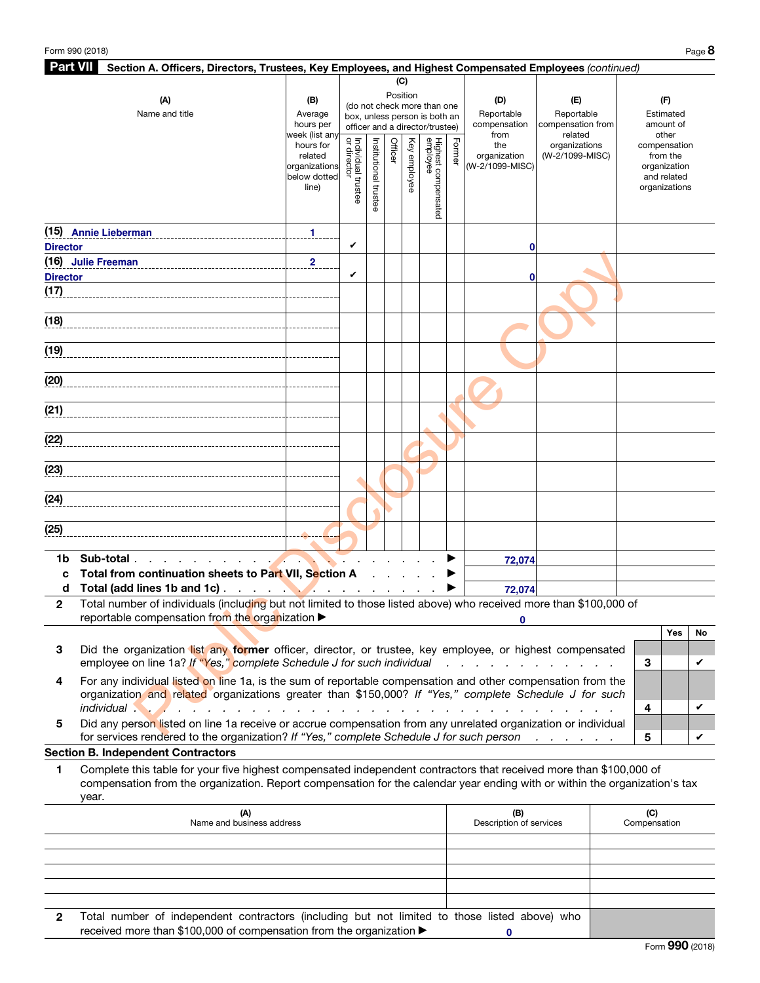| <b>Part VII</b><br>Section A. Officers, Directors, Trustees, Key Employees, and Highest Compensated Employees (continued) |                                                                                                                                                                                                                      |                               |                                |               |         |              |                                 |        |                                                                                                                       |                              |  |              |                             |    |
|---------------------------------------------------------------------------------------------------------------------------|----------------------------------------------------------------------------------------------------------------------------------------------------------------------------------------------------------------------|-------------------------------|--------------------------------|---------------|---------|--------------|---------------------------------|--------|-----------------------------------------------------------------------------------------------------------------------|------------------------------|--|--------------|-----------------------------|----|
|                                                                                                                           |                                                                                                                                                                                                                      |                               |                                |               |         | (C)          |                                 |        |                                                                                                                       |                              |  |              |                             |    |
|                                                                                                                           | (A)                                                                                                                                                                                                                  | (B)                           |                                |               |         | Position     | (do not check more than one     |        | (D)                                                                                                                   | (E)                          |  |              | (F)                         |    |
|                                                                                                                           | Name and title                                                                                                                                                                                                       | Average                       |                                |               |         |              | box, unless person is both an   |        | Reportable                                                                                                            | Reportable                   |  |              | Estimated                   |    |
|                                                                                                                           |                                                                                                                                                                                                                      | hours per<br>week (list any   |                                |               |         |              | officer and a director/trustee) |        | compensation<br>from                                                                                                  | compensation from<br>related |  |              | amount of<br>other          |    |
|                                                                                                                           |                                                                                                                                                                                                                      | hours for                     | ă<br>Individual<br>or director |               | Officer |              |                                 |        | the                                                                                                                   | organizations                |  | compensation |                             |    |
|                                                                                                                           |                                                                                                                                                                                                                      | related                       |                                |               |         |              |                                 | Former | organization                                                                                                          | (W-2/1099-MISC)              |  |              | from the                    |    |
|                                                                                                                           |                                                                                                                                                                                                                      | organizations<br>below dotted |                                | Institutional |         | Key employee |                                 |        | (W-2/1099-MISC)                                                                                                       |                              |  |              | organization<br>and related |    |
|                                                                                                                           |                                                                                                                                                                                                                      | line)                         | trustee                        |               |         |              | Highest compensated<br>employee |        |                                                                                                                       |                              |  |              | organizations               |    |
|                                                                                                                           |                                                                                                                                                                                                                      |                               |                                | trustee       |         |              |                                 |        |                                                                                                                       |                              |  |              |                             |    |
|                                                                                                                           |                                                                                                                                                                                                                      |                               |                                |               |         |              |                                 |        |                                                                                                                       |                              |  |              |                             |    |
|                                                                                                                           | (15) Annie Lieberman                                                                                                                                                                                                 | 1                             |                                |               |         |              |                                 |        |                                                                                                                       |                              |  |              |                             |    |
| <b>Director</b>                                                                                                           |                                                                                                                                                                                                                      |                               | V                              |               |         |              |                                 |        | 0                                                                                                                     |                              |  |              |                             |    |
|                                                                                                                           | (16) Julie Freeman<br>__________________________________                                                                                                                                                             | $\overline{\mathbf{2}}$       |                                |               |         |              |                                 |        |                                                                                                                       |                              |  |              |                             |    |
| <b>Director</b>                                                                                                           |                                                                                                                                                                                                                      |                               | V                              |               |         |              |                                 |        | 0                                                                                                                     |                              |  |              |                             |    |
| (17)                                                                                                                      |                                                                                                                                                                                                                      |                               |                                |               |         |              |                                 |        |                                                                                                                       |                              |  |              |                             |    |
|                                                                                                                           |                                                                                                                                                                                                                      |                               |                                |               |         |              |                                 |        |                                                                                                                       |                              |  |              |                             |    |
| (18)                                                                                                                      |                                                                                                                                                                                                                      |                               |                                |               |         |              |                                 |        |                                                                                                                       |                              |  |              |                             |    |
|                                                                                                                           |                                                                                                                                                                                                                      |                               |                                |               |         |              |                                 |        |                                                                                                                       |                              |  |              |                             |    |
| (19)                                                                                                                      |                                                                                                                                                                                                                      |                               |                                |               |         |              |                                 |        |                                                                                                                       |                              |  |              |                             |    |
|                                                                                                                           |                                                                                                                                                                                                                      |                               |                                |               |         |              |                                 |        |                                                                                                                       |                              |  |              |                             |    |
| (20)                                                                                                                      |                                                                                                                                                                                                                      |                               |                                |               |         |              |                                 |        |                                                                                                                       |                              |  |              |                             |    |
|                                                                                                                           |                                                                                                                                                                                                                      |                               |                                |               |         |              |                                 |        |                                                                                                                       |                              |  |              |                             |    |
| (21)                                                                                                                      |                                                                                                                                                                                                                      |                               |                                |               |         |              |                                 |        |                                                                                                                       |                              |  |              |                             |    |
|                                                                                                                           |                                                                                                                                                                                                                      |                               |                                |               |         |              |                                 |        |                                                                                                                       |                              |  |              |                             |    |
| (22)                                                                                                                      |                                                                                                                                                                                                                      |                               |                                |               |         |              |                                 |        |                                                                                                                       |                              |  |              |                             |    |
|                                                                                                                           |                                                                                                                                                                                                                      |                               |                                |               |         |              |                                 |        |                                                                                                                       |                              |  |              |                             |    |
| (23)                                                                                                                      |                                                                                                                                                                                                                      |                               |                                |               |         |              |                                 |        |                                                                                                                       |                              |  |              |                             |    |
|                                                                                                                           |                                                                                                                                                                                                                      |                               |                                |               |         |              |                                 |        |                                                                                                                       |                              |  |              |                             |    |
| (24)                                                                                                                      |                                                                                                                                                                                                                      |                               |                                |               |         |              |                                 |        |                                                                                                                       |                              |  |              |                             |    |
|                                                                                                                           |                                                                                                                                                                                                                      |                               |                                |               |         |              |                                 |        |                                                                                                                       |                              |  |              |                             |    |
| (25)                                                                                                                      |                                                                                                                                                                                                                      |                               |                                |               |         |              |                                 |        |                                                                                                                       |                              |  |              |                             |    |
|                                                                                                                           |                                                                                                                                                                                                                      |                               |                                |               |         |              |                                 |        |                                                                                                                       |                              |  |              |                             |    |
| 1b                                                                                                                        | Sub-total<br>Total from continuation sheets to Part VII, Section A                                                                                                                                                   |                               |                                |               |         |              |                                 |        | 72,074                                                                                                                |                              |  |              |                             |    |
| C<br>d                                                                                                                    | Total (add lines 1b and 1c)                                                                                                                                                                                          |                               |                                |               |         |              |                                 |        |                                                                                                                       |                              |  |              |                             |    |
|                                                                                                                           | Total number of individuals (including but not limited to those listed above) who received more than \$100,000 of                                                                                                    |                               |                                |               |         |              |                                 |        | 72,074                                                                                                                |                              |  |              |                             |    |
| $\mathbf{2}$                                                                                                              | reportable compensation from the organization ▶                                                                                                                                                                      |                               |                                |               |         |              |                                 |        |                                                                                                                       |                              |  |              |                             |    |
|                                                                                                                           |                                                                                                                                                                                                                      |                               |                                |               |         |              |                                 |        |                                                                                                                       |                              |  |              | Yes                         | No |
|                                                                                                                           |                                                                                                                                                                                                                      |                               |                                |               |         |              |                                 |        |                                                                                                                       |                              |  |              |                             |    |
| 3                                                                                                                         | Did the organization list any former officer, director, or trustee, key employee, or highest compensated<br>employee on line 1a? If "Yes," complete Schedule J for such individual                                   |                               |                                |               |         |              |                                 |        | $\mathbf{r}$ , $\mathbf{r}$ , $\mathbf{r}$ , $\mathbf{r}$ , $\mathbf{r}$ , $\mathbf{r}$ , $\mathbf{r}$ , $\mathbf{r}$ |                              |  | 3            |                             | V  |
|                                                                                                                           |                                                                                                                                                                                                                      |                               |                                |               |         |              |                                 |        |                                                                                                                       |                              |  |              |                             |    |
| 4                                                                                                                         | For any individual listed on line 1a, is the sum of reportable compensation and other compensation from the<br>organization and related organizations greater than \$150,000? If "Yes," complete Schedule J for such |                               |                                |               |         |              |                                 |        |                                                                                                                       |                              |  |              |                             |    |
|                                                                                                                           | <i>individual</i>                                                                                                                                                                                                    |                               |                                |               |         |              |                                 |        |                                                                                                                       |                              |  | 4            |                             | V  |
| 5                                                                                                                         | Did any person listed on line 1a receive or accrue compensation from any unrelated organization or individual                                                                                                        |                               |                                |               |         |              |                                 |        |                                                                                                                       |                              |  |              |                             |    |
|                                                                                                                           | for services rendered to the organization? If "Yes," complete Schedule J for such person                                                                                                                             |                               |                                |               |         |              |                                 |        |                                                                                                                       |                              |  | 5            |                             | V  |
|                                                                                                                           | <b>Section B. Independent Contractors</b>                                                                                                                                                                            |                               |                                |               |         |              |                                 |        |                                                                                                                       |                              |  |              |                             |    |
| 1                                                                                                                         | Complete this table for your five highest compensated independent contractors that received more than \$100,000 of                                                                                                   |                               |                                |               |         |              |                                 |        |                                                                                                                       |                              |  |              |                             |    |
|                                                                                                                           | compensation from the organization. Report compensation for the calendar year ending with or within the organization's tax                                                                                           |                               |                                |               |         |              |                                 |        |                                                                                                                       |                              |  |              |                             |    |
|                                                                                                                           | year.                                                                                                                                                                                                                |                               |                                |               |         |              |                                 |        |                                                                                                                       |                              |  |              |                             |    |
|                                                                                                                           | (A)                                                                                                                                                                                                                  |                               |                                |               |         |              |                                 |        | (B)                                                                                                                   |                              |  | (C)          |                             |    |
|                                                                                                                           | Name and business address                                                                                                                                                                                            |                               |                                |               |         |              |                                 |        | Description of services                                                                                               |                              |  | Compensation |                             |    |
|                                                                                                                           |                                                                                                                                                                                                                      |                               |                                |               |         |              |                                 |        |                                                                                                                       |                              |  |              |                             |    |

|   | (A)<br>Name and business address                                                              | (B)<br>Description of services | (C)<br>Compensation |
|---|-----------------------------------------------------------------------------------------------|--------------------------------|---------------------|
|   |                                                                                               |                                |                     |
|   |                                                                                               |                                |                     |
|   |                                                                                               |                                |                     |
|   |                                                                                               |                                |                     |
|   |                                                                                               |                                |                     |
| 2 | Total number of independent contractors (including but not limited to those listed above) who |                                |                     |
|   | received more than \$100,000 of compensation from the organization ▶                          |                                |                     |

Form 990 (2018)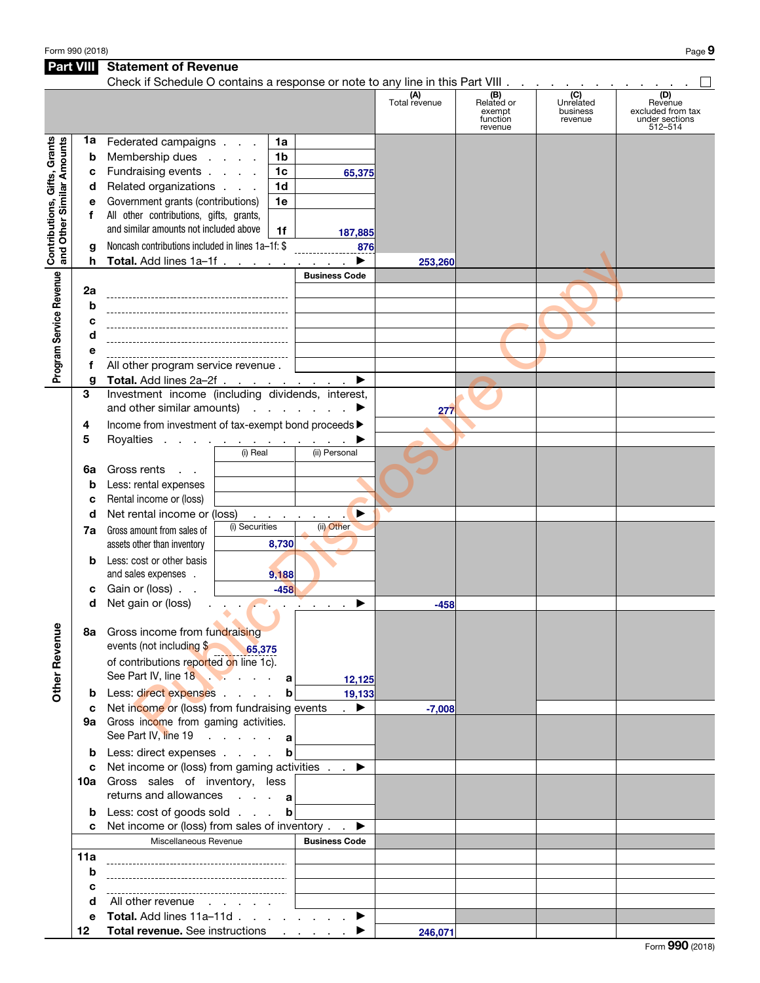Form 990 (2018) Page  $9$ 

Part VIII Statement of Revenue

#### Check if Schedule O contains a response or note to any line in this Part VIII .  $\ldots$  . . . . . . . . . . .  $\Box$ (D) **(A)**<br>Total revenue (B) Related or (C) Unrelated business Revenue excluded from tax exempt function revenue under sections revenue 512–514 Contributions, Gifts, Grants **Contributions, Gifts, Grants**<br>and Other Similar Amounts 1a Federated campaigns  $\therefore$  1a and Other Similar Amounts **b** Membership dues . . . . 1b c Fundraising events  $\ldots$  .  $\vert$  1c **65,375 d** Related organizations  $\therefore$   $\therefore$  1**d** e Government grants (contributions) 1e f All other contributions, gifts, grants, and similar amounts not included above  $\parallel$  1f **187,885** g Noncash contributions included in lines 1a–1f: \$ **876** Continues 1a-11<br>
Public Disclosure Copyright Continues Code<br>
Public Disclosure Copyright Continues Code<br>
Microsoft Copyright Continues Continues Continues Continues Continues Continues Continues Continues Continues Continu **h** Total. Add lines  $1a-1f$  . . . . . . . .  $\blacktriangleright$ **253,260** Program Service Revenue Business Code Program Service Revenue 2a b c d e f All other program service revenue . g Total. Add lines  $2a-2f$  . . . . <u>. . . .</u> ▶ 3 Investment income (including dividends, interest, and other similar amounts)  $\ldots$  . . . .  $\blacktriangleright$ **277** 4 Income from investment of tax-exempt bond proceeds ▶ 5 Royalties . . . . . . . . . . . . . ▶ <br>
5 © ii) Real
(ii) Personal (ii) Personal 6a Gross rents . . **b** Less: rental expenses c Rental income or (loss) d Net rental income or (loss) . . . . . . . ▶ (i) Securities **7a** Gross amount from sales of assets other than inventory **8,730 b** Less: cost or other basis and sales expenses . **9,188** c Gain or (loss) . . **-458** d Net gain or (loss)  $\blacksquare$  . . . . . . .  $\blacktriangleright$ **-458 Other Revenue** Other Revenue 8a Gross income from fundraising events (not including \$ **65,375** of contributions reported on line 1c). See Part IV, line 18 . . . . . . . . a **12,125 b** Less: direct expenses . . . . **b 19,133** c Net income or (loss) from fundraising events . ▶ **-7,008** 9a Gross income from gaming activities. See Part IV, line 19 . . . . . a **b** Less: direct expenses . . . . **b** c Net income or (loss) from gaming activities  $\ldots$ 10a Gross sales of inventory, less returns and allowances . . . **a b** Less: cost of goods sold . . . **b** c Net income or (loss) from sales of inventory .  $\qquad \blacktriangleright$ Miscellaneous Revenue **Business Code** 11a b c d All other revenue . . . . . e Total. Add lines 11a–11d  $\ldots$  . . . . . ▶ 12 Total revenue. See instructions . . . . ▶ **246,071**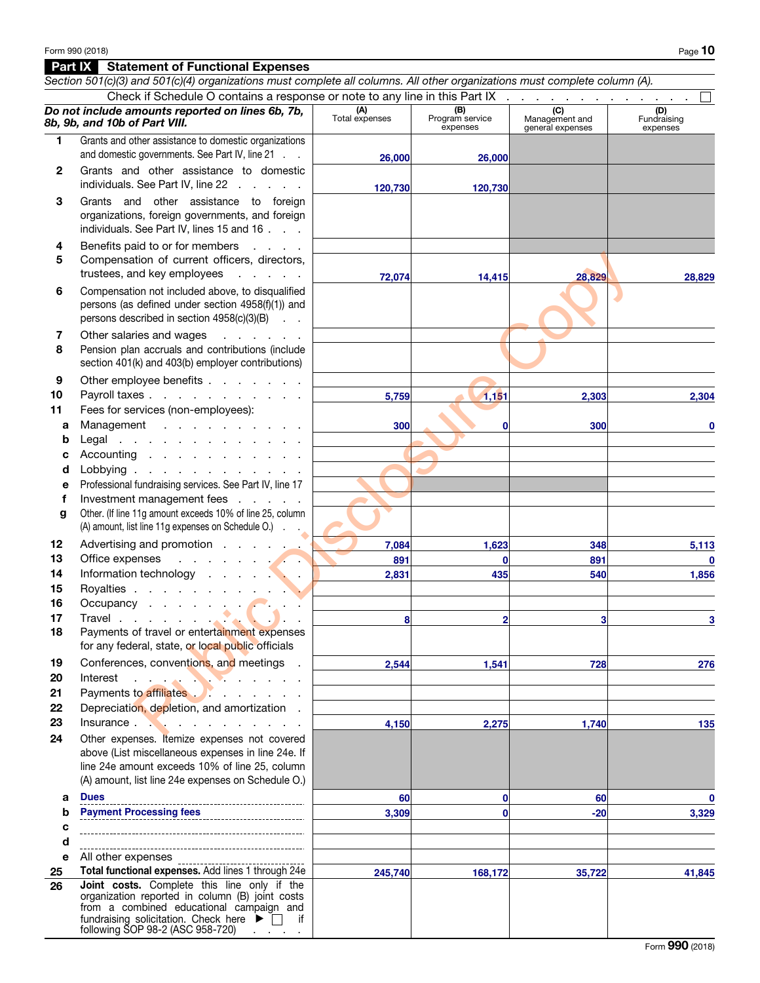|              | Section 501(c)(3) and 501(c)(4) organizations must complete all columns. All other organizations must complete column (A).                                                                                                                                    |                       |                                    |                                           |                                |
|--------------|---------------------------------------------------------------------------------------------------------------------------------------------------------------------------------------------------------------------------------------------------------------|-----------------------|------------------------------------|-------------------------------------------|--------------------------------|
|              | Check if Schedule O contains a response or note to any line in this Part IX                                                                                                                                                                                   |                       |                                    |                                           |                                |
|              | Do not include amounts reported on lines 6b, 7b,<br>8b, 9b, and 10b of Part VIII.                                                                                                                                                                             | (A)<br>Total expenses | (B)<br>Program service<br>expenses | (C)<br>Management and<br>general expenses | (D)<br>Fundraising<br>expenses |
| 1.           | Grants and other assistance to domestic organizations                                                                                                                                                                                                         |                       |                                    |                                           |                                |
|              | and domestic governments. See Part IV, line 21                                                                                                                                                                                                                | 26,000                | 26,000                             |                                           |                                |
| $\mathbf{2}$ | Grants and other assistance to domestic<br>individuals. See Part IV, line 22                                                                                                                                                                                  | 120,730               | 120,730                            |                                           |                                |
| 3            | Grants and other assistance to foreign<br>organizations, foreign governments, and foreign<br>individuals. See Part IV, lines 15 and 16                                                                                                                        |                       |                                    |                                           |                                |
| 4<br>5       | Benefits paid to or for members<br>$\Delta \sim 10^{11}$ and $\Delta \sim 10^{11}$<br>Compensation of current officers, directors,<br>trustees, and key employees<br>and the company of the                                                                   | 72,074                | 14,415                             | 28,829                                    | 28,829                         |
| 6            | Compensation not included above, to disqualified<br>persons (as defined under section 4958(f)(1)) and<br>persons described in section 4958(c)(3)(B)<br><b>Contract</b>                                                                                        |                       |                                    |                                           |                                |
| 7<br>8       | Other salaries and wages<br>and a state of the state<br>Pension plan accruals and contributions (include<br>section 401(k) and 403(b) employer contributions)                                                                                                 |                       |                                    |                                           |                                |
| 9            | Other employee benefits                                                                                                                                                                                                                                       |                       |                                    |                                           |                                |
| 10           | Payroll taxes                                                                                                                                                                                                                                                 | 5,759                 | 1,151                              | 2,303                                     | 2,304                          |
| 11<br>a      | Fees for services (non-employees):<br>Management                                                                                                                                                                                                              | 300                   | 0                                  | 300                                       |                                |
| b            | Legal                                                                                                                                                                                                                                                         |                       |                                    |                                           |                                |
| с            | Accounting                                                                                                                                                                                                                                                    |                       |                                    |                                           |                                |
| d            | Lobbying $\ldots$ $\ldots$ $\ldots$ $\ldots$ $\ldots$                                                                                                                                                                                                         |                       |                                    |                                           |                                |
| е            | Professional fundraising services. See Part IV, line 17                                                                                                                                                                                                       |                       |                                    |                                           |                                |
| f<br>g       | Investment management fees<br>Other. (If line 11g amount exceeds 10% of line 25, column<br>(A) amount, list line 11g expenses on Schedule O.)                                                                                                                 |                       |                                    |                                           |                                |
| 12           | Advertising and promotion                                                                                                                                                                                                                                     | 7,084                 | 1,623                              | 348                                       | 5,113                          |
| 13           | Office expenses<br><b><i>Contract Contract Contract Contract Contract Contract Contract Contract Contract Contract Contract Contract Contract Contract Contract Contract Contract Contract Contract Contract Contract Contract Contract Contract Cont</i></b> | 891                   | $\mathbf{0}$                       | 891                                       | $\Omega$                       |
| 14           | Information technology                                                                                                                                                                                                                                        | 2,831                 | 435                                | 540                                       | 1,856                          |
| 15           | Royalties                                                                                                                                                                                                                                                     |                       |                                    |                                           |                                |
| 16           | Occupancy $\cdots$ $\cdots$                                                                                                                                                                                                                                   |                       |                                    |                                           |                                |
| 17           |                                                                                                                                                                                                                                                               | 8                     | $\overline{2}$                     | 3                                         | 3                              |
| 18           | Payments of travel or entertainment expenses<br>for any federal, state, or local public officials                                                                                                                                                             |                       |                                    |                                           |                                |
| 19           | Conferences, conventions, and meetings .                                                                                                                                                                                                                      | 2,544                 | 1,541                              | 728                                       | 276                            |
| 20           | Interest<br><b>CONTRACTOR</b>                                                                                                                                                                                                                                 |                       |                                    |                                           |                                |
| 21           | Payments to affiliates <b>Fig. 2.1.</b> All contracts and the Payments of a filler                                                                                                                                                                            |                       |                                    |                                           |                                |
| 22<br>23     | Depreciation, depletion, and amortization.<br>Insurance $\qquad \qquad \qquad$                                                                                                                                                                                |                       |                                    |                                           |                                |
| 24           | Other expenses. Itemize expenses not covered                                                                                                                                                                                                                  | 4,150                 | 2,275                              | 1,740                                     | 135                            |
|              | above (List miscellaneous expenses in line 24e. If<br>line 24e amount exceeds 10% of line 25, column<br>(A) amount, list line 24e expenses on Schedule O.)                                                                                                    |                       |                                    |                                           |                                |
| а            | <b>Dues</b>                                                                                                                                                                                                                                                   | 60                    | 0                                  | 60                                        | $\mathbf 0$                    |
| b            | <b>Payment Processing fees</b>                                                                                                                                                                                                                                | 3,309                 | 0                                  | $-20$                                     | 3,329                          |
| c            |                                                                                                                                                                                                                                                               |                       |                                    |                                           |                                |
| d            |                                                                                                                                                                                                                                                               |                       |                                    |                                           |                                |
| е            | All other expenses                                                                                                                                                                                                                                            |                       |                                    |                                           |                                |
| 25           | Total functional expenses. Add lines 1 through 24e                                                                                                                                                                                                            | 245,740               | 168,172                            | 35,722                                    | 41,845                         |
| 26           | Joint costs. Complete this line only if the<br>organization reported in column (B) joint costs<br>from a combined educational campaign and<br>fundraising solicitation. Check here $\blacktriangleright \Box$ if<br>following SOP 98-2 (ASC 958-720)          |                       |                                    |                                           |                                |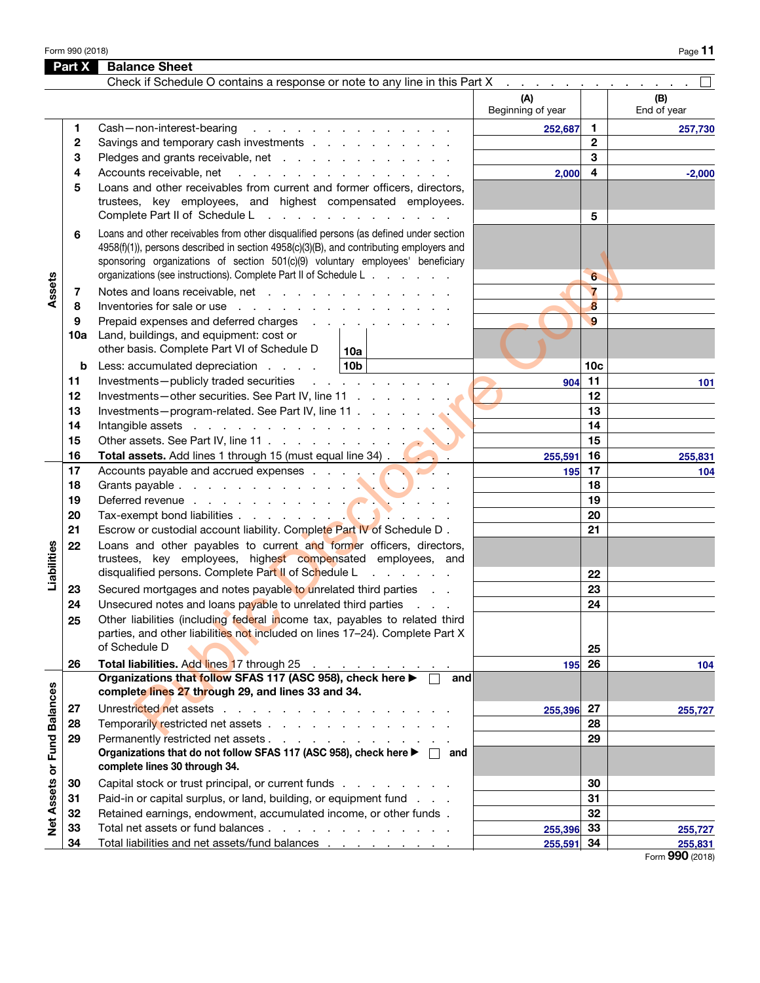Form 990 (2018) Page  $11$ 

| Check if Schedule O contains a response or note to any line in this Part X<br>(A)<br>Beginning of year<br>Cash-non-interest-bearing<br>and the company of the company of the company of<br>1                                                                                                                                                                                                                                                                                            | $\mathbf{1}$<br>252,687<br>$\mathbf{2}$<br>3<br>4<br>2,000 | (B)<br>End of year<br>257,730  |
|-----------------------------------------------------------------------------------------------------------------------------------------------------------------------------------------------------------------------------------------------------------------------------------------------------------------------------------------------------------------------------------------------------------------------------------------------------------------------------------------|------------------------------------------------------------|--------------------------------|
|                                                                                                                                                                                                                                                                                                                                                                                                                                                                                         |                                                            |                                |
|                                                                                                                                                                                                                                                                                                                                                                                                                                                                                         |                                                            |                                |
| 2<br>Savings and temporary cash investments<br>Pledges and grants receivable, net<br>3                                                                                                                                                                                                                                                                                                                                                                                                  |                                                            |                                |
| Accounts receivable, net<br>and the contract of the contract of the contract of the contract of the contract of the contract of the contract of the contract of the contract of the contract of the contract of the contract of the contract of the contra<br>4<br>Loans and other receivables from current and former officers, directors,<br>5<br>trustees, key employees, and highest compensated employees.<br>Complete Part II of Schedule L<br>and a state of the contract of the | 5                                                          | $-2,000$                       |
| Loans and other receivables from other disqualified persons (as defined under section<br>6<br>4958(f)(1)), persons described in section 4958(c)(3)(B), and contributing employers and<br>sponsoring organizations of section 501(c)(9) voluntary employees' beneficiary<br>organizations (see instructions). Complete Part II of Schedule L                                                                                                                                             | 6                                                          |                                |
| Assets<br>Notes and loans receivable, net<br>7<br>Inventories for sale or use<br>8<br>Prepaid expenses and deferred charges<br>9<br>Land, buildings, and equipment: cost or<br><b>10a</b>                                                                                                                                                                                                                                                                                               | $\overline{7}$<br>8<br>$\mathbf{9}$                        |                                |
| other basis. Complete Part VI of Schedule D<br>10a<br>10 <sub>b</sub><br>Less: accumulated depreciation<br>b                                                                                                                                                                                                                                                                                                                                                                            | 10 <sub>c</sub>                                            |                                |
| Investments-publicly traded securities<br>and the company of the company<br>11                                                                                                                                                                                                                                                                                                                                                                                                          | 11<br>904                                                  | 101                            |
| Investments-other securities. See Part IV, line 11<br>12<br>Investments-program-related. See Part IV, line 11<br>13                                                                                                                                                                                                                                                                                                                                                                     | 12<br>13                                                   |                                |
| 14<br>Intangible assets in the contract of the contract of the contract of the contract of the contract of the contract of the contract of the contract of the contract of the contract of the contract of the contract of the contr<br>15                                                                                                                                                                                                                                              | 14<br>15                                                   |                                |
| 16<br>Total assets. Add lines 1 through 15 (must equal line 34).                                                                                                                                                                                                                                                                                                                                                                                                                        | 16<br>255,591                                              | 255,831                        |
| Accounts payable and accrued expenses<br>17                                                                                                                                                                                                                                                                                                                                                                                                                                             | 17<br>195                                                  | 104                            |
| 18                                                                                                                                                                                                                                                                                                                                                                                                                                                                                      | 18                                                         |                                |
| 19                                                                                                                                                                                                                                                                                                                                                                                                                                                                                      | 19                                                         |                                |
| 20                                                                                                                                                                                                                                                                                                                                                                                                                                                                                      | 20                                                         |                                |
| 21<br>Escrow or custodial account liability. Complete Part IV of Schedule D.                                                                                                                                                                                                                                                                                                                                                                                                            | 21                                                         |                                |
| Loans and other payables to current and former officers, directors,<br>Liabilities<br>22<br>trustees, key employees, highest compensated employees, and                                                                                                                                                                                                                                                                                                                                 |                                                            |                                |
| disqualified persons. Complete Part II of Schedule L<br>and the contract of the                                                                                                                                                                                                                                                                                                                                                                                                         | 22                                                         |                                |
| Secured mortgages and notes payable to unrelated third parties<br>23<br>Unsecured notes and loans payable to unrelated third parties<br>24                                                                                                                                                                                                                                                                                                                                              | 23<br>24                                                   |                                |
| Other liabilities (including federal income tax, payables to related third<br>25<br>parties, and other liabilities not included on lines 17-24). Complete Part X                                                                                                                                                                                                                                                                                                                        |                                                            |                                |
| of Schedule D                                                                                                                                                                                                                                                                                                                                                                                                                                                                           | 25                                                         |                                |
| Total liabilities. Add lines 17 through 25<br>26<br>فالمناصب والمنافي والمنافي والمنافي                                                                                                                                                                                                                                                                                                                                                                                                 | 26<br>195                                                  | 104                            |
| Organizations that follow SFAS 117 (ASC 958), check here ▶ □<br>and<br>complete lines 27 through 29, and lines 33 and 34.                                                                                                                                                                                                                                                                                                                                                               |                                                            |                                |
| Net Assets or Fund Balances<br>Unrestricted net assets<br>27<br>Temporarily restricted net assets<br>28<br>Permanently restricted net assets<br>29<br>Organizations that do not follow SFAS 117 (ASC 958), check here ▶ □ and<br>complete lines 30 through 34.                                                                                                                                                                                                                          | $255,396$ 27<br>28<br>29                                   | 255,727                        |
| Capital stock or trust principal, or current funds<br>30                                                                                                                                                                                                                                                                                                                                                                                                                                | 30                                                         |                                |
| Paid-in or capital surplus, or land, building, or equipment fund<br>31                                                                                                                                                                                                                                                                                                                                                                                                                  | 31                                                         |                                |
| Retained earnings, endowment, accumulated income, or other funds.<br>32                                                                                                                                                                                                                                                                                                                                                                                                                 | 32                                                         |                                |
| Total net assets or fund balances<br>33                                                                                                                                                                                                                                                                                                                                                                                                                                                 | 255,396 33                                                 | 255,727                        |
| Total liabilities and net assets/fund balances<br>34                                                                                                                                                                                                                                                                                                                                                                                                                                    | 255,591 34                                                 | 255,831<br>$000 \text{ hours}$ |

Form 990 (2018)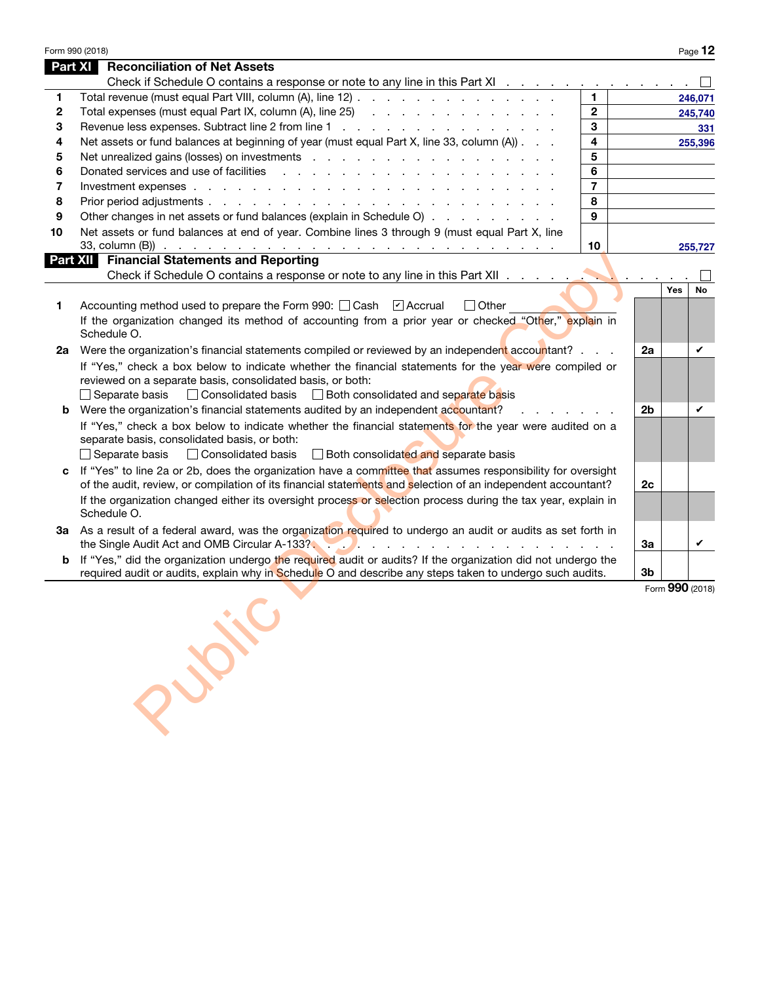|                | Form 990 (2018)                                                                                                                          |                         |         |            | Page 12         |
|----------------|------------------------------------------------------------------------------------------------------------------------------------------|-------------------------|---------|------------|-----------------|
| <b>Part XI</b> | <b>Reconciliation of Net Assets</b>                                                                                                      |                         |         |            |                 |
|                | Check if Schedule O contains a response or note to any line in this Part XI                                                              |                         |         |            |                 |
| 1              | Total revenue (must equal Part VIII, column (A), line 12)                                                                                | 1.                      |         |            | 246,071         |
| $\mathbf{2}$   | Total expenses (must equal Part IX, column $(A)$ , line 25) $\ldots$                                                                     | $\overline{2}$          | 245,740 |            |                 |
| 3              | Revenue less expenses. Subtract line 2 from line 1                                                                                       | 3                       |         |            | 331             |
| 4              | Net assets or fund balances at beginning of year (must equal Part X, line 33, column (A))                                                | $\overline{\mathbf{4}}$ |         |            | 255,396         |
| 5              |                                                                                                                                          | 5                       |         |            |                 |
| 6              |                                                                                                                                          | 6                       |         |            |                 |
| 7              |                                                                                                                                          | $\overline{7}$          |         |            |                 |
| 8              |                                                                                                                                          | 8                       |         |            |                 |
| 9              | Other changes in net assets or fund balances (explain in Schedule O)                                                                     | 9                       |         |            |                 |
| 10             | Net assets or fund balances at end of year. Combine lines 3 through 9 (must equal Part X, line                                           |                         |         |            |                 |
|                |                                                                                                                                          | 10                      |         |            | 255,727         |
|                | <b>Part XII</b> Financial Statements and Reporting                                                                                       |                         |         |            |                 |
|                |                                                                                                                                          |                         |         |            |                 |
|                |                                                                                                                                          |                         |         | <b>Yes</b> | No              |
| 1              | Accounting method used to prepare the Form 990: Cash [7] Accrual<br>$\Box$ Other                                                         |                         |         |            |                 |
|                | If the organization changed its method of accounting from a prior year or checked "Other," explain in                                    |                         |         |            |                 |
|                | Schedule O.                                                                                                                              |                         |         |            |                 |
|                | 2a Were the organization's financial statements compiled or reviewed by an independent accountant?                                       |                         | 2a      |            | V               |
|                | If "Yes," check a box below to indicate whether the financial statements for the year were compiled or                                   |                         |         |            |                 |
|                | reviewed on a separate basis, consolidated basis, or both:                                                                               |                         |         |            |                 |
|                | □ Consolidated basis □ Both consolidated and separate basis<br>$\Box$ Separate basis                                                     |                         |         |            |                 |
|                | <b>b</b> Were the organization's financial statements audited by an independent accountant?<br>and a strong control of the strong strong |                         |         |            |                 |
|                | If "Yes," check a box below to indicate whether the financial statements for the year were audited on a                                  |                         |         |            |                 |
|                | separate basis, consolidated basis, or both:                                                                                             |                         |         |            |                 |
|                | Consolidated basis<br>Both consolidated and separate basis<br>Separate basis                                                             |                         |         |            |                 |
| C              | If "Yes" to line 2a or 2b, does the organization have a committee that assumes responsibility for oversight                              |                         |         |            |                 |
|                | of the audit, review, or compilation of its financial statements and selection of an independent accountant?                             |                         | 2c      |            |                 |
|                | If the organization changed either its oversight process or selection process during the tax year, explain in                            |                         |         |            |                 |
|                | Schedule O.                                                                                                                              |                         |         |            |                 |
|                | 3a As a result of a federal award, was the organization required to undergo an audit or audits as set forth in                           |                         |         |            |                 |
|                | the Single Audit Act and OMB Circular A-133?                                                                                             |                         | За      |            | V               |
| b              | If "Yes," did the organization undergo the required audit or audits? If the organization did not undergo the                             |                         |         |            |                 |
|                | required audit or audits, explain why in Schedule O and describe any steps taken to undergo such audits.                                 |                         | 3b      |            |                 |
|                |                                                                                                                                          |                         |         |            | Form 990 (2018) |
|                |                                                                                                                                          |                         |         |            |                 |
|                |                                                                                                                                          |                         |         |            |                 |
|                |                                                                                                                                          |                         |         |            |                 |
|                |                                                                                                                                          |                         |         |            |                 |
|                | Public                                                                                                                                   |                         |         |            |                 |
|                |                                                                                                                                          |                         |         |            |                 |
|                |                                                                                                                                          |                         |         |            |                 |
|                |                                                                                                                                          |                         |         |            |                 |
|                |                                                                                                                                          |                         |         |            |                 |
|                |                                                                                                                                          |                         |         |            |                 |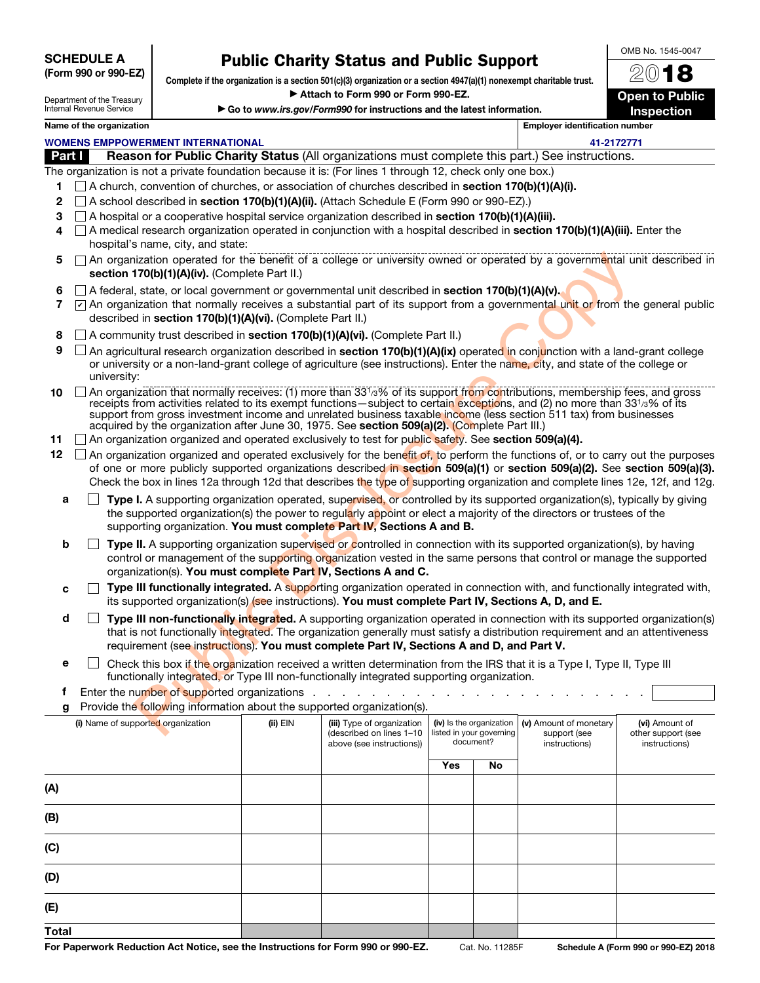| <b>SCHEDULE A</b>    |  |  |  |
|----------------------|--|--|--|
| (Form 990 or 990-EZ) |  |  |  |

# Public Charity Status and Public Support

| Department of the Treasury |
|----------------------------|
| Internal Revenue Service   |

Complete if the organization is a section 501(c)(3) organization or a section 4947(a)(1) nonexempt charitable trust. ▶ Attach to Form 990 or Form 990-EZ.

▶ Go to www.irs.gov/Form990 for instructions and the latest information.

2018 **Open to Public** Inspection

OMB No. 1545-0047

# Name of the organization **Employer identification number**

|              |                                                                                                                                                                                                                                                                                                                          | <b>WOMENS EMPPOWERMENT INTERNATIONAL</b>                                                                                                                                                                                                                                                                                                              |          |                                                                                     |     |                                                                   | 41-2172771                                              |                                                       |  |
|--------------|--------------------------------------------------------------------------------------------------------------------------------------------------------------------------------------------------------------------------------------------------------------------------------------------------------------------------|-------------------------------------------------------------------------------------------------------------------------------------------------------------------------------------------------------------------------------------------------------------------------------------------------------------------------------------------------------|----------|-------------------------------------------------------------------------------------|-----|-------------------------------------------------------------------|---------------------------------------------------------|-------------------------------------------------------|--|
| Part I       |                                                                                                                                                                                                                                                                                                                          | Reason for Public Charity Status (All organizations must complete this part.) See instructions.                                                                                                                                                                                                                                                       |          |                                                                                     |     |                                                                   |                                                         |                                                       |  |
|              |                                                                                                                                                                                                                                                                                                                          | The organization is not a private foundation because it is: (For lines 1 through 12, check only one box.)                                                                                                                                                                                                                                             |          |                                                                                     |     |                                                                   |                                                         |                                                       |  |
|              | $\Box$ A church, convention of churches, or association of churches described in <b>section 170(b)(1)(A)(i).</b><br>$\Box$ A school described in section 170(b)(1)(A)(ii). (Attach Schedule E (Form 990 or 990-EZ).)                                                                                                     |                                                                                                                                                                                                                                                                                                                                                       |          |                                                                                     |     |                                                                   |                                                         |                                                       |  |
| 2            |                                                                                                                                                                                                                                                                                                                          | $\Box$ A hospital or a cooperative hospital service organization described in section 170(b)(1)(A)(iii).                                                                                                                                                                                                                                              |          |                                                                                     |     |                                                                   |                                                         |                                                       |  |
| 3            |                                                                                                                                                                                                                                                                                                                          | $\Box$ A medical research organization operated in conjunction with a hospital described in section 170(b)(1)(A)(iii). Enter the                                                                                                                                                                                                                      |          |                                                                                     |     |                                                                   |                                                         |                                                       |  |
| 4            |                                                                                                                                                                                                                                                                                                                          | hospital's name, city, and state:                                                                                                                                                                                                                                                                                                                     |          |                                                                                     |     |                                                                   |                                                         |                                                       |  |
| 5            | An organization operated for the benefit of a college or university owned or operated by a governmental unit described in<br>section 170(b)(1)(A)(iv). (Complete Part II.)                                                                                                                                               |                                                                                                                                                                                                                                                                                                                                                       |          |                                                                                     |     |                                                                   |                                                         |                                                       |  |
| 6            |                                                                                                                                                                                                                                                                                                                          |                                                                                                                                                                                                                                                                                                                                                       |          |                                                                                     |     |                                                                   |                                                         |                                                       |  |
| 7            | $\Box$ A federal, state, or local government or governmental unit described in <b>section 170(b)(1)(A)(v).</b><br>$\boxed{V}$ An organization that normally receives a substantial part of its support from a governmental unit or from the general public<br>described in section 170(b)(1)(A)(vi). (Complete Part II.) |                                                                                                                                                                                                                                                                                                                                                       |          |                                                                                     |     |                                                                   |                                                         |                                                       |  |
| 8            |                                                                                                                                                                                                                                                                                                                          | A community trust described in section 170(b)(1)(A)(vi). (Complete Part II.)                                                                                                                                                                                                                                                                          |          |                                                                                     |     |                                                                   |                                                         |                                                       |  |
| 9            |                                                                                                                                                                                                                                                                                                                          | An agricultural research organization described in section 170(b)(1)(A)(ix) operated in conjunction with a land-grant college<br>or university or a non-land-grant college of agriculture (see instructions). Enter the name, city, and state of the college or<br>university:                                                                        |          |                                                                                     |     |                                                                   |                                                         |                                                       |  |
|              |                                                                                                                                                                                                                                                                                                                          | An organization that normally receives: (1) more than 331/3% of its support from contributions, membership fees, and gross                                                                                                                                                                                                                            |          |                                                                                     |     |                                                                   |                                                         |                                                       |  |
| 10           |                                                                                                                                                                                                                                                                                                                          | receipts from activities related to its exempt functions—subject to certain exceptions, and (2) no more than 331/3% of its<br>support from gross investment income and unrelated business taxable income (less section 511 tax) from businesses<br>acquired by the organization after June 30, 1975. See section 509(a)(2). (Complete Part III.)      |          |                                                                                     |     |                                                                   |                                                         |                                                       |  |
| 11           |                                                                                                                                                                                                                                                                                                                          | $\Box$ An organization organized and operated exclusively to test for public safety. See section 509(a)(4).                                                                                                                                                                                                                                           |          |                                                                                     |     |                                                                   |                                                         |                                                       |  |
| 12           |                                                                                                                                                                                                                                                                                                                          | $\Box$ An organization organized and operated exclusively for the benefit of, to perform the functions of, or to carry out the purposes                                                                                                                                                                                                               |          |                                                                                     |     |                                                                   |                                                         |                                                       |  |
|              |                                                                                                                                                                                                                                                                                                                          | of one or more publicly supported organizations described in section 509(a)(1) or section 509(a)(2). See section 509(a)(3).                                                                                                                                                                                                                           |          |                                                                                     |     |                                                                   |                                                         |                                                       |  |
|              |                                                                                                                                                                                                                                                                                                                          | Check the box in lines 12a through 12d that describes the type of supporting organization and complete lines 12e, 12f, and 12g.                                                                                                                                                                                                                       |          |                                                                                     |     |                                                                   |                                                         |                                                       |  |
| a            |                                                                                                                                                                                                                                                                                                                          | Type I. A supporting organization operated, supervised, or controlled by its supported organization(s), typically by giving                                                                                                                                                                                                                           |          |                                                                                     |     |                                                                   |                                                         |                                                       |  |
|              |                                                                                                                                                                                                                                                                                                                          | the supported organization(s) the power to regularly appoint or elect a majority of the directors or trustees of the<br>supporting organization. You must complete Part IV, Sections A and B.                                                                                                                                                         |          |                                                                                     |     |                                                                   |                                                         |                                                       |  |
| b            |                                                                                                                                                                                                                                                                                                                          | Type II. A supporting organization supervised or controlled in connection with its supported organization(s), by having                                                                                                                                                                                                                               |          |                                                                                     |     |                                                                   |                                                         |                                                       |  |
|              |                                                                                                                                                                                                                                                                                                                          | control or management of the supporting organization vested in the same persons that control or manage the supported<br>organization(s). You must complete Part IV, Sections A and C.                                                                                                                                                                 |          |                                                                                     |     |                                                                   |                                                         |                                                       |  |
| c            |                                                                                                                                                                                                                                                                                                                          | Type III functionally integrated. A supporting organization operated in connection with, and functionally integrated with,<br>its supported organization(s) (see instructions). You must complete Part IV, Sections A, D, and E.                                                                                                                      |          |                                                                                     |     |                                                                   |                                                         |                                                       |  |
| d            |                                                                                                                                                                                                                                                                                                                          | Type III non-functionally integrated. A supporting organization operated in connection with its supported organization(s)<br>that is not functionally integrated. The organization generally must satisfy a distribution requirement and an attentiveness<br>requirement (see instructions). You must complete Part IV, Sections A and D, and Part V. |          |                                                                                     |     |                                                                   |                                                         |                                                       |  |
| е            |                                                                                                                                                                                                                                                                                                                          | Check this box if the organization received a written determination from the IRS that it is a Type I, Type II, Type III                                                                                                                                                                                                                               |          |                                                                                     |     |                                                                   |                                                         |                                                       |  |
|              |                                                                                                                                                                                                                                                                                                                          | functionally integrated, or Type III non-functionally integrated supporting organization.                                                                                                                                                                                                                                                             |          |                                                                                     |     |                                                                   |                                                         |                                                       |  |
| т            |                                                                                                                                                                                                                                                                                                                          | Enter the number of supported organizations                                                                                                                                                                                                                                                                                                           |          |                                                                                     |     |                                                                   |                                                         |                                                       |  |
| g            |                                                                                                                                                                                                                                                                                                                          | Provide the following information about the supported organization(s).                                                                                                                                                                                                                                                                                |          |                                                                                     |     |                                                                   |                                                         |                                                       |  |
|              |                                                                                                                                                                                                                                                                                                                          | (i) Name of supported organization                                                                                                                                                                                                                                                                                                                    | (ii) EIN | (iii) Type of organization<br>(described on lines 1-10<br>above (see instructions)) |     | (iv) Is the organization<br>listed in your governing<br>document? | (v) Amount of monetary<br>support (see<br>instructions) | (vi) Amount of<br>other support (see<br>instructions) |  |
|              |                                                                                                                                                                                                                                                                                                                          |                                                                                                                                                                                                                                                                                                                                                       |          |                                                                                     | Yes | No                                                                |                                                         |                                                       |  |
|              |                                                                                                                                                                                                                                                                                                                          |                                                                                                                                                                                                                                                                                                                                                       |          |                                                                                     |     |                                                                   |                                                         |                                                       |  |
| (A)          |                                                                                                                                                                                                                                                                                                                          |                                                                                                                                                                                                                                                                                                                                                       |          |                                                                                     |     |                                                                   |                                                         |                                                       |  |
| (B)          |                                                                                                                                                                                                                                                                                                                          |                                                                                                                                                                                                                                                                                                                                                       |          |                                                                                     |     |                                                                   |                                                         |                                                       |  |
| (C)          |                                                                                                                                                                                                                                                                                                                          |                                                                                                                                                                                                                                                                                                                                                       |          |                                                                                     |     |                                                                   |                                                         |                                                       |  |
| (D)          |                                                                                                                                                                                                                                                                                                                          |                                                                                                                                                                                                                                                                                                                                                       |          |                                                                                     |     |                                                                   |                                                         |                                                       |  |
| (E)          |                                                                                                                                                                                                                                                                                                                          |                                                                                                                                                                                                                                                                                                                                                       |          |                                                                                     |     |                                                                   |                                                         |                                                       |  |
| <b>Total</b> |                                                                                                                                                                                                                                                                                                                          |                                                                                                                                                                                                                                                                                                                                                       |          |                                                                                     |     |                                                                   |                                                         |                                                       |  |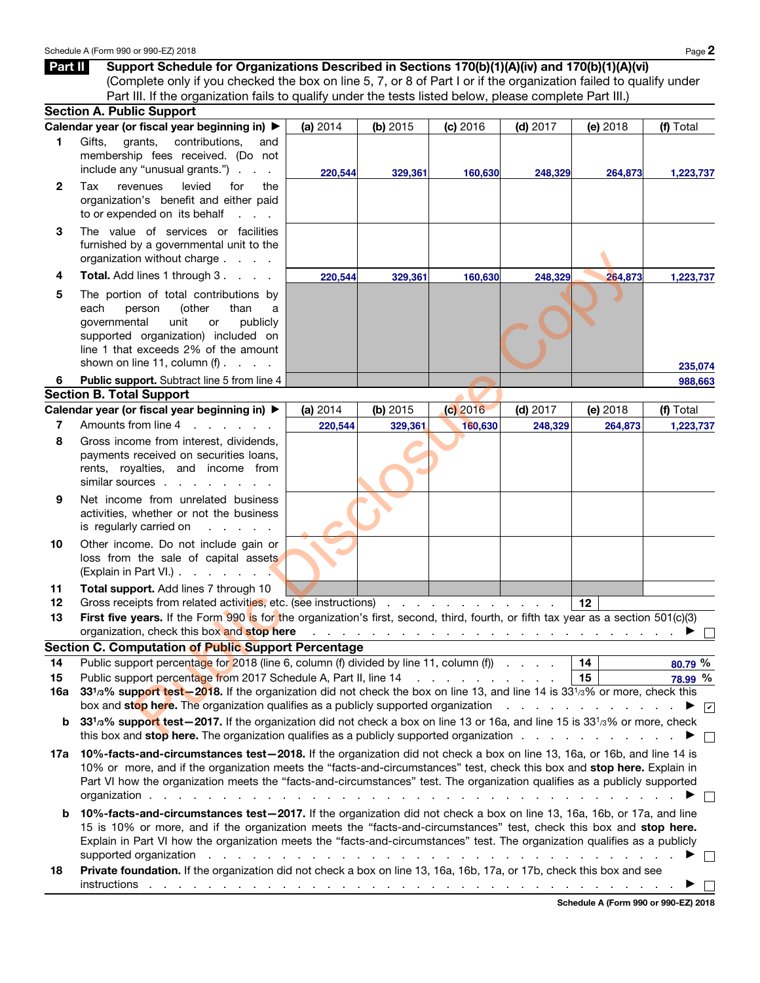|                | Schedule A (Form 990 or 990-EZ) 2018                                                                                                                                                                                                                                                                     |          |            |                                          |            |                                                                           | Page 2                                 |
|----------------|----------------------------------------------------------------------------------------------------------------------------------------------------------------------------------------------------------------------------------------------------------------------------------------------------------|----------|------------|------------------------------------------|------------|---------------------------------------------------------------------------|----------------------------------------|
| Part II        | Support Schedule for Organizations Described in Sections 170(b)(1)(A)(iv) and 170(b)(1)(A)(vi)<br>(Complete only if you checked the box on line 5, 7, or 8 of Part I or if the organization failed to qualify under                                                                                      |          |            |                                          |            |                                                                           |                                        |
|                | Part III. If the organization fails to qualify under the tests listed below, please complete Part III.)                                                                                                                                                                                                  |          |            |                                          |            |                                                                           |                                        |
|                | <b>Section A. Public Support</b>                                                                                                                                                                                                                                                                         |          |            |                                          |            |                                                                           |                                        |
|                | Calendar year (or fiscal year beginning in) ▶                                                                                                                                                                                                                                                            | (a) 2014 | (b) $2015$ | (c) 2016                                 | $(d)$ 2017 | (e) 2018                                                                  | (f) Total                              |
| 1.             | Gifts,<br>grants,<br>contributions,<br>and<br>membership fees received. (Do not<br>include any "unusual grants.").                                                                                                                                                                                       | 220.544  | 329,361    | 160,630                                  | 248,329    | 264,873                                                                   | 1,223,737                              |
| $\mathbf{2}$   | levied<br>Tax<br>for<br>revenues<br>the<br>organization's benefit and either paid<br>to or expended on its behalf<br>$\sim$ $\sim$                                                                                                                                                                       |          |            |                                          |            |                                                                           |                                        |
| 3              | The value of services or facilities<br>furnished by a governmental unit to the<br>organization without charge                                                                                                                                                                                            |          |            |                                          |            |                                                                           |                                        |
| 4              | Total. Add lines 1 through 3.                                                                                                                                                                                                                                                                            | 220,544  | 329,361    | 160,630                                  | 248,329    | 264,873                                                                   | 1,223,737                              |
| 5              | The portion of total contributions by<br>each<br>(other<br>than<br>person<br>a<br>governmental<br>unit<br>publicly<br>or<br>supported organization) included on<br>line 1 that exceeds 2% of the amount<br>shown on line 11, column $(f)$ .                                                              |          |            |                                          |            |                                                                           |                                        |
| 6              | Public support. Subtract line 5 from line 4                                                                                                                                                                                                                                                              |          |            |                                          |            |                                                                           | 235,074<br>988,663                     |
|                | <b>Section B. Total Support</b>                                                                                                                                                                                                                                                                          |          |            |                                          |            |                                                                           |                                        |
|                | Calendar year (or fiscal year beginning in) ▶                                                                                                                                                                                                                                                            | (a) 2014 | (b) $2015$ | $(c)$ 2016                               | $(d)$ 2017 | (e) 2018                                                                  | (f) Total                              |
| $\overline{7}$ | Amounts from line 4<br>and a state of the state of the                                                                                                                                                                                                                                                   | 220,544  | 329,361    | 160,630                                  | 248,329    | 264,873                                                                   | 1,223,737                              |
| 8              | Gross income from interest, dividends,<br>payments received on securities loans,<br>rents, royalties, and income from<br>similar sources                                                                                                                                                                 |          |            |                                          |            |                                                                           |                                        |
| 9              | Net income from unrelated business<br>activities, whether or not the business<br>is regularly carried on                                                                                                                                                                                                 |          |            |                                          |            |                                                                           |                                        |
| 10             | Other income. Do not include gain or<br>loss from the sale of capital assets<br>(Explain in Part VI.).<br><b>Contract Contract Contract</b>                                                                                                                                                              |          |            |                                          |            |                                                                           |                                        |
| 11<br>12       | Total support. Add lines 7 through 10<br>Gross receipts from related activities, etc. (see instructions)                                                                                                                                                                                                 |          |            | the contract of the contract of the con- |            | 12                                                                        |                                        |
| 13             | First five years. If the Form 990 is for the organization's first, second, third, fourth, or fifth tax year as a section 501(c)(3)<br>organization, check this box and stop here                                                                                                                         |          |            |                                          |            | المتعاط والمتحاولة والمتحاولة والمتحاولة والمتحاولة والمتحاولة والمتحاولة |                                        |
|                | <b>Section C. Computation of Public Support Percentage</b>                                                                                                                                                                                                                                               |          |            |                                          |            |                                                                           |                                        |
| 14<br>15       | Public support percentage for 2018 (line 6, column (f) divided by line 11, column (f)<br>Public support percentage from 2017 Schedule A, Part II, line 14                                                                                                                                                |          |            | and the contract of the contract of      |            | 14<br>15                                                                  | 80.79 %<br>78.99 %                     |
| 16a            | 33 <sup>1</sup> / <sub>3</sub> % support test-2018. If the organization did not check the box on line 13, and line 14 is 33 <sup>1</sup> / <sub>3</sub> % or more, check this<br>box and <b>stop here.</b> The organization qualifies as a publicly supported organization enterpresent and stop here in |          |            |                                          |            |                                                                           | $\blacktriangleright$ $\triangleright$ |
| b              | 33 <sup>1</sup> /3% support test-2017. If the organization did not check a box on line 13 or 16a, and line 15 is 33 <sup>1</sup> /3% or more, check<br>this boy and <b>stop here</b> . The organization qualifies as a publicly supported organization                                                   |          |            |                                          |            |                                                                           |                                        |

- loss from the sale of capital assets (Explain in Part VI.) . . . . . . .
- 11 Total support. Add lines 7 through 10
- 12 Gross receipts from related activities, etc. (see instructions) . . . . . . . . . . . . . 12

## Section C. Computation of Public Support Percentage

|    | Public support percentage for 2018 (line 6, column (f) divided by line 11, column (f))                                                                                              | 14 | 80.79%                  |
|----|-------------------------------------------------------------------------------------------------------------------------------------------------------------------------------------|----|-------------------------|
| 15 | Public support percentage from 2017 Schedule A, Part II, line 14                                                                                                                    | 15 | 78.99 %                 |
|    | 16a 33 <sup>1</sup> / <sub>3</sub> % support test - 2018. If the organization did not check the box on line 13, and line 14 is 33 <sup>1</sup> / <sub>3</sub> % or more, check this |    |                         |
|    | box and stop here. The organization qualifies as a publicly supported organization                                                                                                  |    | $\overline{\mathbf{v}}$ |

- **b** 33<sup>1</sup>/3<sup>%</sup> support test-2017. If the organization did not check a box on line 13 or 16a, and line 15 is 33<sup>1</sup>/3% or more, check this box and **stop here.** The organization qualifies as a publicly supported organization  $\blacksquare$
- 17a 10%-facts-and-circumstances test-2018. If the organization did not check a box on line 13, 16a, or 16b, and line 14 is 10% or more, and if the organization meets the "facts-and-circumstances" test, check this box and stop here. Explain in Part VI how the organization meets the "facts-and-circumstances" test. The organization qualifies as a publicly supported organization . . . . . . . . . . . . . . . . . . . . . . . . . . . . . . . . . . . . ▶  $\Box$
- b 10%-facts-and-circumstances test—2017. If the organization did not check a box on line 13, 16a, 16b, or 17a, and line 15 is 10% or more, and if the organization meets the "facts-and-circumstances" test, check this box and stop here. Explain in Part VI how the organization meets the "facts-and-circumstances" test. The organization qualifies as a publicly supported organization . . . . . . . . . . . . . . . . . . . . . . . . . . . . . . . . ▶  $\Box$
- 18 Private foundation. If the organization did not check a box on line 13, 16a, 16b, 17a, or 17b, check this box and see instructions . . . . . . . . . . . . . . . . . . . . . . . . . . . . . . . . . . . . ▶  $\Box$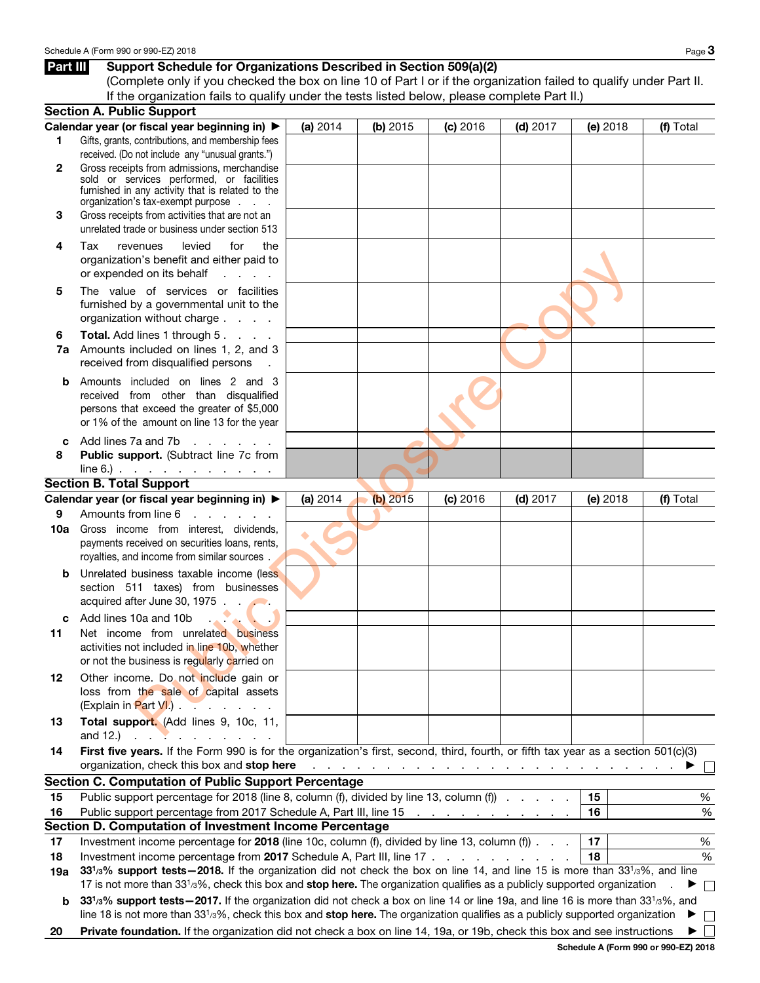# Part III Support Schedule for Organizations Described in Section 509(a)(2)

(Complete only if you checked the box on line 10 of Part I or if the organization failed to qualify under Part II. If the organization fails to qualify under the tests listed below, please complete Part II.)

|     | <b>Section A. Public Support</b>                                                                                                                       |          |            |            |                                                                             |          |                             |
|-----|--------------------------------------------------------------------------------------------------------------------------------------------------------|----------|------------|------------|-----------------------------------------------------------------------------|----------|-----------------------------|
|     | Calendar year (or fiscal year beginning in) ▶                                                                                                          | (a) 2014 | (b) $2015$ | (c) 2016   | $(d)$ 2017                                                                  | (e) 2018 | (f) Total                   |
| 1.  | Gifts, grants, contributions, and membership fees                                                                                                      |          |            |            |                                                                             |          |                             |
|     | received. (Do not include any "unusual grants.")                                                                                                       |          |            |            |                                                                             |          |                             |
| 2   | Gross receipts from admissions, merchandise                                                                                                            |          |            |            |                                                                             |          |                             |
|     | sold or services performed, or facilities<br>furnished in any activity that is related to the                                                          |          |            |            |                                                                             |          |                             |
|     | organization's tax-exempt purpose                                                                                                                      |          |            |            |                                                                             |          |                             |
| 3   | Gross receipts from activities that are not an                                                                                                         |          |            |            |                                                                             |          |                             |
|     | unrelated trade or business under section 513                                                                                                          |          |            |            |                                                                             |          |                             |
| 4   | Tax<br>levied<br>for<br>revenues<br>the                                                                                                                |          |            |            |                                                                             |          |                             |
|     | organization's benefit and either paid to                                                                                                              |          |            |            |                                                                             |          |                             |
|     | or expended on its behalf<br>and a state                                                                                                               |          |            |            |                                                                             |          |                             |
| 5   | The value of services or facilities                                                                                                                    |          |            |            |                                                                             |          |                             |
|     | furnished by a governmental unit to the                                                                                                                |          |            |            |                                                                             |          |                             |
|     | organization without charge                                                                                                                            |          |            |            |                                                                             |          |                             |
| 6   | Total. Add lines 1 through 5.                                                                                                                          |          |            |            |                                                                             |          |                             |
| 7a  | Amounts included on lines 1, 2, and 3                                                                                                                  |          |            |            |                                                                             |          |                             |
|     | received from disqualified persons                                                                                                                     |          |            |            |                                                                             |          |                             |
| b   | Amounts included on lines 2 and 3                                                                                                                      |          |            |            |                                                                             |          |                             |
|     | received from other than disqualified                                                                                                                  |          |            |            |                                                                             |          |                             |
|     | persons that exceed the greater of \$5,000                                                                                                             |          |            |            |                                                                             |          |                             |
|     | or 1% of the amount on line 13 for the year                                                                                                            |          |            |            |                                                                             |          |                             |
| c   | Add lines 7a and 7b<br>and the contract of the con-                                                                                                    |          |            |            |                                                                             |          |                             |
| 8   | Public support. (Subtract line 7c from                                                                                                                 |          |            |            |                                                                             |          |                             |
|     | $line 6.)$ $\ldots$ $\ldots$ $\ldots$ $\ldots$                                                                                                         |          |            |            |                                                                             |          |                             |
|     | <b>Section B. Total Support</b>                                                                                                                        |          |            |            |                                                                             |          |                             |
|     | Calendar year (or fiscal year beginning in) ▶                                                                                                          | (a) 2014 | $(b)$ 2015 | $(c)$ 2016 | $(d)$ 2017                                                                  | (e) 2018 | (f) Total                   |
| 9   | Amounts from line 6<br>and the contract of the con-                                                                                                    |          |            |            |                                                                             |          |                             |
| 10a | Gross income from interest, dividends,                                                                                                                 |          |            |            |                                                                             |          |                             |
|     | payments received on securities loans, rents,                                                                                                          |          |            |            |                                                                             |          |                             |
|     | royalties, and income from similar sources.                                                                                                            |          |            |            |                                                                             |          |                             |
| b   | Unrelated business taxable income (less                                                                                                                |          |            |            |                                                                             |          |                             |
|     | section 511 taxes) from businesses                                                                                                                     |          |            |            |                                                                             |          |                             |
|     | acquired after June 30, 1975.                                                                                                                          |          |            |            |                                                                             |          |                             |
|     | c Add lines 10a and 10b<br><b>CALL AND</b>                                                                                                             |          |            |            |                                                                             |          |                             |
| 11  | Net income from unrelated business                                                                                                                     |          |            |            |                                                                             |          |                             |
|     | activities not included in line 10b, whether                                                                                                           |          |            |            |                                                                             |          |                             |
|     | or not the business is regularly carried on                                                                                                            |          |            |            |                                                                             |          |                             |
| 12  | Other income. Do not include gain or                                                                                                                   |          |            |            |                                                                             |          |                             |
|     | loss from the sale of capital assets                                                                                                                   |          |            |            |                                                                             |          |                             |
|     | $(Explain in Part VI.)$ $\ldots$ $\ldots$                                                                                                              |          |            |            |                                                                             |          |                             |
| 13  | Total support. (Add lines 9, 10c, 11,                                                                                                                  |          |            |            |                                                                             |          |                             |
|     | and 12.)                                                                                                                                               |          |            |            |                                                                             |          |                             |
| 14  | First five years. If the Form 990 is for the organization's first, second, third, fourth, or fifth tax year as a section 501(c)(3)                     |          |            |            |                                                                             |          |                             |
|     | organization, check this box and stop here                                                                                                             |          |            |            | المتعاونة والمتعاونة والمتعاونة والمتعاونة والمتعاونة والمتعاونة والمتعاونة |          |                             |
|     | <b>Section C. Computation of Public Support Percentage</b>                                                                                             |          |            |            |                                                                             |          |                             |
| 15  | Public support percentage for 2018 (line 8, column (f), divided by line 13, column (f)                                                                 |          |            |            |                                                                             | 15       | $\%$                        |
| 16  | Public support percentage from 2017 Schedule A, Part III, line 15 \[matter state state state state state state                                         |          |            |            |                                                                             | 16       | %                           |
|     | Section D. Computation of Investment Income Percentage                                                                                                 |          |            |            |                                                                             |          |                             |
| 17  | Investment income percentage for 2018 (line 10c, column (f), divided by line 13, column (f)).                                                          |          |            |            |                                                                             | 17       | %                           |
| 18  | Investment income percentage from 2017 Schedule A, Part III, line 17                                                                                   |          |            |            |                                                                             | 18       | %                           |
| 19a | 33 <sup>1</sup> /3% support tests - 2018. If the organization did not check the box on line 14, and line 15 is more than 33 <sup>1</sup> /3%, and line |          |            |            |                                                                             |          |                             |
|     | 17 is not more than 33 <sup>1</sup> /3%, check this box and stop here. The organization qualifies as a publicly supported organization                 |          |            |            |                                                                             |          | $\mathcal{L}_{\mathcal{A}}$ |
| b   | 331/3% support tests - 2017. If the organization did not check a box on line 14 or line 19a, and line 16 is more than 331/3%, and                      |          |            |            |                                                                             |          |                             |
|     | line 18 is not more than $3313%$ , check this box and stop here. The organization qualifies as a publicly supported organization                       |          |            |            |                                                                             |          |                             |
| 20  | Private foundation. If the organization did not check a box on line 14, 19a, or 19b, check this box and see instructions                               |          |            |            |                                                                             |          |                             |
|     |                                                                                                                                                        |          |            |            |                                                                             |          | $000 - 000570040$           |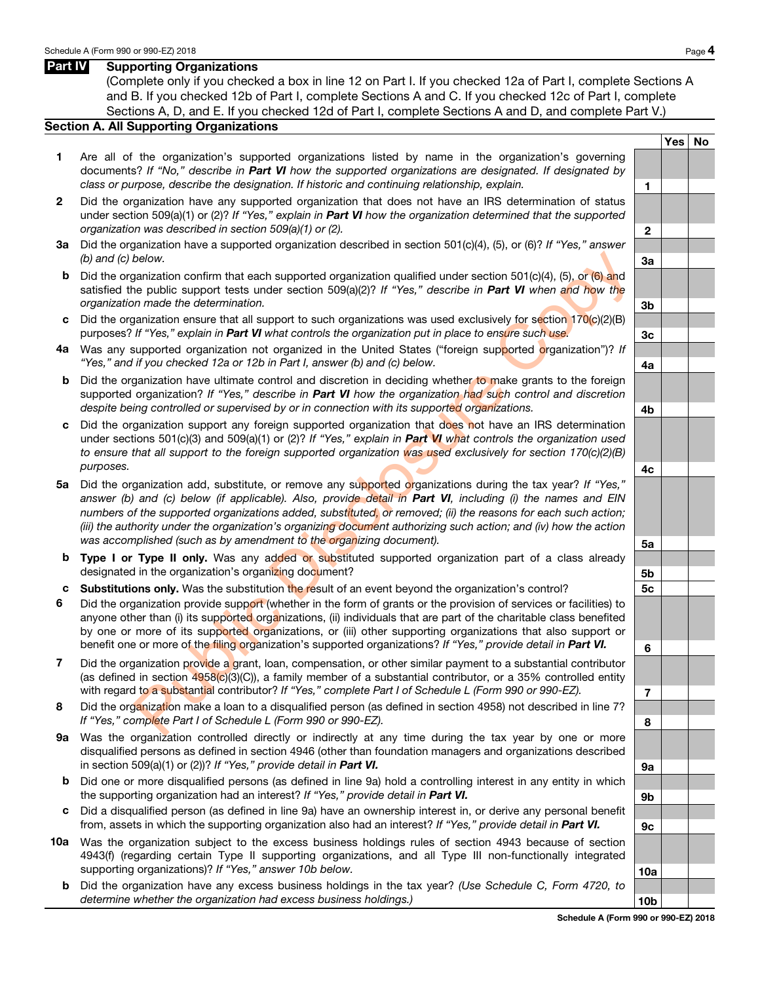## Part IV Supporting Organizations

(Complete only if you checked a box in line 12 on Part I. If you checked 12a of Part I, complete Sections A and B. If you checked 12b of Part I, complete Sections A and C. If you checked 12c of Part I, complete Sections A, D, and E. If you checked 12d of Part I, complete Sections A and D, and complete Part V.)

### Section A. All Supporting Organizations

- 1 Are all of the organization's supported organizations listed by name in the organization's governing documents? If "No," describe in Part VI how the supported organizations are designated. If designated by class or purpose, describe the designation. If historic and continuing relationship, explain.
- 2 Did the organization have any supported organization that does not have an IRS determination of status under section 509(a)(1) or (2)? If "Yes," explain in **Part VI** how the organization determined that the supported organization was described in section 509(a)(1) or (2).  $\boxed{2}$
- 3a Did the organization have a supported organization described in section 501(c)(4), (5), or (6)? If "Yes," answer  $\blacksquare$  (b) and (c) below.  $\blacksquare$
- **b** Did the organization confirm that each supported organization qualified under section 501(c)(4), (5), or (6) and satisfied the public support tests under section  $509(a)(2)$ ? If "Yes," describe in **Part VI** when and how the organization made the determination. **3b** 3b
- c Did the organization ensure that all support to such organizations was used exclusively for section  $170(c)(2)(B)$ purposes? If "Yes," explain in Part VI what controls the organization put in place to ensure such use. 3c
- 4a Was any supported organization not organized in the United States ("foreign supported organization")? If "Yes," and if you checked 12a or 12b in Part I, answer (b) and (c) below.  $4a$
- **b** Did the organization have ultimate control and discretion in deciding whether to make grants to the foreign supported organization? If "Yes," describe in Part VI how the organization had such control and discretion despite being controlled or supervised by or in connection with its supported organizations.
- c Did the organization support any foreign supported organization that does not have an IRS determination under sections 501(c)(3) and 509(a)(1) or (2)? If "Yes," explain in **Part VI** what controls the organization used to ensure that all support to the foreign supported organization was used exclusively for section 170(c)(2)(B) purposes.
- 5a Did the organization add, substitute, or remove any supported organizations during the tax year? If "Yes," answer (b) and (c) below (if applicable). Also, provide detail in Part VI, including (i) the names and EIN numbers of the supported organizations added, substituted, or removed; (ii) the reasons for each such action; (iii) the authority under the organization's organizing document authorizing such action; and (iv) how the action was accomplished (such as by amendment to the organizing document).  $\overline{\phantom{a}}$  5a below.<br>
Hence the determination confirm that each supported organization qualified under section 5016(x)4, (5), or (8) and<br>
in public support tests under section 509(a)(2)? If "Yes," describe in Part VI when and how the<br>
I
- **b Type I or Type II only.** Was any added or substituted supported organization part of a class already designated in the organization's organizing document? The state of the state of the state of the state of the state of the state of the state of the state of the state of the state of the state of the state of the state of
- c Substitutions only. Was the substitution the result of an event beyond the organization's control? 5c
- 6 Did the organization provide support (whether in the form of grants or the provision of services or facilities) to anyone other than (i) its supported organizations, (ii) individuals that are part of the charitable class benefited by one or more of its supported organizations, or (iii) other supporting organizations that also support or benefit one or more of the filing organization's supported organizations? If "Yes," provide detail in Part VI.
- 7 Did the organization provide a grant, loan, compensation, or other similar payment to a substantial contributor (as defined in section  $4958(c)(3)(C)$ ), a family member of a substantial contributor, or a 35% controlled entity with regard to a substantial contributor? If "Yes," complete Part I of Schedule L (Form 990 or 990-EZ).
- 8 Did the organization make a loan to a disqualified person (as defined in section 4958) not described in line 7? If "Yes," complete Part I of Schedule L (Form 990 or 990-EZ). **8 8**
- 9a Was the organization controlled directly or indirectly at any time during the tax year by one or more disqualified persons as defined in section 4946 (other than foundation managers and organizations described in section 509(a)(1) or (2))? If "Yes," provide detail in **Part VI.**  $\overline{9a}$
- b Did one or more disqualified persons (as defined in line 9a) hold a controlling interest in any entity in which the supporting organization had an interest? If "Yes," provide detail in **Part VI.**  $\overline{\phantom{a}}$  9b
- c Did a disqualified person (as defined in line 9a) have an ownership interest in, or derive any personal benefit from, assets in which the supporting organization also had an interest? If "Yes," provide detail in Part VI.
- 10a Was the organization subject to the excess business holdings rules of section 4943 because of section 4943(f) (regarding certain Type II supporting organizations, and all Type III non-functionally integrated supporting organizations)? If "Yes," answer 10b below. 10a
	- **b** Did the organization have any excess business holdings in the tax year? (Use Schedule C, Form 4720, to determine whether the organization had excess business holdings.) 10b

Yes | No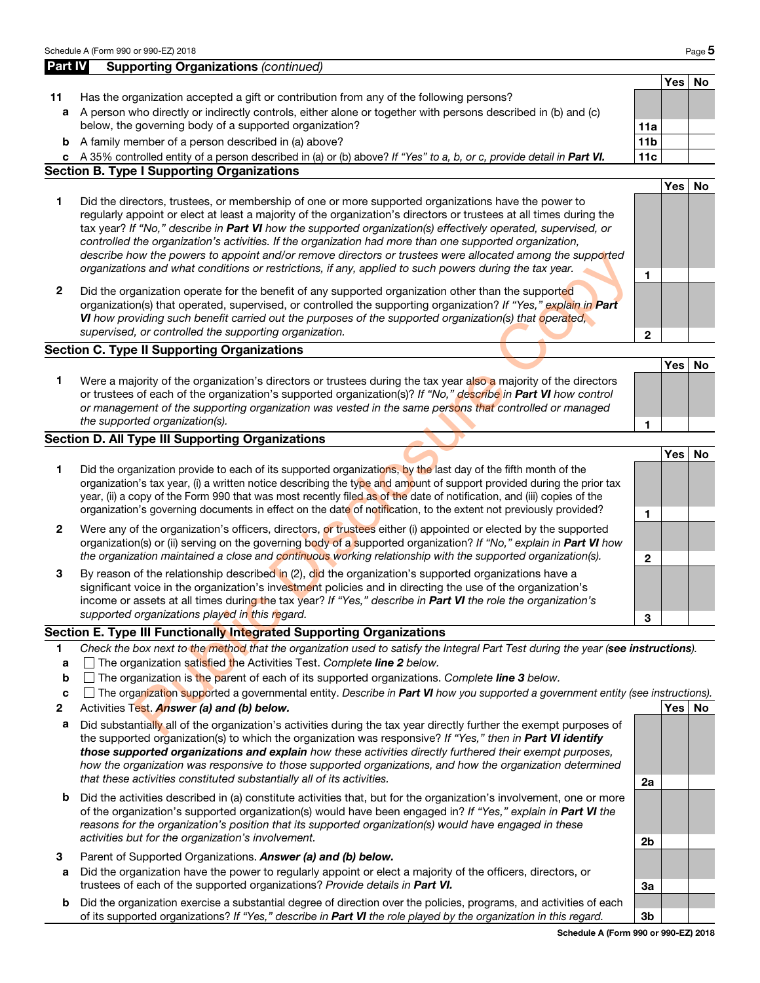|              | Schedule A (Form 990 or 990-EZ) 2018                                                                                                                                                                                                                                                                                                                                                                                                                                                                                                                                                                                                                                         |                 |            | Page 5 |
|--------------|------------------------------------------------------------------------------------------------------------------------------------------------------------------------------------------------------------------------------------------------------------------------------------------------------------------------------------------------------------------------------------------------------------------------------------------------------------------------------------------------------------------------------------------------------------------------------------------------------------------------------------------------------------------------------|-----------------|------------|--------|
| Part IV      | <b>Supporting Organizations (continued)</b>                                                                                                                                                                                                                                                                                                                                                                                                                                                                                                                                                                                                                                  |                 |            |        |
|              |                                                                                                                                                                                                                                                                                                                                                                                                                                                                                                                                                                                                                                                                              |                 | Yes        | No     |
| 11           | Has the organization accepted a gift or contribution from any of the following persons?                                                                                                                                                                                                                                                                                                                                                                                                                                                                                                                                                                                      |                 |            |        |
| а            | A person who directly or indirectly controls, either alone or together with persons described in (b) and (c)                                                                                                                                                                                                                                                                                                                                                                                                                                                                                                                                                                 |                 |            |        |
|              | below, the governing body of a supported organization?                                                                                                                                                                                                                                                                                                                                                                                                                                                                                                                                                                                                                       | 11a             |            |        |
| b            | A family member of a person described in (a) above?                                                                                                                                                                                                                                                                                                                                                                                                                                                                                                                                                                                                                          | 11 <sub>b</sub> |            |        |
|              | c A 35% controlled entity of a person described in (a) or (b) above? If "Yes" to a, b, or c, provide detail in Part VI.                                                                                                                                                                                                                                                                                                                                                                                                                                                                                                                                                      | 11c             |            |        |
|              | <b>Section B. Type I Supporting Organizations</b>                                                                                                                                                                                                                                                                                                                                                                                                                                                                                                                                                                                                                            |                 |            |        |
| 1            | Did the directors, trustees, or membership of one or more supported organizations have the power to<br>regularly appoint or elect at least a majority of the organization's directors or trustees at all times during the<br>tax year? If "No," describe in Part VI how the supported organization(s) effectively operated, supervised, or<br>controlled the organization's activities. If the organization had more than one supported organization,<br>describe how the powers to appoint and/or remove directors or trustees were allocated among the supported<br>organizations and what conditions or restrictions, if any, applied to such powers during the tax year. | 1               | <b>Yes</b> | No     |
| $\mathbf 2$  | Did the organization operate for the benefit of any supported organization other than the supported<br>organization(s) that operated, supervised, or controlled the supporting organization? If "Yes," explain in Part<br>VI how providing such benefit carried out the purposes of the supported organization(s) that operated,<br>supervised, or controlled the supporting organization.                                                                                                                                                                                                                                                                                   | $\mathbf{2}$    |            |        |
|              | <b>Section C. Type II Supporting Organizations</b>                                                                                                                                                                                                                                                                                                                                                                                                                                                                                                                                                                                                                           |                 |            |        |
|              |                                                                                                                                                                                                                                                                                                                                                                                                                                                                                                                                                                                                                                                                              |                 | Yes        | No     |
| 1            | Were a majority of the organization's directors or trustees during the tax year also a majority of the directors<br>or trustees of each of the organization's supported organization(s)? If "No," describe in Part VI how control<br>or management of the supporting organization was vested in the same persons that controlled or managed<br>the supported organization(s).                                                                                                                                                                                                                                                                                                |                 |            |        |
|              | <b>Section D. All Type III Supporting Organizations</b>                                                                                                                                                                                                                                                                                                                                                                                                                                                                                                                                                                                                                      | 1               |            |        |
|              |                                                                                                                                                                                                                                                                                                                                                                                                                                                                                                                                                                                                                                                                              |                 | Yes        | No     |
| 1            | Did the organization provide to each of its supported organizations, by the last day of the fifth month of the<br>organization's tax year, (i) a written notice describing the type and amount of support provided during the prior tax<br>year, (ii) a copy of the Form 990 that was most recently filed as of the date of notification, and (iii) copies of the<br>organization's governing documents in effect on the date of notification, to the extent not previously provided?                                                                                                                                                                                        | 1               |            |        |
| $\mathbf{2}$ | Were any of the organization's officers, directors, or trustees either (i) appointed or elected by the supported<br>organization(s) or (ii) serving on the governing body of a supported organization? If "No," explain in Part VI how<br>the organization maintained a close and continuous working relationship with the supported organization(s).                                                                                                                                                                                                                                                                                                                        | $\mathbf{2}$    |            |        |
| 3            | By reason of the relationship described in (2), did the organization's supported organizations have a<br>significant voice in the organization's investment policies and in directing the use of the organization's<br>income or assets at all times during the tax year? If "Yes," describe in Part VI the role the organization's<br>supported organizations played in this regard.                                                                                                                                                                                                                                                                                        | 3               |            |        |
|              | Section E. Type III Functionally Integrated Supporting Organizations                                                                                                                                                                                                                                                                                                                                                                                                                                                                                                                                                                                                         |                 |            |        |
| 1            | Check the box next to the method that the organization used to satisfy the Integral Part Test during the year (see instructions).                                                                                                                                                                                                                                                                                                                                                                                                                                                                                                                                            |                 |            |        |
| a            | The organization satisfied the Activities Test. Complete line 2 below.                                                                                                                                                                                                                                                                                                                                                                                                                                                                                                                                                                                                       |                 |            |        |
| b            | $\Box$ The organization is the parent of each of its supported organizations. Complete line 3 below.                                                                                                                                                                                                                                                                                                                                                                                                                                                                                                                                                                         |                 |            |        |
| c            | The organization supported a governmental entity. Describe in Part VI how you supported a government entity (see instructions).                                                                                                                                                                                                                                                                                                                                                                                                                                                                                                                                              |                 |            |        |
| 2            | Activities Test. Answer (a) and (b) below.                                                                                                                                                                                                                                                                                                                                                                                                                                                                                                                                                                                                                                   |                 | Yes   No   |        |
| a            | Did substantially all of the organization's activities during the tax year directly further the exempt purposes of                                                                                                                                                                                                                                                                                                                                                                                                                                                                                                                                                           |                 |            |        |

# Section E. Type III Functionally Integrated Supporting Organizations

- 1 Check the box next to the method that the organization used to satisfy the Integral Part Test during the year (see instructions).
- **a**  $\Box$  The organization satisfied the Activities Test. Complete line 2 below.
- **b**  $\Box$  The organization is the parent of each of its supported organizations. Complete line 3 below.
- **c**  $\Box$  The organization supported a governmental entity. Describe in **Part VI** how you supported a government entity (see instructions).
- 2 Activities Test. Answer (a) and (b) below. Yes Not all the state of the state of the state of the state of the state of the state of the state of the state of the state of the state of the state of the state of the state
- a Did substantially all of the organization's activities during the tax year directly further the exempt purposes of the supported organization(s) to which the organization was responsive? If "Yes," then in Part VI identify those supported organizations and explain how these activities directly furthered their exempt purposes, how the organization was responsive to those supported organizations, and how the organization determined that these activities constituted substantially all of its activities.<br>
2a
- **b** Did the activities described in (a) constitute activities that, but for the organization's involvement, one or more of the organization's supported organization(s) would have been engaged in? If "Yes," explain in Part VI the reasons for the organization's position that its supported organization(s) would have engaged in these activities but for the organization's involvement. 2b
- 3 Parent of Supported Organizations. Answer (a) and (b) below.
- a Did the organization have the power to regularly appoint or elect a majority of the officers, directors, or trustees of each of the supported organizations? Provide details in Part VI.
- b Did the organization exercise a substantial degree of direction over the policies, programs, and activities of each of its supported organizations? If "Yes," describe in **Part VI** the role played by the organization in this regard.  $|$  3b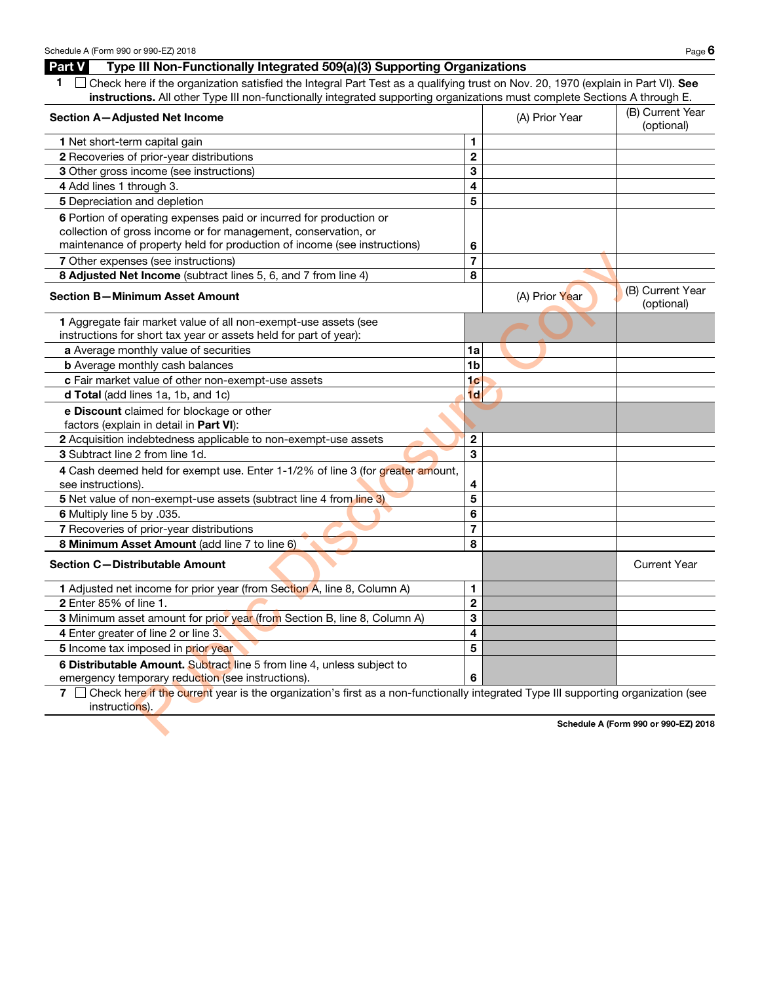Part V Type III Non-Functionally Integrated 509(a)(3) Supporting Organizations

| instructions. All other Type III non-functionally integrated supporting organizations must complete Sections A through E.                                |                  |                | (B) Current Year               |
|----------------------------------------------------------------------------------------------------------------------------------------------------------|------------------|----------------|--------------------------------|
| Section A-Adjusted Net Income                                                                                                                            |                  | (A) Prior Year | (optional)                     |
| 1 Net short-term capital gain                                                                                                                            | 1                |                |                                |
| 2 Recoveries of prior-year distributions                                                                                                                 | $\boldsymbol{2}$ |                |                                |
| 3 Other gross income (see instructions)                                                                                                                  | 3                |                |                                |
| 4 Add lines 1 through 3.                                                                                                                                 | 4                |                |                                |
| 5 Depreciation and depletion                                                                                                                             | 5                |                |                                |
| 6 Portion of operating expenses paid or incurred for production or                                                                                       |                  |                |                                |
| collection of gross income or for management, conservation, or                                                                                           |                  |                |                                |
| maintenance of property held for production of income (see instructions)                                                                                 | 6                |                |                                |
| 7 Other expenses (see instructions)                                                                                                                      | $\overline{7}$   |                |                                |
| 8 Adjusted Net Income (subtract lines 5, 6, and 7 from line 4)                                                                                           | 8                |                |                                |
| <b>Section B-Minimum Asset Amount</b>                                                                                                                    |                  | (A) Prior Year | (B) Current Year<br>(optional) |
| 1 Aggregate fair market value of all non-exempt-use assets (see                                                                                          |                  |                |                                |
| instructions for short tax year or assets held for part of year):                                                                                        |                  |                |                                |
| a Average monthly value of securities                                                                                                                    | 1a               |                |                                |
| <b>b</b> Average monthly cash balances                                                                                                                   | 1 <sub>b</sub>   |                |                                |
| c Fair market value of other non-exempt-use assets                                                                                                       | 1 <sub>c</sub>   |                |                                |
| d Total (add lines 1a, 1b, and 1c)                                                                                                                       | 1 <sub>d</sub>   |                |                                |
| e Discount claimed for blockage or other                                                                                                                 |                  |                |                                |
| factors (explain in detail in Part VI):                                                                                                                  |                  |                |                                |
| 2 Acquisition indebtedness applicable to non-exempt-use assets                                                                                           | $\mathbf{2}$     |                |                                |
| 3 Subtract line 2 from line 1d.                                                                                                                          | 3                |                |                                |
| 4 Cash deemed held for exempt use. Enter 1-1/2% of line 3 (for greater amount,<br>see instructions).                                                     | 4                |                |                                |
| 5 Net value of non-exempt-use assets (subtract line 4 from line 3)                                                                                       | 5                |                |                                |
| 6 Multiply line 5 by .035.                                                                                                                               | 6                |                |                                |
| 7 Recoveries of prior-year distributions                                                                                                                 | $\overline{7}$   |                |                                |
| 8 Minimum Asset Amount (add line 7 to line 6)                                                                                                            | 8                |                |                                |
| <b>Section C-Distributable Amount</b>                                                                                                                    |                  |                | <b>Current Year</b>            |
| 1 Adjusted net income for prior year (from Section A, line 8, Column A)                                                                                  | 1                |                |                                |
| 2 Enter 85% of line 1.                                                                                                                                   | $\mathbf 2$      |                |                                |
| 3 Minimum asset amount for prior year (from Section B, line 8, Column A)                                                                                 | 3                |                |                                |
| 4 Enter greater of line 2 or line 3.                                                                                                                     | 4                |                |                                |
| 5 Income tax imposed in prior year                                                                                                                       | 5                |                |                                |
| 6 Distributable Amount. Subtract line 5 from line 4, unless subject to                                                                                   |                  |                |                                |
| emergency temporary reduction (see instructions).                                                                                                        | 6                |                |                                |
| Check here if the current year is the organization's first as a non-functionally integrated Type III supporting organization (see<br>7<br>instructions). |                  |                |                                |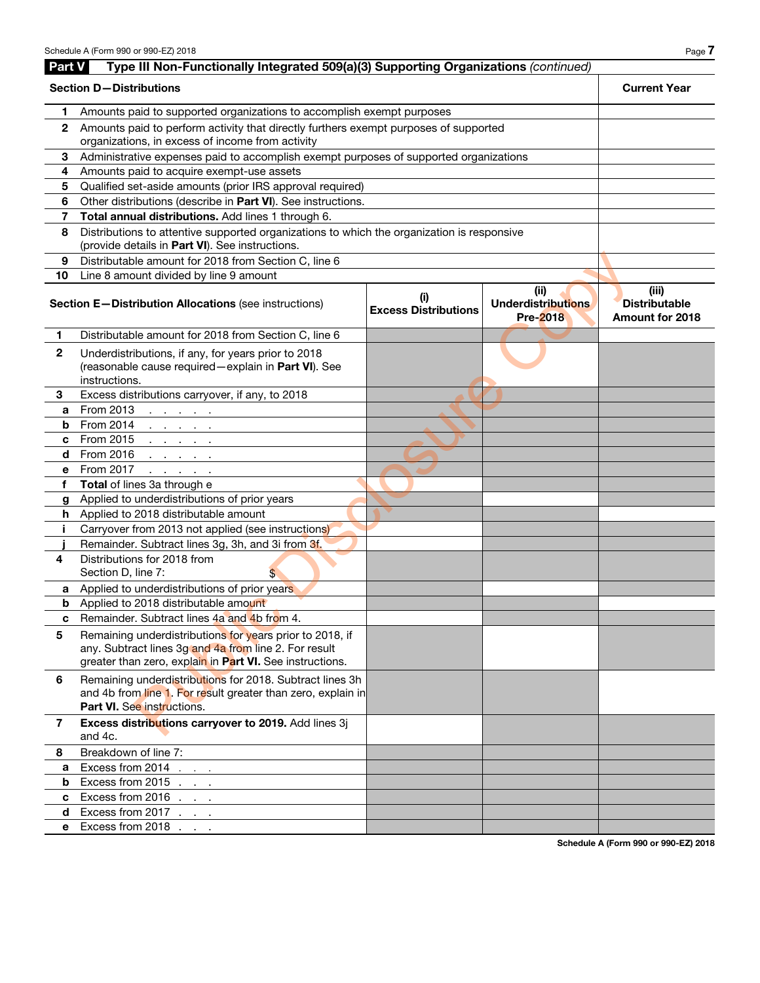| Part V         | Type III Non-Functionally Integrated 509(a)(3) Supporting Organizations (continued)                                                                                           |                                    |                                                      |                                                         |  |  |  |
|----------------|-------------------------------------------------------------------------------------------------------------------------------------------------------------------------------|------------------------------------|------------------------------------------------------|---------------------------------------------------------|--|--|--|
|                | <b>Section D-Distributions</b>                                                                                                                                                |                                    |                                                      |                                                         |  |  |  |
| 1              | Amounts paid to supported organizations to accomplish exempt purposes                                                                                                         |                                    |                                                      |                                                         |  |  |  |
| $\mathbf{2}$   | Amounts paid to perform activity that directly furthers exempt purposes of supported<br>organizations, in excess of income from activity                                      |                                    |                                                      |                                                         |  |  |  |
| 3              | Administrative expenses paid to accomplish exempt purposes of supported organizations                                                                                         |                                    |                                                      |                                                         |  |  |  |
| 4              | Amounts paid to acquire exempt-use assets                                                                                                                                     |                                    |                                                      |                                                         |  |  |  |
| 5              | Qualified set-aside amounts (prior IRS approval required)                                                                                                                     |                                    |                                                      |                                                         |  |  |  |
| 6              | Other distributions (describe in Part VI). See instructions.                                                                                                                  |                                    |                                                      |                                                         |  |  |  |
| 7              | Total annual distributions. Add lines 1 through 6.                                                                                                                            |                                    |                                                      |                                                         |  |  |  |
| 8              | Distributions to attentive supported organizations to which the organization is responsive<br>(provide details in Part VI). See instructions.                                 |                                    |                                                      |                                                         |  |  |  |
| 9              | Distributable amount for 2018 from Section C, line 6                                                                                                                          |                                    |                                                      |                                                         |  |  |  |
| 10             | Line 8 amount divided by line 9 amount                                                                                                                                        |                                    |                                                      |                                                         |  |  |  |
|                | Section E-Distribution Allocations (see instructions)                                                                                                                         | (i)<br><b>Excess Distributions</b> | (ii)<br><b>Underdistributions</b><br><b>Pre-2018</b> | (iii)<br><b>Distributable</b><br><b>Amount for 2018</b> |  |  |  |
| 1.             | Distributable amount for 2018 from Section C, line 6                                                                                                                          |                                    |                                                      |                                                         |  |  |  |
| $\overline{2}$ | Underdistributions, if any, for years prior to 2018<br>(reasonable cause required-explain in Part VI). See<br>instructions.                                                   |                                    |                                                      |                                                         |  |  |  |
| 3              | Excess distributions carryover, if any, to 2018                                                                                                                               |                                    |                                                      |                                                         |  |  |  |
| a              | From 2013<br>and a state of the                                                                                                                                               |                                    |                                                      |                                                         |  |  |  |
| b              | From 2014<br>and a state of the                                                                                                                                               |                                    |                                                      |                                                         |  |  |  |
| c              | From 2015<br>and a state of the                                                                                                                                               |                                    |                                                      |                                                         |  |  |  |
| d.             | From 2016<br>and a state of the                                                                                                                                               |                                    |                                                      |                                                         |  |  |  |
| е              | From 2017<br>and a state of the                                                                                                                                               |                                    |                                                      |                                                         |  |  |  |
| f              | Total of lines 3a through e                                                                                                                                                   |                                    |                                                      |                                                         |  |  |  |
| g              | Applied to underdistributions of prior years                                                                                                                                  |                                    |                                                      |                                                         |  |  |  |
|                | <b>h</b> Applied to 2018 distributable amount                                                                                                                                 |                                    |                                                      |                                                         |  |  |  |
| j.             | Carryover from 2013 not applied (see instructions)                                                                                                                            |                                    |                                                      |                                                         |  |  |  |
|                | Remainder. Subtract lines 3g, 3h, and 3i from 3f.                                                                                                                             |                                    |                                                      |                                                         |  |  |  |
| 4              | Distributions for 2018 from<br>Section D, line 7:<br>\$                                                                                                                       |                                    |                                                      |                                                         |  |  |  |
| a              | Applied to underdistributions of prior years                                                                                                                                  |                                    |                                                      |                                                         |  |  |  |
|                | <b>b</b> Applied to 2018 distributable amount                                                                                                                                 |                                    |                                                      |                                                         |  |  |  |
| c              | Remainder. Subtract lines 4a and 4b from 4.                                                                                                                                   |                                    |                                                      |                                                         |  |  |  |
| 5              | Remaining underdistributions for years prior to 2018, if<br>any. Subtract lines 3g and 4a from line 2. For result<br>greater than zero, explain in Part VI. See instructions. |                                    |                                                      |                                                         |  |  |  |
| 6              | Remaining underdistributions for 2018. Subtract lines 3h<br>and 4b from line 1. For result greater than zero, explain in<br><b>Part VI.</b> See instructions.                 |                                    |                                                      |                                                         |  |  |  |
| 7              | Excess distributions carryover to 2019. Add lines 3j<br>and 4c.                                                                                                               |                                    |                                                      |                                                         |  |  |  |
| 8              | Breakdown of line 7:                                                                                                                                                          |                                    |                                                      |                                                         |  |  |  |
| a              | Excess from 2014                                                                                                                                                              |                                    |                                                      |                                                         |  |  |  |
| b              | Excess from 2015 $\ldots$ $\qquad \qquad$                                                                                                                                     |                                    |                                                      |                                                         |  |  |  |
| $\mathbf{c}$   | Excess from 2016 $\ldots$ $\qquad \qquad$                                                                                                                                     |                                    |                                                      |                                                         |  |  |  |
| d.             | Excess from 2017 $\ldots$                                                                                                                                                     |                                    |                                                      |                                                         |  |  |  |
| е              | Excess from 2018                                                                                                                                                              |                                    |                                                      |                                                         |  |  |  |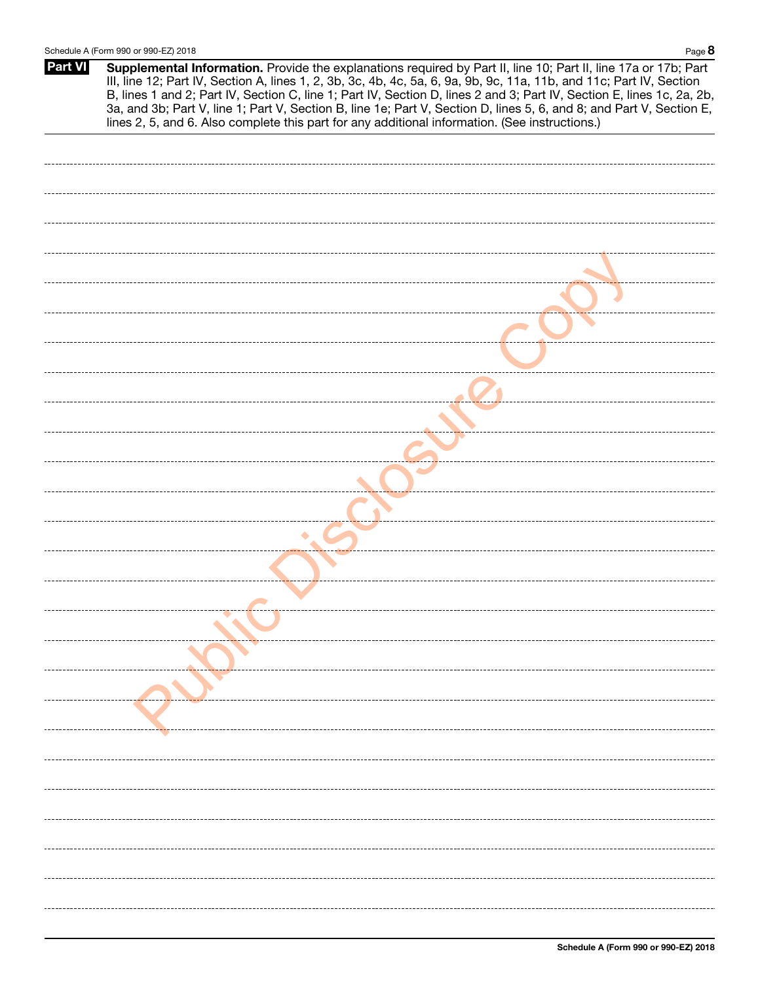| <b>Part VI</b> | Supplemental Information. Provide the explanations required by Part II, line 10; Part II, line 17a or 17b; Part<br>III, line 12; Part IV, Section A, lines 1, 2, 3b, 3c, 4b, 4c, 5a, 6, 9a, 9b, 9c, 11a, 11b, and 11c; Part IV, Section<br>B, lines 1 and 2; Part IV, Section C, line 1; Part IV, Section D, lines 2 and 3; Part IV, Section E, lines 1c, 2a, 2b,<br>3a, and 3b; Part V, line 1; Part V, Section B, line 1e; Part V, Section D, lines 5, 6, and 8; and Part V, Section E, lines 2, 5, and 6. Also complete this part for any additional information. (See instructions.) |
|----------------|------------------------------------------------------------------------------------------------------------------------------------------------------------------------------------------------------------------------------------------------------------------------------------------------------------------------------------------------------------------------------------------------------------------------------------------------------------------------------------------------------------------------------------------------------------------------------------------|
|                |                                                                                                                                                                                                                                                                                                                                                                                                                                                                                                                                                                                          |
|                |                                                                                                                                                                                                                                                                                                                                                                                                                                                                                                                                                                                          |
|                |                                                                                                                                                                                                                                                                                                                                                                                                                                                                                                                                                                                          |
|                |                                                                                                                                                                                                                                                                                                                                                                                                                                                                                                                                                                                          |
|                |                                                                                                                                                                                                                                                                                                                                                                                                                                                                                                                                                                                          |
|                |                                                                                                                                                                                                                                                                                                                                                                                                                                                                                                                                                                                          |
|                |                                                                                                                                                                                                                                                                                                                                                                                                                                                                                                                                                                                          |
|                |                                                                                                                                                                                                                                                                                                                                                                                                                                                                                                                                                                                          |
|                |                                                                                                                                                                                                                                                                                                                                                                                                                                                                                                                                                                                          |
|                |                                                                                                                                                                                                                                                                                                                                                                                                                                                                                                                                                                                          |
|                |                                                                                                                                                                                                                                                                                                                                                                                                                                                                                                                                                                                          |
|                |                                                                                                                                                                                                                                                                                                                                                                                                                                                                                                                                                                                          |
|                |                                                                                                                                                                                                                                                                                                                                                                                                                                                                                                                                                                                          |
|                |                                                                                                                                                                                                                                                                                                                                                                                                                                                                                                                                                                                          |
|                |                                                                                                                                                                                                                                                                                                                                                                                                                                                                                                                                                                                          |
|                |                                                                                                                                                                                                                                                                                                                                                                                                                                                                                                                                                                                          |
|                |                                                                                                                                                                                                                                                                                                                                                                                                                                                                                                                                                                                          |
|                |                                                                                                                                                                                                                                                                                                                                                                                                                                                                                                                                                                                          |
|                |                                                                                                                                                                                                                                                                                                                                                                                                                                                                                                                                                                                          |
|                |                                                                                                                                                                                                                                                                                                                                                                                                                                                                                                                                                                                          |
|                |                                                                                                                                                                                                                                                                                                                                                                                                                                                                                                                                                                                          |
|                |                                                                                                                                                                                                                                                                                                                                                                                                                                                                                                                                                                                          |
|                |                                                                                                                                                                                                                                                                                                                                                                                                                                                                                                                                                                                          |
|                |                                                                                                                                                                                                                                                                                                                                                                                                                                                                                                                                                                                          |
|                |                                                                                                                                                                                                                                                                                                                                                                                                                                                                                                                                                                                          |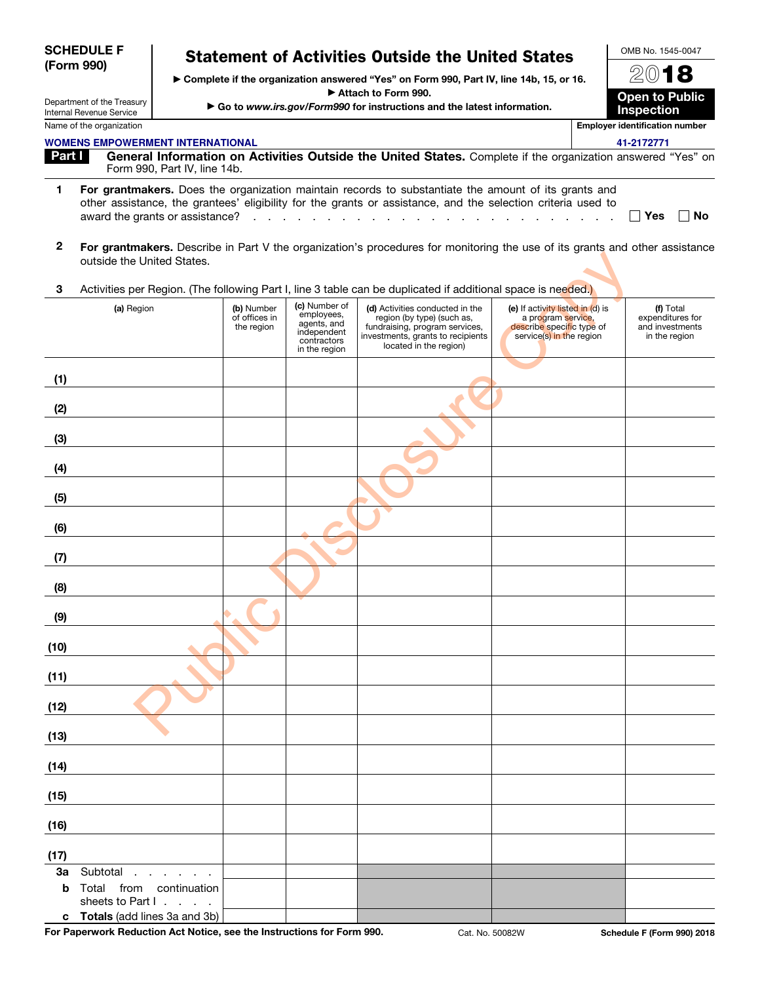|                | <b>SCHEDULE F</b><br>(Form 990)                        |                                           |                                                                                                                 | <b>Statement of Activities Outside the United States</b><br>> Complete if the organization answered "Yes" on Form 990, Part IV, line 14b, 15, or 16.                                                                                       |                                                                                                                 | OMB No. 1545-0047<br>2018                                         |
|----------------|--------------------------------------------------------|-------------------------------------------|-----------------------------------------------------------------------------------------------------------------|--------------------------------------------------------------------------------------------------------------------------------------------------------------------------------------------------------------------------------------------|-----------------------------------------------------------------------------------------------------------------|-------------------------------------------------------------------|
|                | Department of the Treasury<br>Internal Revenue Service |                                           |                                                                                                                 | Attach to Form 990.<br>Go to www.irs.gov/Form990 for instructions and the latest information.                                                                                                                                              |                                                                                                                 | <b>Open to Public</b><br><b>Inspection</b>                        |
|                | Name of the organization                               |                                           |                                                                                                                 |                                                                                                                                                                                                                                            |                                                                                                                 | <b>Employer identification number</b>                             |
|                | <b>WOMENS EMPOWERMENT INTERNATIONAL</b>                |                                           |                                                                                                                 |                                                                                                                                                                                                                                            |                                                                                                                 | 41-2172771                                                        |
| Part I         | Form 990, Part IV, line 14b.                           |                                           |                                                                                                                 | General Information on Activities Outside the United States. Complete if the organization answered "Yes" on                                                                                                                                |                                                                                                                 |                                                                   |
| $\blacksquare$ | award the grants or assistance?                        |                                           | the contract of the contract of the contract of the contract of the contract of the contract of the contract of | For grantmakers. Does the organization maintain records to substantiate the amount of its grants and<br>other assistance, the grantees' eligibility for the grants or assistance, and the selection criteria used to<br>and the control of | and the contract of the con-                                                                                    | ∣ ∣Yes<br><b>No</b>                                               |
| $\overline{2}$ | outside the United States.                             |                                           |                                                                                                                 | For grantmakers. Describe in Part V the organization's procedures for monitoring the use of its grants and other assistance                                                                                                                |                                                                                                                 |                                                                   |
| 3              |                                                        |                                           |                                                                                                                 | Activities per Region. (The following Part I, line 3 table can be duplicated if additional space is needed.)                                                                                                                               |                                                                                                                 |                                                                   |
|                | (a) Region                                             | (b) Number<br>of offices in<br>the region | (c) Number of<br>employees,<br>agents, and<br>independent<br>contractors<br>in the region                       | (d) Activities conducted in the<br>region (by type) (such as,<br>fundraising, program services,<br>investments, grants to recipients<br>located in the region)                                                                             | (e) If activity listed in (d) is<br>a program service,<br>describe specific type of<br>service(s) in the region | (f) Total<br>expenditures for<br>and investments<br>in the region |
| (1)            |                                                        |                                           |                                                                                                                 |                                                                                                                                                                                                                                            |                                                                                                                 |                                                                   |
| (2)            |                                                        |                                           |                                                                                                                 |                                                                                                                                                                                                                                            |                                                                                                                 |                                                                   |
| (3)            |                                                        |                                           |                                                                                                                 |                                                                                                                                                                                                                                            |                                                                                                                 |                                                                   |
| (4)            |                                                        |                                           |                                                                                                                 |                                                                                                                                                                                                                                            |                                                                                                                 |                                                                   |
| (5)            |                                                        |                                           |                                                                                                                 |                                                                                                                                                                                                                                            |                                                                                                                 |                                                                   |
| (6)            |                                                        |                                           |                                                                                                                 |                                                                                                                                                                                                                                            |                                                                                                                 |                                                                   |
| (7)            |                                                        |                                           |                                                                                                                 |                                                                                                                                                                                                                                            |                                                                                                                 |                                                                   |
| (8)            |                                                        |                                           |                                                                                                                 |                                                                                                                                                                                                                                            |                                                                                                                 |                                                                   |
| (9)            |                                                        |                                           |                                                                                                                 |                                                                                                                                                                                                                                            |                                                                                                                 |                                                                   |
| (10)           |                                                        |                                           |                                                                                                                 |                                                                                                                                                                                                                                            |                                                                                                                 |                                                                   |
| (11)           |                                                        |                                           |                                                                                                                 |                                                                                                                                                                                                                                            |                                                                                                                 |                                                                   |
| (12)           |                                                        |                                           |                                                                                                                 |                                                                                                                                                                                                                                            |                                                                                                                 |                                                                   |
| (13)           |                                                        |                                           |                                                                                                                 |                                                                                                                                                                                                                                            |                                                                                                                 |                                                                   |
| (14)           |                                                        |                                           |                                                                                                                 |                                                                                                                                                                                                                                            |                                                                                                                 |                                                                   |
| (15)           |                                                        |                                           |                                                                                                                 |                                                                                                                                                                                                                                            |                                                                                                                 |                                                                   |
| (16)           |                                                        |                                           |                                                                                                                 |                                                                                                                                                                                                                                            |                                                                                                                 |                                                                   |
| (17)           |                                                        |                                           |                                                                                                                 |                                                                                                                                                                                                                                            |                                                                                                                 |                                                                   |
| 3a<br>b        | Subtotal<br>Total from continuation                    |                                           |                                                                                                                 |                                                                                                                                                                                                                                            |                                                                                                                 |                                                                   |
|                | sheets to Part I.<br>c Totals (add lines 3a and 3b)    |                                           |                                                                                                                 |                                                                                                                                                                                                                                            |                                                                                                                 |                                                                   |

For Paperwork Reduction Act Notice, see the Instructions for Form 990. Cat. No. 50082W Schedule F (Form 990) 2018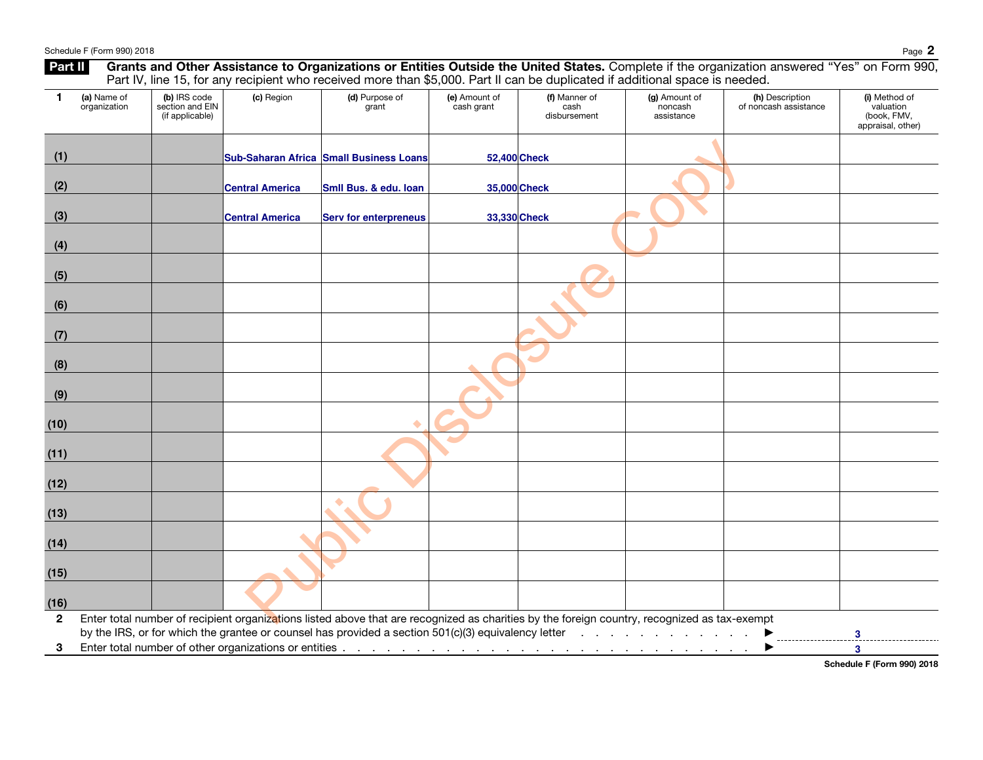|                |                             |                                                    |                        | Part IV, line 15, for any recipient who received more than \$5,000. Part II can be duplicated if additional space is needed.                                                                                                                        |                             |                                       |                                          |                                          |                                                                |
|----------------|-----------------------------|----------------------------------------------------|------------------------|-----------------------------------------------------------------------------------------------------------------------------------------------------------------------------------------------------------------------------------------------------|-----------------------------|---------------------------------------|------------------------------------------|------------------------------------------|----------------------------------------------------------------|
| 1              | (a) Name of<br>organization | (b) IRS code<br>section and EIN<br>(if applicable) | (c) Region             | (d) Purpose of<br>grant                                                                                                                                                                                                                             | (e) Amount of<br>cash grant | (f) Manner of<br>cash<br>disbursement | (g) Amount of<br>noncash<br>assistance   | (h) Description<br>of noncash assistance | (i) Method of<br>valuation<br>(book, FMV,<br>appraisal, other) |
| (1)            |                             |                                                    |                        | Sub-Saharan Africa Small Business Loans                                                                                                                                                                                                             | 52,400 Check                |                                       |                                          |                                          |                                                                |
| (2)            |                             |                                                    | Central America        | Smil Bus. & edu. Ioan                                                                                                                                                                                                                               | 35,000 Check                |                                       |                                          |                                          |                                                                |
| (3)            |                             |                                                    | <b>Central America</b> | <b>Serv for enterpreneus</b>                                                                                                                                                                                                                        | 33,330 Check                |                                       |                                          |                                          |                                                                |
| (4)            |                             |                                                    |                        |                                                                                                                                                                                                                                                     |                             |                                       |                                          |                                          |                                                                |
| (5)            |                             |                                                    |                        |                                                                                                                                                                                                                                                     |                             |                                       |                                          |                                          |                                                                |
| (6)            |                             |                                                    |                        |                                                                                                                                                                                                                                                     |                             |                                       |                                          |                                          |                                                                |
| (7)            |                             |                                                    |                        |                                                                                                                                                                                                                                                     |                             |                                       |                                          |                                          |                                                                |
| (8)            |                             |                                                    |                        |                                                                                                                                                                                                                                                     |                             |                                       |                                          |                                          |                                                                |
| (9)            |                             |                                                    |                        |                                                                                                                                                                                                                                                     |                             |                                       |                                          |                                          |                                                                |
| (10)           |                             |                                                    |                        |                                                                                                                                                                                                                                                     |                             |                                       |                                          |                                          |                                                                |
| (11)           |                             |                                                    |                        |                                                                                                                                                                                                                                                     |                             |                                       |                                          |                                          |                                                                |
| (12)           |                             |                                                    |                        |                                                                                                                                                                                                                                                     |                             |                                       |                                          |                                          |                                                                |
| (13)           |                             |                                                    |                        | ٠                                                                                                                                                                                                                                                   |                             |                                       |                                          |                                          |                                                                |
| (14)           |                             |                                                    |                        |                                                                                                                                                                                                                                                     |                             |                                       |                                          |                                          |                                                                |
| (15)           |                             |                                                    |                        |                                                                                                                                                                                                                                                     |                             |                                       |                                          |                                          |                                                                |
| (16)           |                             |                                                    |                        |                                                                                                                                                                                                                                                     |                             |                                       |                                          |                                          |                                                                |
| $\overline{2}$ |                             |                                                    |                        | Enter total number of recipient organizations listed above that are recognized as charities by the foreign country, recognized as tax-exempt<br>by the IRS, or for which the grantee or counsel has provided a section 501(c)(3) equivalency letter |                             |                                       | the contract of the contract of the con- |                                          | 3                                                              |
| 3              |                             |                                                    |                        |                                                                                                                                                                                                                                                     |                             |                                       |                                          |                                          | $\overline{\mathbf{3}}$                                        |

Schedule F (Form 990) 2018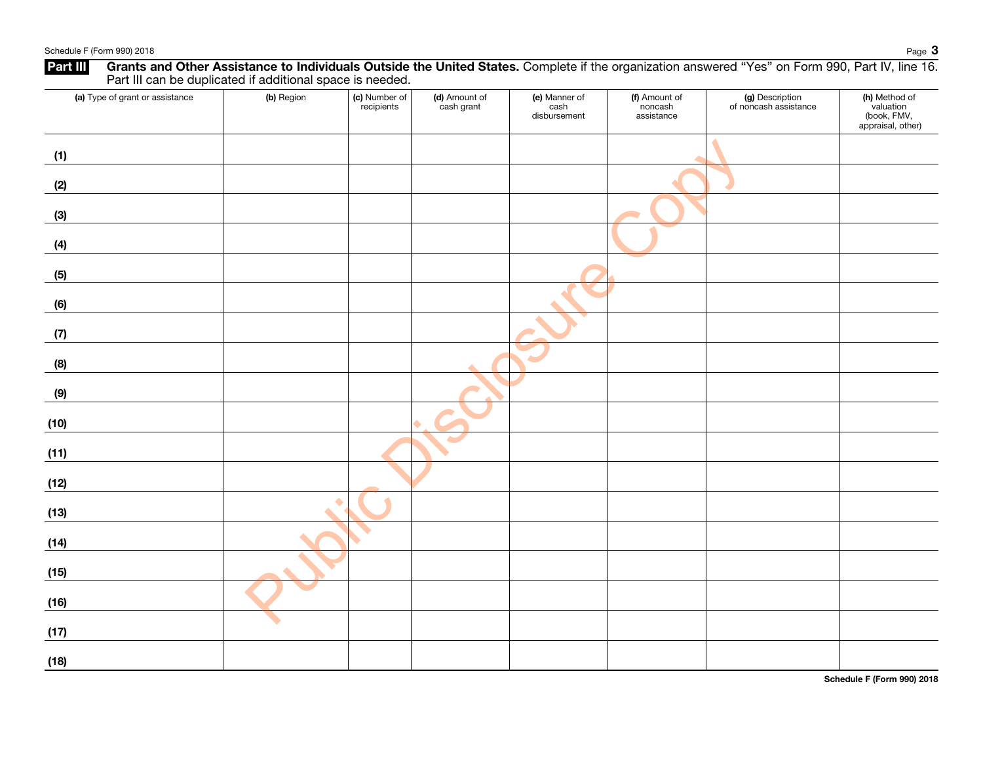|                                 | Part III can be duplicated if additional space is needed. |                             |                             |                                       |                                        |                                          |                                                                |
|---------------------------------|-----------------------------------------------------------|-----------------------------|-----------------------------|---------------------------------------|----------------------------------------|------------------------------------------|----------------------------------------------------------------|
| (a) Type of grant or assistance | (b) Region                                                | (c) Number of<br>recipients | (d) Amount of<br>cash grant | (e) Manner of<br>cash<br>disbursement | (f) Amount of<br>noncash<br>assistance | (g) Description<br>of noncash assistance | (h) Method of<br>valuation<br>(book, FMV,<br>appraisal, other) |
| (1)                             |                                                           |                             |                             |                                       |                                        |                                          |                                                                |
| (2)                             |                                                           |                             |                             |                                       |                                        |                                          |                                                                |
| (3)                             |                                                           |                             |                             |                                       |                                        |                                          |                                                                |
| (4)                             |                                                           |                             |                             |                                       |                                        |                                          |                                                                |
| (5)                             |                                                           |                             |                             |                                       |                                        |                                          |                                                                |
| (6)                             |                                                           |                             |                             |                                       |                                        |                                          |                                                                |
| (7)                             |                                                           |                             |                             |                                       |                                        |                                          |                                                                |
| (8)                             |                                                           |                             |                             |                                       |                                        |                                          |                                                                |
| (9)                             |                                                           |                             |                             |                                       |                                        |                                          |                                                                |
| (10)                            |                                                           |                             |                             |                                       |                                        |                                          |                                                                |
| (11)                            |                                                           |                             |                             |                                       |                                        |                                          |                                                                |
| (12)                            |                                                           |                             |                             |                                       |                                        |                                          |                                                                |
| (13)                            | ۰                                                         |                             |                             |                                       |                                        |                                          |                                                                |
| (14)                            |                                                           |                             |                             |                                       |                                        |                                          |                                                                |
| (15)                            |                                                           |                             |                             |                                       |                                        |                                          |                                                                |
| (16)                            |                                                           |                             |                             |                                       |                                        |                                          |                                                                |
| (17)                            |                                                           |                             |                             |                                       |                                        |                                          |                                                                |
| (18)                            |                                                           |                             |                             |                                       |                                        |                                          |                                                                |

Part III Grants and Other Assistance to Individuals Outside the United States. Complete if the organization answered "Yes" on Form 990, Part IV, line 16.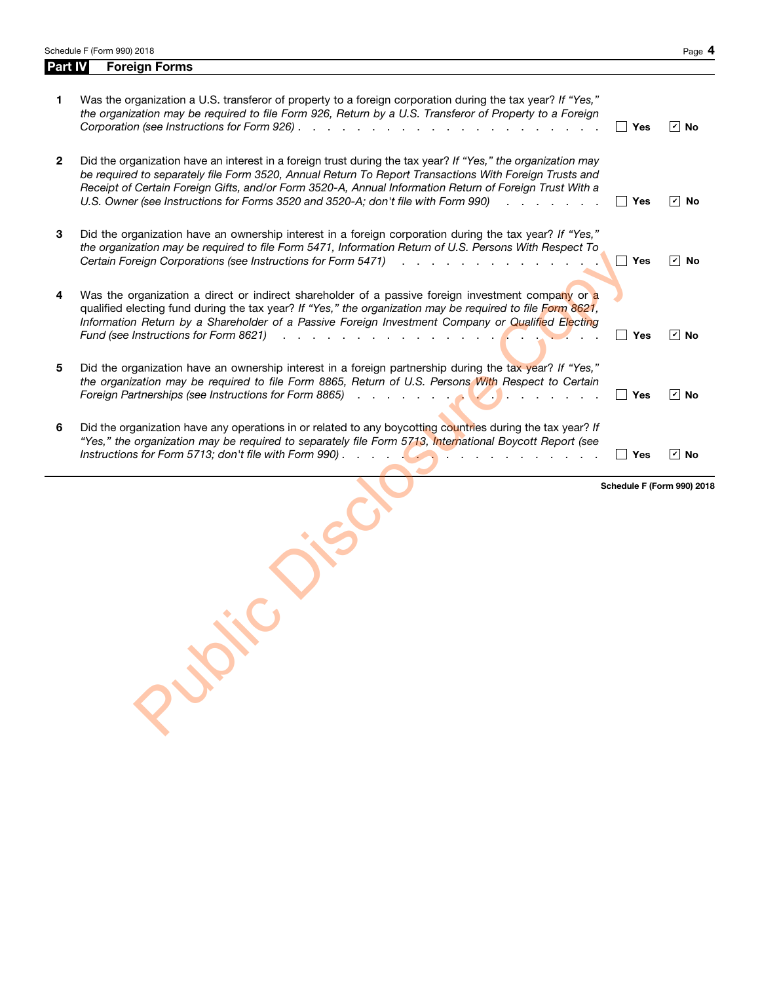| <b>Foreign Forms</b><br>Part IV                                                                                                                                                                                                                                                                                                                                                                                                                                                                                      |                                 |                            |
|----------------------------------------------------------------------------------------------------------------------------------------------------------------------------------------------------------------------------------------------------------------------------------------------------------------------------------------------------------------------------------------------------------------------------------------------------------------------------------------------------------------------|---------------------------------|----------------------------|
| Was the organization a U.S. transferor of property to a foreign corporation during the tax year? If "Yes,"<br>the organization may be required to file Form 926, Return by a U.S. Transferor of Property to a Foreign                                                                                                                                                                                                                                                                                                | Yes                             | $\boxed{v}$ No             |
| Did the organization have an interest in a foreign trust during the tax year? If "Yes," the organization may<br>be required to separately file Form 3520, Annual Return To Report Transactions With Foreign Trusts and<br>Receipt of Certain Foreign Gifts, and/or Form 3520-A, Annual Information Return of Foreign Trust With a<br>U.S. Owner (see Instructions for Forms 3520 and 3520-A; don't file with Form 990)<br>and a strong control of the                                                                | Yes<br>$\blacksquare$           | $ \boldsymbol{v} $<br>No   |
| Did the organization have an ownership interest in a foreign corporation during the tax year? If "Yes,"<br>the organization may be required to file Form 5471, Information Return of U.S. Persons With Respect To<br>Certain Foreign Corporations (see Instructions for Form 5471)<br>and a contract of the contract of the contract of the contract of the contract of the contract of the contract of the contract of the contract of the contract of the contract of the contract of the contract of the contract | Yes<br>$\overline{\phantom{0}}$ | $\overline{v}$ No          |
| Was the organization a direct or indirect shareholder of a passive foreign investment company or a<br>qualified electing fund during the tax year? If "Yes," the organization may be required to file Form 8621,<br>Information Return by a Shareholder of a Passive Foreign Investment Company or Qualified Electing<br>Fund (see Instructions for Form 8621)<br>. <b>.</b>                                                                                                                                         | Yes                             | $\overline{v}$ No          |
| Did the organization have an ownership interest in a foreign partnership during the tax year? If "Yes,"<br>the organization may be required to file Form 8865, Return of U.S. Persons With Respect to Certain<br>Foreign Partnerships (see Instructions for Form 8865)<br>$\mathcal{L}$ . The contract of $\mathcal{L}$ is the contract of $\mathcal{L}$                                                                                                                                                             | Yes                             | $\boxed{\mathbf{v}}$ No    |
| Did the organization have any operations in or related to any boycotting countries during the tax year? If<br>"Yes," the organization may be required to separately file Form 5713, International Boycott Report (see                                                                                                                                                                                                                                                                                                | Yes                             | $\overline{v}$ No          |
| Justice of                                                                                                                                                                                                                                                                                                                                                                                                                                                                                                           |                                 |                            |
|                                                                                                                                                                                                                                                                                                                                                                                                                                                                                                                      |                                 | Schedule F (Form 990) 2018 |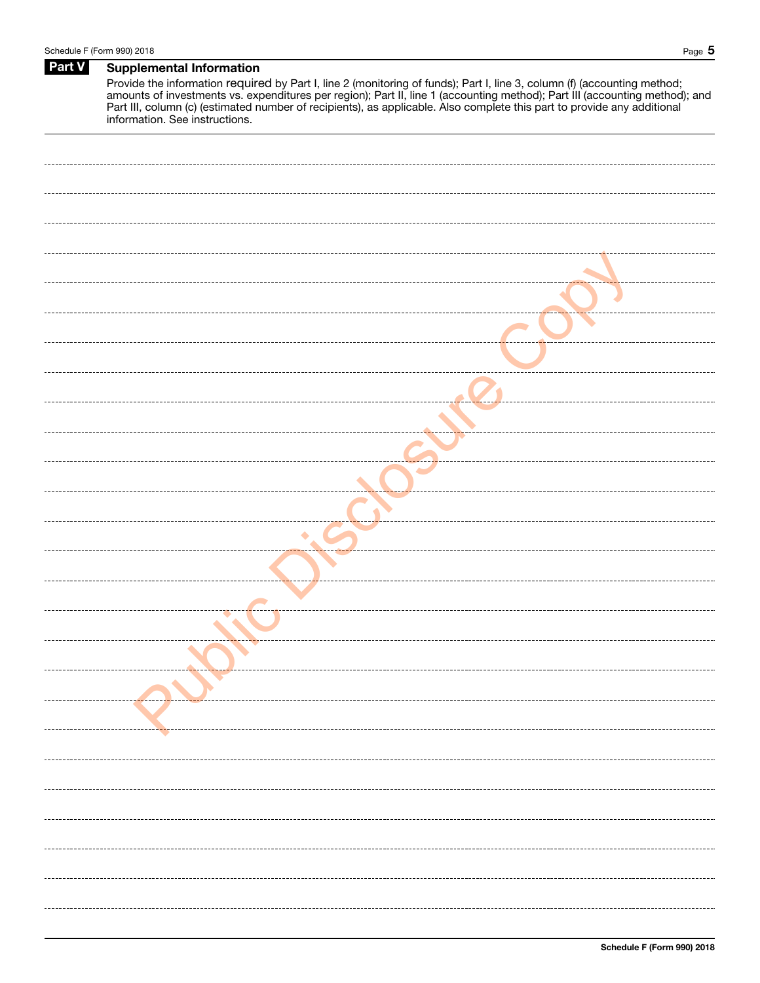# Part V Supplemental Information

Provide the information required by Part I, line 2 (monitoring of funds); Part I, line 3, column (f) (accounting method; amounts of investments vs. expenditures per region); Part II, line 1 (accounting method); Part III (accounting method); and Part III, column (c) (estimated number of recipients), as applicable. Also complete this part to provide any additional information. See instructions.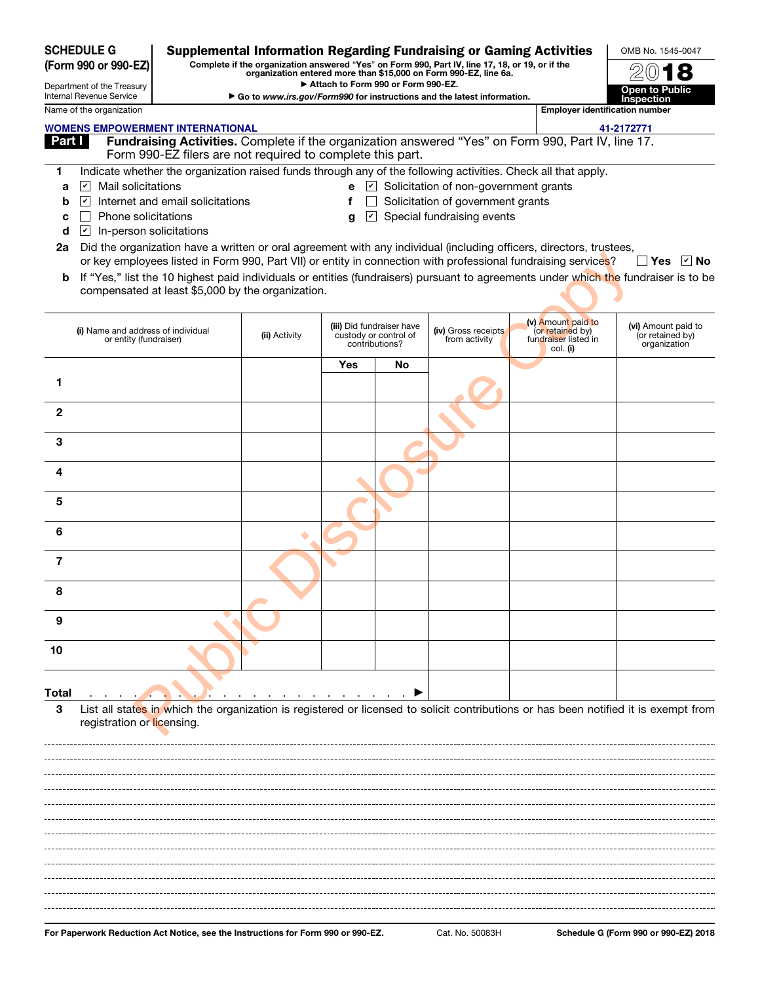| <b>SCHEDULE G</b><br>(Form 990 or 990-EZ) |                                                              |                                                            | <b>Supplemental Information Regarding Fundraising or Gaming Activities</b><br>Complete if the organization answered "Yes" on Form 990, Part IV, line 17, 18, or 19, or if the | OMB No. 1545-0047                  |                                                                      |                                                                        |                                                                                                                     |                                                                                                                                     |
|-------------------------------------------|--------------------------------------------------------------|------------------------------------------------------------|-------------------------------------------------------------------------------------------------------------------------------------------------------------------------------|------------------------------------|----------------------------------------------------------------------|------------------------------------------------------------------------|---------------------------------------------------------------------------------------------------------------------|-------------------------------------------------------------------------------------------------------------------------------------|
|                                           |                                                              |                                                            |                                                                                                                                                                               | Attach to Form 990 or Form 990-EZ. |                                                                      | organization entered more than \$15,000 on Form 990-EZ, line 6a.       |                                                                                                                     |                                                                                                                                     |
|                                           | Department of the Treasury<br>Internal Revenue Service       |                                                            |                                                                                                                                                                               |                                    |                                                                      | Go to www.irs.gov/Form990 for instructions and the latest information. |                                                                                                                     | <b>Open to Public</b><br><b>Inspection</b>                                                                                          |
|                                           | Name of the organization                                     |                                                            |                                                                                                                                                                               |                                    |                                                                      |                                                                        | <b>Employer identification number</b>                                                                               |                                                                                                                                     |
|                                           |                                                              | <b>WOMENS EMPOWERMENT INTERNATIONAL</b>                    |                                                                                                                                                                               |                                    |                                                                      |                                                                        |                                                                                                                     | 41-2172771                                                                                                                          |
| <u>Part I</u>                             |                                                              | Form 990-EZ filers are not required to complete this part. |                                                                                                                                                                               |                                    |                                                                      |                                                                        | Fundraising Activities. Complete if the organization answered "Yes" on Form 990, Part IV, line 17.                  |                                                                                                                                     |
| 1                                         |                                                              |                                                            |                                                                                                                                                                               |                                    |                                                                      |                                                                        | Indicate whether the organization raised funds through any of the following activities. Check all that apply.       |                                                                                                                                     |
| a                                         | Mail solicitations<br>$ \boldsymbol{v} $                     |                                                            |                                                                                                                                                                               | $ \mathbf{v} $<br>e                |                                                                      | Solicitation of non-government grants                                  |                                                                                                                     |                                                                                                                                     |
| b                                         | $ \mathbf{v} $                                               | Internet and email solicitations                           |                                                                                                                                                                               | f                                  |                                                                      | Solicitation of government grants                                      |                                                                                                                     |                                                                                                                                     |
| с                                         | Phone solicitations                                          |                                                            |                                                                                                                                                                               | $ \mathcal{V} $<br>q               |                                                                      | Special fundraising events                                             |                                                                                                                     |                                                                                                                                     |
| d<br>2a                                   | In-person solicitations<br>$ \boldsymbol{v} $                |                                                            |                                                                                                                                                                               |                                    |                                                                      |                                                                        | Did the organization have a written or oral agreement with any individual (including officers, directors, trustees, |                                                                                                                                     |
|                                           |                                                              |                                                            |                                                                                                                                                                               |                                    |                                                                      |                                                                        | or key employees listed in Form 990, Part VII) or entity in connection with professional fundraising services?      | ∣ l Yes<br>∣r∣ No                                                                                                                   |
| b                                         |                                                              | compensated at least \$5,000 by the organization.          |                                                                                                                                                                               |                                    |                                                                      |                                                                        |                                                                                                                     | If "Yes," list the 10 highest paid individuals or entities (fundraisers) pursuant to agreements under which the fundraiser is to be |
|                                           |                                                              |                                                            |                                                                                                                                                                               |                                    |                                                                      |                                                                        |                                                                                                                     |                                                                                                                                     |
|                                           | (i) Name and address of individual<br>or entity (fundraiser) |                                                            | (ii) Activity                                                                                                                                                                 |                                    | (iii) Did fundraiser have<br>custody or control of<br>contributions? | (iv) Gross receipts<br>from activity                                   | (v) Amount paid to<br>(or retained by)<br>fundraiser listed in<br>col. (i)                                          | (vi) Amount paid to<br>(or retained by)<br>organization                                                                             |
| 1                                         |                                                              |                                                            |                                                                                                                                                                               | Yes                                | No                                                                   |                                                                        |                                                                                                                     |                                                                                                                                     |
|                                           |                                                              |                                                            |                                                                                                                                                                               |                                    |                                                                      |                                                                        |                                                                                                                     |                                                                                                                                     |
| $\mathbf{2}$                              |                                                              |                                                            |                                                                                                                                                                               |                                    |                                                                      |                                                                        |                                                                                                                     |                                                                                                                                     |
| 3                                         |                                                              |                                                            |                                                                                                                                                                               |                                    |                                                                      |                                                                        |                                                                                                                     |                                                                                                                                     |
| 4                                         |                                                              |                                                            |                                                                                                                                                                               |                                    |                                                                      |                                                                        |                                                                                                                     |                                                                                                                                     |
| 5                                         |                                                              |                                                            |                                                                                                                                                                               |                                    |                                                                      |                                                                        |                                                                                                                     |                                                                                                                                     |
| 6                                         |                                                              |                                                            | ٠                                                                                                                                                                             |                                    |                                                                      |                                                                        |                                                                                                                     |                                                                                                                                     |
| 7                                         |                                                              |                                                            |                                                                                                                                                                               |                                    |                                                                      |                                                                        |                                                                                                                     |                                                                                                                                     |
| Զ                                         |                                                              |                                                            |                                                                                                                                                                               |                                    |                                                                      |                                                                        |                                                                                                                     |                                                                                                                                     |
| 9                                         |                                                              |                                                            |                                                                                                                                                                               |                                    |                                                                      |                                                                        |                                                                                                                     |                                                                                                                                     |
| 10                                        |                                                              |                                                            |                                                                                                                                                                               |                                    |                                                                      |                                                                        |                                                                                                                     |                                                                                                                                     |
|                                           |                                                              |                                                            |                                                                                                                                                                               |                                    |                                                                      |                                                                        |                                                                                                                     |                                                                                                                                     |
| <b>Total</b><br>3                         |                                                              |                                                            |                                                                                                                                                                               |                                    |                                                                      |                                                                        |                                                                                                                     | List all states in which the organization is registered or licensed to solicit contributions or has been notified it is exempt from |
|                                           | registration or licensing.                                   |                                                            |                                                                                                                                                                               |                                    |                                                                      |                                                                        |                                                                                                                     |                                                                                                                                     |
|                                           |                                                              |                                                            |                                                                                                                                                                               |                                    |                                                                      |                                                                        |                                                                                                                     |                                                                                                                                     |
|                                           |                                                              |                                                            |                                                                                                                                                                               |                                    |                                                                      |                                                                        |                                                                                                                     |                                                                                                                                     |
|                                           |                                                              |                                                            |                                                                                                                                                                               |                                    |                                                                      |                                                                        |                                                                                                                     |                                                                                                                                     |
|                                           |                                                              |                                                            |                                                                                                                                                                               |                                    |                                                                      |                                                                        |                                                                                                                     |                                                                                                                                     |
|                                           |                                                              |                                                            |                                                                                                                                                                               |                                    |                                                                      |                                                                        |                                                                                                                     |                                                                                                                                     |
|                                           |                                                              |                                                            |                                                                                                                                                                               |                                    |                                                                      |                                                                        |                                                                                                                     |                                                                                                                                     |
|                                           |                                                              |                                                            |                                                                                                                                                                               |                                    |                                                                      |                                                                        |                                                                                                                     |                                                                                                                                     |
|                                           |                                                              |                                                            |                                                                                                                                                                               |                                    |                                                                      |                                                                        |                                                                                                                     |                                                                                                                                     |
|                                           |                                                              |                                                            |                                                                                                                                                                               |                                    |                                                                      |                                                                        |                                                                                                                     |                                                                                                                                     |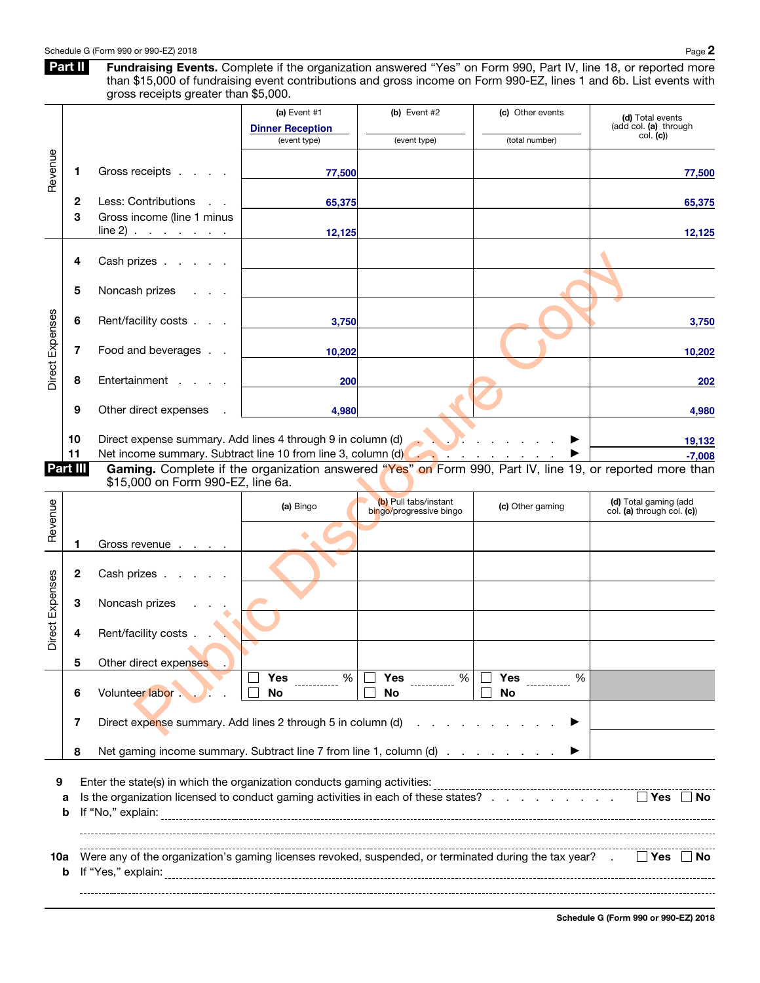Part II Fundraising Events. Complete if the organization answered "Yes" on Form 990, Part IV, line 18, or reported more than \$15,000 of fundraising event contributions and gross income on Form 990-EZ, lines 1 and 6b. List events with gross receipts greater than \$5,000.

|                 |          |                                                                                                                                                                | (a) Event #1<br><b>Dinner Reception</b><br>(event type) | (b) Event $#2$<br>(event type)                   | (c) Other events<br>(total number)                                   | (d) Total events<br>(add col. (a) through<br>col. (c) |
|-----------------|----------|----------------------------------------------------------------------------------------------------------------------------------------------------------------|---------------------------------------------------------|--------------------------------------------------|----------------------------------------------------------------------|-------------------------------------------------------|
| Revenue         |          | Gross receipts<br>1                                                                                                                                            | 77,500                                                  |                                                  |                                                                      | 77,500                                                |
|                 |          | Less: Contributions<br>2                                                                                                                                       | 65,375                                                  |                                                  |                                                                      | 65,375                                                |
|                 |          | Gross income (line 1 minus<br>3<br>line 2)                                                                                                                     | 12,125                                                  |                                                  |                                                                      | 12,125                                                |
|                 |          | Cash prizes<br>4                                                                                                                                               |                                                         |                                                  |                                                                      |                                                       |
|                 |          | 5<br>Noncash prizes                                                                                                                                            |                                                         |                                                  |                                                                      |                                                       |
|                 |          | Rent/facility costs<br>6                                                                                                                                       | 3,750                                                   |                                                  |                                                                      | 3,750                                                 |
| Direct Expenses |          | 7<br>Food and beverages                                                                                                                                        | 10,202                                                  |                                                  |                                                                      | 10,202                                                |
|                 |          | Entertainment<br>8                                                                                                                                             | 200                                                     |                                                  |                                                                      | 202                                                   |
|                 |          | 9<br>Other direct expenses                                                                                                                                     | 4,980                                                   |                                                  |                                                                      | 4,980                                                 |
|                 | 10<br>11 | Direct expense summary. Add lines 4 through 9 in column (d)<br>Net income summary. Subtract line 10 from line 3, column (d)                                    |                                                         |                                                  | $\mathcal{L}$ . The set of $\mathcal{L}$ is the set of $\mathcal{L}$ | 19,132<br>$-7,008$                                    |
| Part III        |          | Gaming. Complete if the organization answered "Yes" on Form 990, Part IV, line 19, or reported more than<br>\$15,000 on Form 990-EZ, line 6a.                  |                                                         |                                                  |                                                                      |                                                       |
| Revenue         |          |                                                                                                                                                                | (a) Bingo                                               | (b) Pull tabs/instant<br>bingo/progressive bingo | (c) Other gaming                                                     | (d) Total gaming (add<br>col. (a) through col. (c))   |
|                 |          | Gross revenue<br>1                                                                                                                                             |                                                         |                                                  |                                                                      |                                                       |
|                 |          | Cash prizes<br>2                                                                                                                                               |                                                         |                                                  |                                                                      |                                                       |
|                 |          | Noncash prizes<br>3                                                                                                                                            |                                                         |                                                  |                                                                      |                                                       |
| Direct Expenses |          | Rent/facility costs<br>4                                                                                                                                       |                                                         |                                                  |                                                                      |                                                       |
|                 |          | Other direct expenses<br>5                                                                                                                                     |                                                         |                                                  |                                                                      |                                                       |
|                 |          | Volunteer labor.<br>6                                                                                                                                          | %<br>Yes<br>No                                          | $\%$<br><b>Yes</b><br>No                         | %<br>Yes<br>No                                                       |                                                       |
|                 |          | Direct expense summary. Add lines 2 through 5 in column (d)<br>7                                                                                               |                                                         |                                                  |                                                                      |                                                       |
|                 |          | Net gaming income summary. Subtract line 7 from line 1, column (d)<br>8                                                                                        |                                                         |                                                  |                                                                      |                                                       |
| 9               | a<br>b   | Enter the state(s) in which the organization conducts gaming activities:<br>Is the organization licensed to conduct gaming activities in each of these states? |                                                         |                                                  |                                                                      |                                                       |
| 10a             | b        | Were any of the organization's gaming licenses revoked, suspended, or terminated during the tax year?<br>If "Yes," explain:                                    |                                                         |                                                  |                                                                      | Yes   ∣No                                             |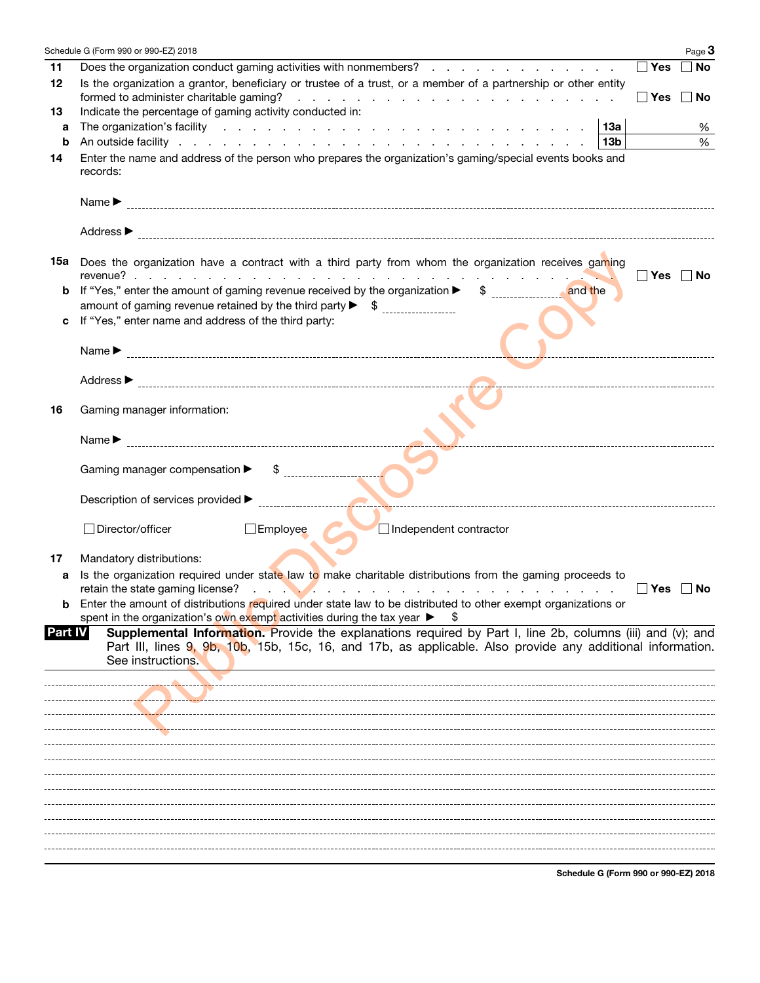|         | Schedule G (Form 990 or 990-EZ) 2018<br>Page 3                                                                                                                                                                                                            |
|---------|-----------------------------------------------------------------------------------------------------------------------------------------------------------------------------------------------------------------------------------------------------------|
| 11      | $\Box$ Yes<br>Does the organization conduct gaming activities with nonmembers?<br>∣ ∣No                                                                                                                                                                   |
| 12      | Is the organization a grantor, beneficiary or trustee of a trust, or a member of a partnership or other entity<br>formed to administer charitable gaming?<br>  Yes  No<br>the contract of the contract of the contract of the contract of the contract of |
| 13      | Indicate the percentage of gaming activity conducted in:                                                                                                                                                                                                  |
| a       | The organization's facility enterprise and a series of the series of the series of the series of the series of the series of the series of the series of the series of the series of the series of the series of the series of<br>∣ 13a<br>%              |
| b       | %<br>13b                                                                                                                                                                                                                                                  |
| 14      | Enter the name and address of the person who prepares the organization's gaming/special events books and<br>records:                                                                                                                                      |
|         | Name $\blacktriangleright$                                                                                                                                                                                                                                |
|         |                                                                                                                                                                                                                                                           |
| 15а     | Does the organization have a contract with a third party from whom the organization receives gaming                                                                                                                                                       |
| b       | Yes   No<br>and a state of the state of<br>If "Yes," enter the amount of gaming revenue received by the organization ▶ \$ and the                                                                                                                         |
|         |                                                                                                                                                                                                                                                           |
| c       | If "Yes," enter name and address of the third party:                                                                                                                                                                                                      |
|         |                                                                                                                                                                                                                                                           |
|         | Name $\blacktriangleright$                                                                                                                                                                                                                                |
|         |                                                                                                                                                                                                                                                           |
|         | Address $\blacktriangleright$                                                                                                                                                                                                                             |
| 16      | Gaming manager information:                                                                                                                                                                                                                               |
|         | Name $\blacktriangleright$                                                                                                                                                                                                                                |
|         | Gaming manager compensation $\blacktriangleright$ \$                                                                                                                                                                                                      |
|         |                                                                                                                                                                                                                                                           |
|         | Director/officer<br>$\Box$ Employee<br>Independent contractor                                                                                                                                                                                             |
| 17      | Mandatory distributions:                                                                                                                                                                                                                                  |
| а       | Is the organization required under state law to make charitable distributions from the gaming proceeds to<br>$\Box$ Yes $\Box$ No                                                                                                                         |
| b       | Enter the amount of distributions required under state law to be distributed to other exempt organizations or                                                                                                                                             |
| Part IV | spent in the organization's own exempt activities during the tax year $\blacktriangleright$<br>8<br>Supplemental Information. Provide the explanations required by Part I, line 2b, columns (iii) and (v); and                                            |
|         | Part III, lines 9, 9b, 10b, 15b, 15c, 16, and 17b, as applicable. Also provide any additional information.<br>See instructions.                                                                                                                           |
|         |                                                                                                                                                                                                                                                           |
|         |                                                                                                                                                                                                                                                           |
|         |                                                                                                                                                                                                                                                           |
|         |                                                                                                                                                                                                                                                           |
|         |                                                                                                                                                                                                                                                           |
|         |                                                                                                                                                                                                                                                           |
|         |                                                                                                                                                                                                                                                           |
|         |                                                                                                                                                                                                                                                           |
|         |                                                                                                                                                                                                                                                           |
|         |                                                                                                                                                                                                                                                           |
|         |                                                                                                                                                                                                                                                           |
|         |                                                                                                                                                                                                                                                           |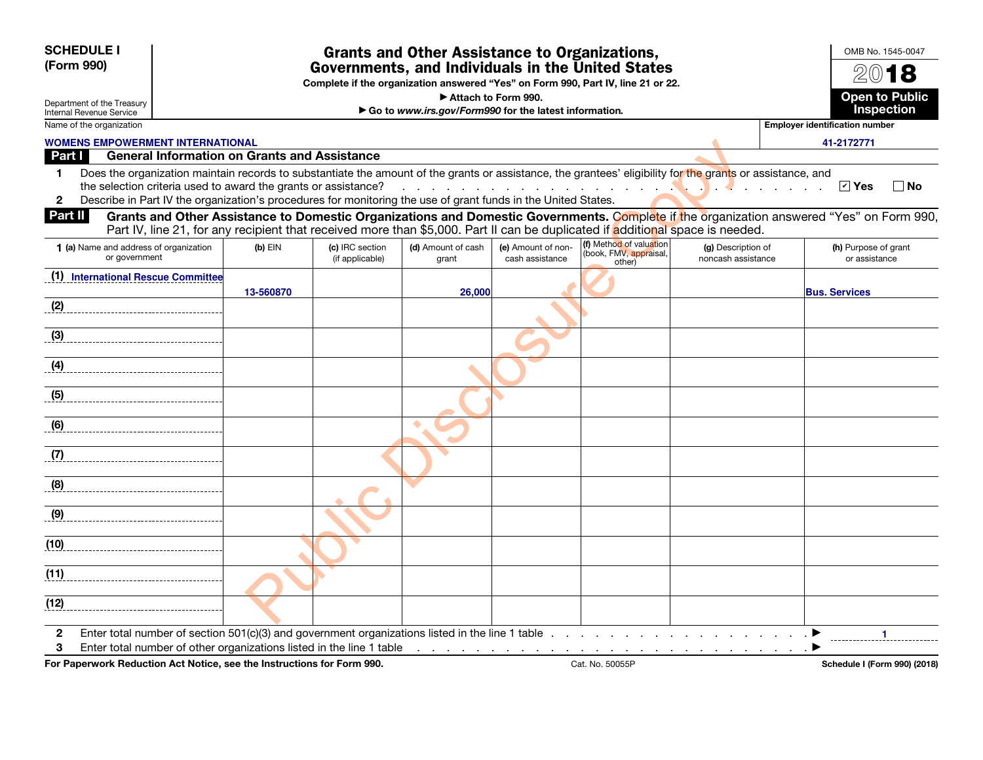| <b>SCHEDULE I</b><br>(Form 990)                        |                                                         |                                                                |                                    | <b>Grants and Other Assistance to Organizations,</b>                                                          |                                       | Governments, and Individuals in the United States<br>Complete if the organization answered "Yes" on Form 990, Part IV, line 21 or 22.                                                                                                                                     |                                          |                                       | OMB No. 1545-0047                   |
|--------------------------------------------------------|---------------------------------------------------------|----------------------------------------------------------------|------------------------------------|---------------------------------------------------------------------------------------------------------------|---------------------------------------|---------------------------------------------------------------------------------------------------------------------------------------------------------------------------------------------------------------------------------------------------------------------------|------------------------------------------|---------------------------------------|-------------------------------------|
| Department of the Treasury<br>Internal Revenue Service |                                                         |                                                                |                                    | Attach to Form 990.<br>Go to www.irs.gov/Form990 for the latest information.                                  |                                       |                                                                                                                                                                                                                                                                           |                                          |                                       | <b>Open to Public</b><br>Inspection |
| Name of the organization                               |                                                         |                                                                |                                    |                                                                                                               |                                       |                                                                                                                                                                                                                                                                           |                                          | <b>Employer identification number</b> |                                     |
| <b>WOMENS EMPOWERMENT INTERNATIONAL</b>                |                                                         |                                                                |                                    |                                                                                                               |                                       |                                                                                                                                                                                                                                                                           |                                          | 41-2172771                            |                                     |
| Part I                                                 |                                                         | <b>General Information on Grants and Assistance</b>            |                                    |                                                                                                               |                                       |                                                                                                                                                                                                                                                                           |                                          |                                       |                                     |
| 1.<br>$\mathbf{2}$                                     |                                                         | the selection criteria used to award the grants or assistance? |                                    | Describe in Part IV the organization's procedures for monitoring the use of grant funds in the United States. |                                       | Does the organization maintain records to substantiate the amount of the grants or assistance, the grantees' eligibility for the grants or assistance, and                                                                                                                |                                          | $\sqrt{ }$ Yes                        | $\Box$ No                           |
| Part II                                                |                                                         |                                                                |                                    |                                                                                                               |                                       | Grants and Other Assistance to Domestic Organizations and Domestic Governments. Complete if the organization answered "Yes" on Form 990,<br>Part IV, line 21, for any recipient that received more than \$5,000. Part II can be duplicated if additional space is needed. |                                          |                                       |                                     |
|                                                        | 1 (a) Name and address of organization<br>or government | $(b)$ EIN                                                      | (c) IRC section<br>(if applicable) | (d) Amount of cash<br>grant                                                                                   | (e) Amount of non-<br>cash assistance | (f) Method of valuation<br>book, FMV, appraisal,<br>other)                                                                                                                                                                                                                | (g) Description of<br>noncash assistance | (h) Purpose of grant<br>or assistance |                                     |
|                                                        | (1) International Rescue Committee                      | 13-560870                                                      |                                    | 26,000                                                                                                        |                                       |                                                                                                                                                                                                                                                                           |                                          | <b>Bus. Services</b>                  |                                     |
| (2)                                                    |                                                         |                                                                |                                    |                                                                                                               |                                       |                                                                                                                                                                                                                                                                           |                                          |                                       |                                     |
| (3)                                                    |                                                         |                                                                |                                    |                                                                                                               |                                       |                                                                                                                                                                                                                                                                           |                                          |                                       |                                     |
| (4)                                                    |                                                         |                                                                |                                    |                                                                                                               |                                       |                                                                                                                                                                                                                                                                           |                                          |                                       |                                     |
| (5)                                                    |                                                         |                                                                |                                    |                                                                                                               |                                       |                                                                                                                                                                                                                                                                           |                                          |                                       |                                     |
| (6)                                                    |                                                         |                                                                |                                    |                                                                                                               |                                       |                                                                                                                                                                                                                                                                           |                                          |                                       |                                     |
| (7)                                                    |                                                         |                                                                |                                    |                                                                                                               |                                       |                                                                                                                                                                                                                                                                           |                                          |                                       |                                     |
| $\overline{8}$ (8)                                     |                                                         |                                                                |                                    |                                                                                                               |                                       |                                                                                                                                                                                                                                                                           |                                          |                                       |                                     |
| (9)                                                    |                                                         |                                                                |                                    |                                                                                                               |                                       |                                                                                                                                                                                                                                                                           |                                          |                                       |                                     |
| (10)                                                   |                                                         |                                                                |                                    |                                                                                                               |                                       |                                                                                                                                                                                                                                                                           |                                          |                                       |                                     |
| (11)                                                   |                                                         |                                                                |                                    |                                                                                                               |                                       |                                                                                                                                                                                                                                                                           |                                          |                                       |                                     |
| (12)                                                   |                                                         |                                                                |                                    |                                                                                                               |                                       |                                                                                                                                                                                                                                                                           |                                          |                                       |                                     |
| $\mathbf{2}$<br>3                                      |                                                         |                                                                |                                    | Enter total number of other organizations listed in the line 1 table                                          |                                       | Enter total number of section 501(c)(3) and government organizations listed in the line 1 table $\ldots$ , $\ldots$ , $\ldots$ , $\ldots$                                                                                                                                 |                                          |                                       |                                     |

For Paperwork Reduction Act Notice, see the Instructions for Form 990. Cat. No. 50055P Schedule I (Form 990) (2018)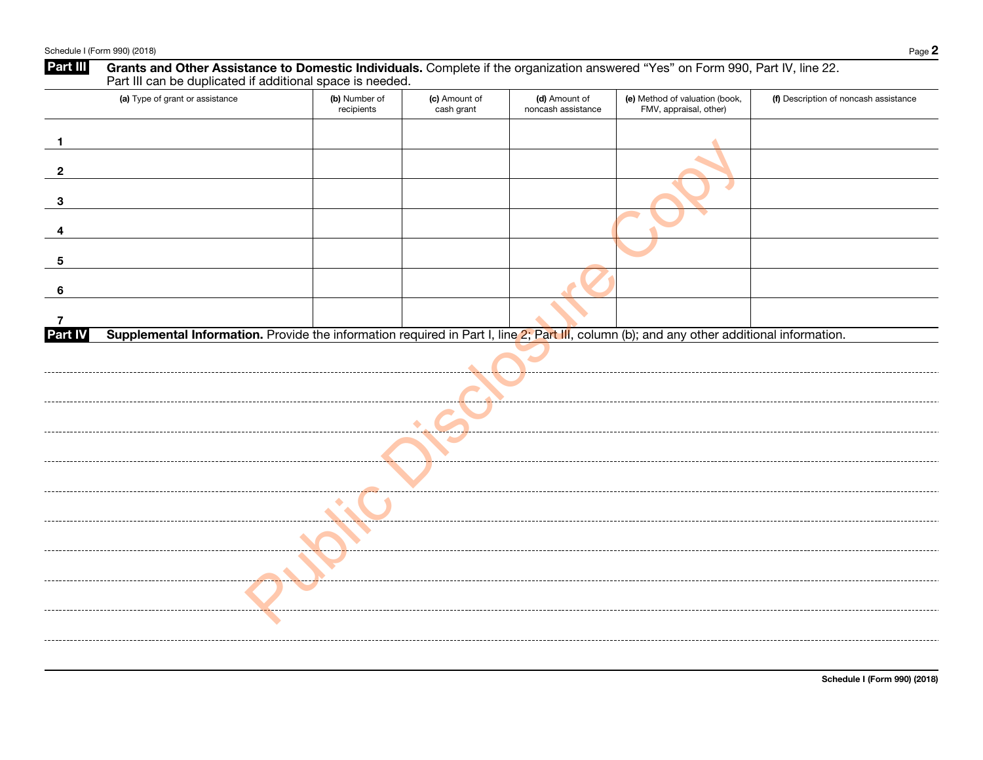| Part III            | Grants and Other Assistance to Domestic Individuals. Complete if the organization answered "Yes" on Form 990, Part IV, line 22.<br>Part III can be duplicated if additional space is needed. |                             |                             |                                     |                                                          |                                       |  |
|---------------------|----------------------------------------------------------------------------------------------------------------------------------------------------------------------------------------------|-----------------------------|-----------------------------|-------------------------------------|----------------------------------------------------------|---------------------------------------|--|
|                     | (a) Type of grant or assistance                                                                                                                                                              | (b) Number of<br>recipients | (c) Amount of<br>cash grant | (d) Amount of<br>noncash assistance | (e) Method of valuation (book,<br>FMV, appraisal, other) | (f) Description of noncash assistance |  |
| $\mathbf{1}$        |                                                                                                                                                                                              |                             |                             |                                     |                                                          |                                       |  |
| $\mathbf{2}$        |                                                                                                                                                                                              |                             |                             |                                     |                                                          |                                       |  |
| 3                   |                                                                                                                                                                                              |                             |                             |                                     |                                                          |                                       |  |
| 4                   |                                                                                                                                                                                              |                             |                             |                                     |                                                          |                                       |  |
| 5                   |                                                                                                                                                                                              |                             |                             |                                     |                                                          |                                       |  |
| 6                   |                                                                                                                                                                                              |                             |                             |                                     |                                                          |                                       |  |
| 7<br><b>Part IV</b> | Supplemental Information. Provide the information required in Part I, line 2; Part III, column (b); and any other additional information.                                                    |                             |                             |                                     |                                                          |                                       |  |
|                     |                                                                                                                                                                                              |                             |                             |                                     |                                                          |                                       |  |
|                     |                                                                                                                                                                                              |                             |                             |                                     |                                                          |                                       |  |
|                     |                                                                                                                                                                                              |                             |                             |                                     |                                                          |                                       |  |
|                     |                                                                                                                                                                                              |                             |                             |                                     |                                                          |                                       |  |
|                     |                                                                                                                                                                                              |                             |                             |                                     |                                                          |                                       |  |
|                     |                                                                                                                                                                                              |                             |                             |                                     |                                                          |                                       |  |
|                     |                                                                                                                                                                                              |                             |                             |                                     |                                                          |                                       |  |
|                     |                                                                                                                                                                                              |                             |                             |                                     |                                                          |                                       |  |
|                     |                                                                                                                                                                                              |                             |                             |                                     |                                                          |                                       |  |
|                     |                                                                                                                                                                                              |                             |                             |                                     |                                                          |                                       |  |
|                     |                                                                                                                                                                                              |                             |                             |                                     |                                                          |                                       |  |

Schedule I (Form 990) (2018)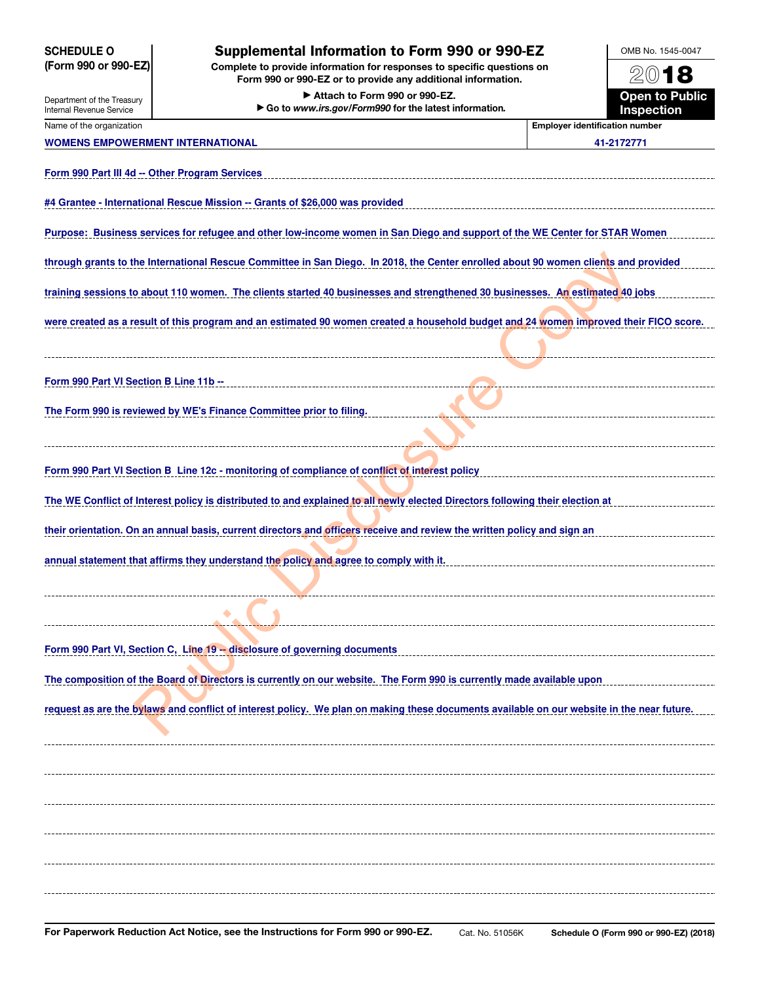| <b>SCHEDULE O</b>                                                                                                                                                                       | <b>Supplemental Information to Form 990 or 990-EZ</b>                                                                                     |                                       | OMB No. 1545-0047 |  |  |  |  |
|-----------------------------------------------------------------------------------------------------------------------------------------------------------------------------------------|-------------------------------------------------------------------------------------------------------------------------------------------|---------------------------------------|-------------------|--|--|--|--|
| (Form 990 or 990-EZ)<br>Complete to provide information for responses to specific questions on<br>2018<br>Form 990 or 990-EZ or to provide any additional information.                  |                                                                                                                                           |                                       |                   |  |  |  |  |
| <b>Open to Public</b><br>Attach to Form 990 or 990-EZ.<br>Department of the Treasury<br>Go to www.irs.gov/Form990 for the latest information.<br>Inspection<br>Internal Revenue Service |                                                                                                                                           |                                       |                   |  |  |  |  |
| Name of the organization                                                                                                                                                                |                                                                                                                                           | <b>Employer identification number</b> |                   |  |  |  |  |
| <b>WOMENS EMPOWERMENT INTERNATIONAL</b>                                                                                                                                                 |                                                                                                                                           |                                       | 41-2172771        |  |  |  |  |
| Form 990 Part III 4d -- Other Program Services                                                                                                                                          |                                                                                                                                           |                                       |                   |  |  |  |  |
|                                                                                                                                                                                         | #4 Grantee - International Rescue Mission -- Grants of \$26,000 was provided                                                              |                                       |                   |  |  |  |  |
|                                                                                                                                                                                         | Purpose: Business services for refugee and other low-income women in San Diego and support of the WE Center for STAR Women                |                                       |                   |  |  |  |  |
|                                                                                                                                                                                         | through grants to the International Rescue Committee in San Diego. In 2018, the Center enrolled about 90 women clients and provided       |                                       |                   |  |  |  |  |
|                                                                                                                                                                                         | training sessions to about 110 women. The clients started 40 businesses and strengthened 30 businesses. An estimated 40 jobs              |                                       |                   |  |  |  |  |
|                                                                                                                                                                                         | were created as a result of this program and an estimated 90 women created a household budget and 24 women improved their FICO score.     |                                       |                   |  |  |  |  |
|                                                                                                                                                                                         |                                                                                                                                           |                                       |                   |  |  |  |  |
| Form 990 Part VI Section B Line 11b --                                                                                                                                                  |                                                                                                                                           |                                       |                   |  |  |  |  |
|                                                                                                                                                                                         | The Form 990 is reviewed by WE's Finance Committee prior to filing.                                                                       |                                       |                   |  |  |  |  |
|                                                                                                                                                                                         |                                                                                                                                           |                                       |                   |  |  |  |  |
|                                                                                                                                                                                         | Form 990 Part VI Section B Line 12c - monitoring of compliance of conflict of interest policy                                             |                                       |                   |  |  |  |  |
|                                                                                                                                                                                         | The WE Conflict of Interest policy is distributed to and explained to all newly elected Directors following their election at             |                                       |                   |  |  |  |  |
|                                                                                                                                                                                         | their orientation. On an annual basis, current directors and officers receive and review the written policy and sign an                   |                                       |                   |  |  |  |  |
|                                                                                                                                                                                         | annual statement that affirms they understand the policy and agree to comply with it.                                                     |                                       |                   |  |  |  |  |
|                                                                                                                                                                                         |                                                                                                                                           |                                       |                   |  |  |  |  |
|                                                                                                                                                                                         |                                                                                                                                           |                                       |                   |  |  |  |  |
|                                                                                                                                                                                         | Form 990 Part VI, Section C, Line 19 -- disclosure of governing documents                                                                 |                                       |                   |  |  |  |  |
|                                                                                                                                                                                         | The composition of the Board of Directors is currently on our website. The Form 990 is currently made available upon                      |                                       |                   |  |  |  |  |
|                                                                                                                                                                                         | request as are the bylaws and conflict of interest policy. We plan on making these documents available on our website in the near future. |                                       |                   |  |  |  |  |
|                                                                                                                                                                                         |                                                                                                                                           |                                       |                   |  |  |  |  |
|                                                                                                                                                                                         |                                                                                                                                           |                                       |                   |  |  |  |  |
|                                                                                                                                                                                         |                                                                                                                                           |                                       |                   |  |  |  |  |
|                                                                                                                                                                                         |                                                                                                                                           |                                       |                   |  |  |  |  |
|                                                                                                                                                                                         |                                                                                                                                           |                                       |                   |  |  |  |  |
|                                                                                                                                                                                         |                                                                                                                                           |                                       |                   |  |  |  |  |
|                                                                                                                                                                                         |                                                                                                                                           |                                       |                   |  |  |  |  |